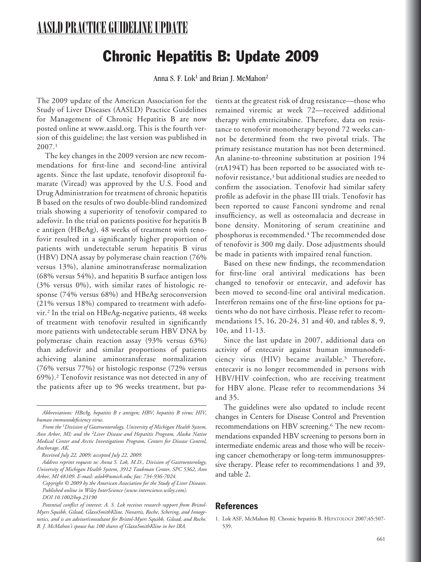# AASLD PRACTICE GUIDELINE UPDATE

# Chronic Hepatitis B: Update 2009

Anna S. F. Lok<sup>1</sup> and Brian J. McMahon<sup>2</sup>

The 2009 update of the American Association for the Study of Liver Diseases (AASLD) Practice Guidelines for Management of Chronic Hepatitis B are now posted online at www.aasld.org. This is the fourth version of this guideline; the last version was published in 2007.1

The key changes in the 2009 version are new recommendations for first-line and second-line antiviral agents. Since the last update, tenofovir disoproxil fumarate (Viread) was approved by the U.S. Food and Drug Administration for treatment of chronic hepatitis B based on the results of two double-blind randomized trials showing a superiority of tenofovir compared to adefovir. In the trial on patients positive for hepatitis B e antigen (HBeAg), 48 weeks of treatment with tenofovir resulted in a significantly higher proportion of patients with undetectable serum hepatitis B virus (HBV) DNA assay by polymerase chain reaction (76% versus 13%), alanine aminotransferase normalization (68% versus 54%), and hepatitis B surface antigen loss (3% versus 0%), with similar rates of histologic response (74% versus 68%) and HBeAg seroconversion (21% versus 18%) compared to treatment with adefovir.2 In the trial on HBeAg-negative patients, 48 weeks of treatment with tenofovir resulted in significantly more patients with undetectable serum HBV DNA by polymerase chain reaction assay (93% versus 63%) than adefovir and similar proportions of patients achieving alanine aminotransferase normalization (76% versus 77%) or histologic response (72% versus 69%).2 Tenofovir resistance was not detected in any of the patients after up to 96 weeks treatment, but patients at the greatest risk of drug resistance—those who remained viremic at week 72—received additional therapy with emtricitabine. Therefore, data on resistance to tenofovir monotherapy beyond 72 weeks cannot be determined from the two pivotal trials. The primary resistance mutation has not been determined. An alanine-to-threonine substitution at position 194 (rtA194T) has been reported to be associated with tenofovir resistance,3 but additional studies are needed to confirm the association. Tenofovir had similar safety profile as adefovir in the phase III trials. Tenofovir has been reported to cause Fanconi syndrome and renal insufficiency, as well as osteomalacia and decrease in bone density. Monitoring of serum creatinine and phosphorus is recommended.4 The recommended dose of tenofovir is 300 mg daily. Dose adjustments should be made in patients with impaired renal function.

Based on these new findings, the recommendation for first-line oral antiviral medications has been changed to tenofovir or entecavir, and adefovir has been moved to second-line oral antiviral medication. Interferon remains one of the first-line options for patients who do not have cirrhosis. Please refer to recommendations 15, 16, 20-24, 31 and 40, and tables 8, 9, 10e, and 11-13.

Since the last update in 2007, additional data on activity of entecavir against human immunodeficiency virus (HIV) became available.<sup>5</sup> Therefore, entecavir is no longer recommended in persons with HBV/HIV coinfection, who are receiving treatment for HBV alone. Please refer to recommendations 34 and 35.

The guidelines were also updated to include recent changes in Centers for Disease Control and Prevention recommendations on HBV screening.6 The new recommendations expanded HBV screening to persons born in intermediate endemic areas and those who will be receiving cancer chemotherapy or long-term immunosuppressive therapy. Please refer to recommendations 1 and 39, and table 2.

## **References**

*Abbreviations: HBeAg, hepatitis B e antigen; HBV, hepatitis B virus; HIV, human immunodeficiency virus.*

*From the 1Division of Gastroenterology, University of Michigan Health System, Ann Arbor, MI; and the 2Liver Disease and Hepatitis Program, Alaska Native Medical Center and Arctic Investigations Program, Centers for Disease Control, Anchorage, AK.*

*Received July 22, 2009; accepted July 22, 2009.*

*Address reprint requests to: Anna S. Lok, M.D., Division of Gastroenterology, University of Michigan Health System, 3912 Taubman Center, SPC 5362, Ann Arbor, MI 48109. E-mail: aslok@umich.edu; fax: 734-936-7024.*

*Copyright © 2009 by the American Association for the Study of Liver Diseases. Published online in Wiley InterScience (www.interscience.wiley.com). DOI 10.1002/hep.23190*

*Potential conflict of interest: A. S. Lok receives research support from Bristol-Myers Squibb, Gilead, GlaxoSmithKline, Novartis, Roche, Schering, and Innogenetics, and is an advisor/consultant for Bristol-Myers Squibb, Gilead, and Roche. B. J. McMahon's spouse has 100 shares of GlaxoSmithKline in her IRA.*

<sup>1.</sup> Lok ASF, McMahon BJ. Chronic hepatitis B. HEPATOLOGY 2007;45:507- 539.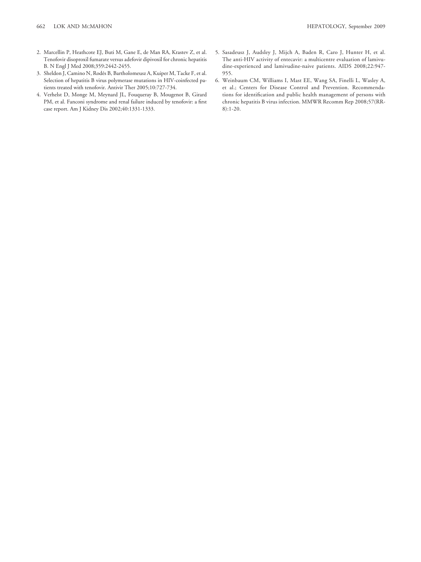- 2. Marcellin P, Heathcote EJ, Buti M, Gane E, de Man RA, Krastev Z, et al. Tenofovir disoproxil fumarate versus adefovir dipivoxil for chronic hepatitis B. N Engl J Med 2008;359:2442-2455.
- 3. Sheldon J, Camino N, Rodés B, Bartholomeusz A, Kuiper M, Tacke F, et al. Selection of hepatitis B virus polymerase mutations in HIV-coinfected patients treated with tenofovir. Antivir Ther 2005;10:727-734.
- 4. Verhelst D, Monge M, Meynard JL, Fouqueray B, Mougenot B, Girard PM, et al. Fanconi syndrome and renal failure induced by tenofovir: a first case report. Am J Kidney Dis 2002;40:1331-1333.
- 5. Sasadeusz J, Audsley J, Mijch A, Baden R, Caro J, Hunter H, et al. The anti-HIV activity of entecavir: a multicentre evaluation of lamivudine-experienced and lamivudine-naive patients. AIDS 2008;22:947- 955.
- 6. Weinbaum CM, Williams I, Mast EE, Wang SA, Finelli L, Wasley A, et al.; Centers for Disease Control and Prevention. Recommendations for identification and public health management of persons with chronic hepatitis B virus infection. MMWR Recomm Rep 2008;57(RR-8):1-20.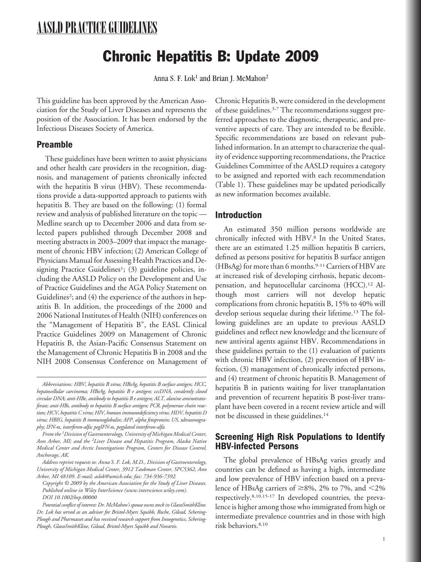# AASLD PRACTICE GUIDELINES

# Chronic Hepatitis B: Update 2009

Anna S. F. Lok<sup>1</sup> and Brian J. McMahon<sup>2</sup>

This guideline has been approved by the American Association for the Study of Liver Diseases and represents the position of the Association. It has been endorsed by the Infectious Diseases Society of America.

## **Preamble**

These guidelines have been written to assist physicians and other health care providers in the recognition, diagnosis, and management of patients chronically infected with the hepatitis B virus (HBV). These recommendations provide a data-supported approach to patients with hepatitis B. They are based on the following: (1) formal review and analysis of published literature on the topic — Medline search up to December 2006 and data from selected papers published through December 2008 and meeting abstracts in 2003–2009 that impact the management of chronic HBV infection; (2) American College of Physicians Manual for Assessing Health Practices and Designing Practice Guidelines<sup>1</sup>; (3) guideline policies, including the AASLD Policy on the Development and Use of Practice Guidelines and the AGA Policy Statement on Guidelines<sup>2</sup>; and (4) the experience of the authors in hepatitis B. In addition, the proceedings of the 2000 and 2006 National Institutes of Health (NIH) conferences on the "Management of Hepatitis B", the EASL Clinical Practice Guidelines 2009 on Management of Chronic Hepatitis B, the Asian-Pacific Consensus Statement on the Management of Chronic Hepatitis B in 2008 and the NIH 2008 Consensus Conference on Management of Chronic Hepatitis B, were considered in the development of these guidelines.3-7 The recommendations suggest preferred approaches to the diagnostic, therapeutic, and preventive aspects of care. They are intended to be flexible. Specific recommendations are based on relevant published information. In an attempt to characterize the quality of evidence supporting recommendations, the Practice Guidelines Committee of the AASLD requires a category to be assigned and reported with each recommendation (Table 1). These guidelines may be updated periodically as new information becomes available.

## **Introduction**

An estimated 350 million persons worldwide are chronically infected with HBV.8 In the United States, there are an estimated 1.25 million hepatitis B carriers, defined as persons positive for hepatitis B surface antigen (HBsAg) for more than 6 months.<sup>9-11</sup> Carriers of HBV are at increased risk of developing cirrhosis, hepatic decompensation, and hepatocellular carcinoma (HCC).<sup>12</sup> Although most carriers will not develop hepatic complications from chronic hepatitis B, 15% to 40% will develop serious sequelae during their lifetime.13 The following guidelines are an update to previous AASLD guidelines and reflect new knowledge and the licensure of new antiviral agents against HBV. Recommendations in these guidelines pertain to the (1) evaluation of patients with chronic HBV infection, (2) prevention of HBV infection, (3) management of chronically infected persons, and (4) treatment of chronic hepatitis B. Management of hepatitis B in patients waiting for liver transplantation and prevention of recurrent hepatitis B post-liver transplant have been covered in a recent review article and will not be discussed in these guidelines.14

## **Screening High Risk Populations to Identify HBV-infected Persons**

The global prevalence of HBsAg varies greatly and countries can be defined as having a high, intermediate and low prevalence of HBV infection based on a prevalence of HBsAg carriers of  $\geq 8\%$ , 2% to 7%, and  $\lt$  2% respectively.8,10,15-17 In developed countries, the prevalence is higher among those who immigrated from high or intermediate prevalence countries and in those with high risk behaviors.8,10

*Abbreviations: HBV, hepatitis B virus; HBsAg, hepatitis B surface antigen; HCC, hepatocellular carcinoma; HBeAg, hepatitis B e antigen; cccDNA, covalently closed circular DNA; anti-HBe, antibody to hepatitis B e antigen; ALT, alanine aminotransferase; anti-HBs, antibody to hepatitis B surface antigen; PCR, polymerase chain reaction; HCV, hepatitis C virus; HIV, human immunodeficiency virus; HDV, hepatitis D virus; HBIG, hepatitis B immunoglobulin; AFP, alpha fetoprotein; US, ultrasonography; IFN-*-*, interferon-alfa; pegIFN-*-*, pegylated interferon-alfa.*

*From the 1Division of Gastroenterology, University of Michigan Medical Center, Ann Arbor, MI; and the 2Liver Disease and Hepatitis Program, Alaska Native Medical Center and Arctic Investigations Program, Centers for Disease Control, Anchorage, AK.*

*Address reprint requests to: Anna S. F. Lok, M.D., Division of Gastroenterology, University of Michigan Medical Center, 3912 Taubman Center, SPC5362, Ann Arbor, MI 48109. E-mail: aslok@umich.edu; fax: 734-936-7392.*

*Copyright © 2009 by the American Association for the Study of Liver Diseases. Published online in Wiley InterScience (www.interscience.wiley.com). DOI 10.1002/hep.00000*

*Potential conflict of interest: Dr. McMahon's spouse owns stock in GlaxoSmithKline. Dr. Lok has served as an advisor for Bristol-Myers Squibb, Roche, Gilead, Schering-Plough and Pharmasset and has received research support from Innogenetics, Schering-Plough, GlaxoSmithKline, Gilead, Bristol-Myers Squibb and Novartis.*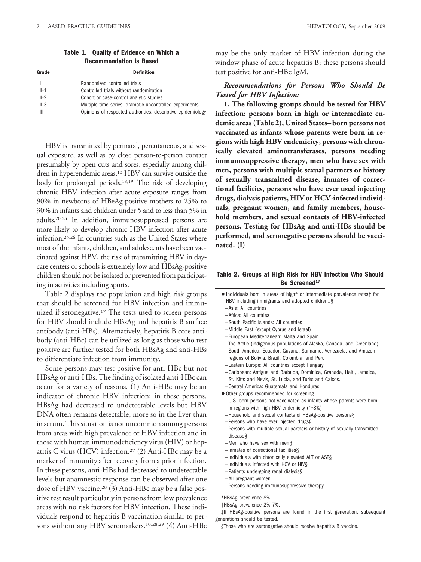|                                |  | Table 1. Ouality of Evidence on Which a |  |  |  |  |  |  |
|--------------------------------|--|-----------------------------------------|--|--|--|--|--|--|
| <b>Recommendation is Based</b> |  |                                         |  |  |  |  |  |  |

| Grade  | <b>Definition</b>                                           |
|--------|-------------------------------------------------------------|
|        | Randomized controlled trials                                |
| $II-1$ | Controlled trials without randomization                     |
| $II-2$ | Cohort or case-control analytic studies                     |
| $II-3$ | Multiple time series, dramatic uncontrolled experiments     |
| Ш      | Opinions of respected authorities, descriptive epidemiology |

HBV is transmitted by perinatal, percutaneous, and sexual exposure, as well as by close person-to-person contact presumably by open cuts and sores, especially among children in hyperendemic areas.10 HBV can survive outside the body for prolonged periods.18,19 The risk of developing chronic HBV infection after acute exposure ranges from 90% in newborns of HBeAg-positive mothers to 25% to 30% in infants and children under 5 and to less than 5% in adults.20-24 In addition, immunosuppressed persons are more likely to develop chronic HBV infection after acute infection.25,26 In countries such as the United States where most of the infants, children, and adolescents have been vaccinated against HBV, the risk of transmitting HBV in daycare centers or schools is extremely low and HBsAg-positive children should not be isolated or prevented from participating in activities including sports.

Table 2 displays the population and high risk groups that should be screened for HBV infection and immunized if seronegative.17 The tests used to screen persons for HBV should include HBsAg and hepatitis B surface antibody (anti-HBs). Alternatively, hepatitis B core antibody (anti-HBc) can be utilized as long as those who test positive are further tested for both HBsAg and anti-HBs to differentiate infection from immunity.

Some persons may test positive for anti-HBc but not HBsAg or anti-HBs. The finding of isolated anti-HBc can occur for a variety of reasons. (1) Anti-HBc may be an indicator of chronic HBV infection; in these persons, HBsAg had decreased to undetectable levels but HBV DNA often remains detectable, more so in the liver than in serum. This situation is not uncommon among persons from areas with high prevalence of HBV infection and in those with human immunodeficiency virus (HIV) or hepatitis C virus (HCV) infection.27 (2) Anti-HBc may be a marker of immunity after recovery from a prior infection. In these persons, anti-HBs had decreased to undetectable levels but anamnestic response can be observed after one dose of HBV vaccine.28 (3) Anti-HBc may be a false positive test result particularly in persons from low prevalence areas with no risk factors for HBV infection. These individuals respond to hepatitis B vaccination similar to persons without any HBV seromarkers.10,28,29 (4) Anti-HBc may be the only marker of HBV infection during the window phase of acute hepatitis B; these persons should test positive for anti-HBc IgM.

## *Recommendations for Persons Who Should Be Tested for HBV Infection:*

**1. The following groups should be tested for HBV infection: persons born in high or intermediate endemic areas (Table 2), United States–born persons not vaccinated as infants whose parents were born in regions with high HBV endemicity, persons with chronically elevated aminotransferases, persons needing immunosuppressive therapy, men who have sex with men, persons with multiple sexual partners or history of sexually transmitted disease, inmates of correctional facilities, persons who have ever used injecting drugs, dialysis patients, HIV or HCV-infected individuals, pregnant women, and family members, household members, and sexual contacts of HBV-infected persons. Testing for HBsAg and anti-HBs should be performed, and seronegative persons should be vaccinated. (I)**

#### **Table 2. Groups at High Risk for HBV Infection Who Should Be Screened17**

| • Individuals born in areas of high* or intermediate prevalence rates† for |  |
|----------------------------------------------------------------------------|--|
| HBV including immigrants and adopted children‡§                            |  |
| -Asia: All countries                                                       |  |
| -Africa: All countries                                                     |  |
| -South Pacific Islands: All countries                                      |  |
| -Middle East (except Cyprus and Israel)                                    |  |
| -European Mediterranean: Malta and Spain                                   |  |
| -The Arctic (indigenous populations of Alaska, Canada, and Greenland)      |  |
| -South America: Ecuador, Guyana, Suriname, Venezuela, and Amazon           |  |
| regions of Bolivia, Brazil, Colombia, and Peru                             |  |
| -Eastern Europe: All countries except Hungary                              |  |
| -Caribbean: Antigua and Barbuda, Dominica, Granada, Haiti, Jamaica,        |  |
| St. Kitts and Nevis, St. Lucia, and Turks and Caicos.                      |  |
| -Central America: Guatemala and Honduras                                   |  |
| • Other groups recommended for screening                                   |  |
| -U.S. born persons not vaccinated as infants whose parents were born       |  |
| in regions with high HBV endemicity ( $\geq$ 8%)                           |  |
| -Household and sexual contacts of HBsAg-positive persons&                  |  |
| -Persons who have ever injected drugs§                                     |  |
| -Persons with multiple sexual partners or history of sexually transmitted  |  |
| disease§                                                                   |  |
| $-Men$ who have sex with men $\S$                                          |  |
| -Inmates of correctional facilities§                                       |  |
| -Individuals with chronically elevated ALT or ASTS                         |  |
| -Individuals infected with HCV or HIVS                                     |  |
| -Patients undergoing renal dialysis§                                       |  |
| -All pregnant women                                                        |  |
| -Persons needing immunosuppressive therapy                                 |  |
|                                                                            |  |

\*HBsAg prevalence 8%.

†HBsAg prevalence 2%-7%.

‡If HBsAg-positive persons are found in the first generation, subsequent generations should be tested.

§Those who are seronegative should receive hepatitis B vaccine.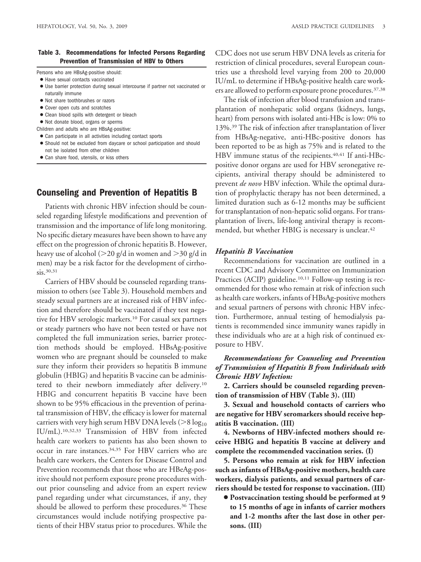#### **Table 3. Recommendations for Infected Persons Regarding Prevention of Transmission of HBV to Others**

Persons who are HBsAg-positive should:

- Have sexual contacts vaccinated
- Use barrier protection during sexual intercourse if partner not vaccinated or naturally immune
- Not share toothbrushes or razors
- Cover open cuts and scratches
- Clean blood spills with detergent or bleach
- Not donate blood, organs or sperms

Children and adults who are HBsAg-positive:

- Can participate in all activities including contact sports
- Should not be excluded from daycare or school participation and should not be isolated from other children
- Can share food, utensils, or kiss others

## **Counseling and Prevention of Hepatitis B**

Patients with chronic HBV infection should be counseled regarding lifestyle modifications and prevention of transmission and the importance of life long monitoring. No specific dietary measures have been shown to have any effect on the progression of chronic hepatitis B. However, heavy use of alcohol ( $>$ 20 g/d in women and  $>$ 30 g/d in men) may be a risk factor for the development of cirrhosis.30,31

Carriers of HBV should be counseled regarding transmission to others (see Table 3). Household members and steady sexual partners are at increased risk of HBV infection and therefore should be vaccinated if they test negative for HBV serologic markers.<sup>10</sup> For casual sex partners or steady partners who have not been tested or have not completed the full immunization series, barrier protection methods should be employed. HBsAg-positive women who are pregnant should be counseled to make sure they inform their providers so hepatitis B immune globulin (HBIG) and hepatitis B vaccine can be administered to their newborn immediately after delivery.10 HBIG and concurrent hepatitis B vaccine have been shown to be 95% efficacious in the prevention of perinatal transmission of HBV, the efficacy is lower for maternal carriers with very high serum HBV DNA levels ( $>$ 8 log<sub>10</sub>) IU/mL).10,32,33 Transmission of HBV from infected health care workers to patients has also been shown to occur in rare instances.34,35 For HBV carriers who are health care workers, the Centers for Disease Control and Prevention recommends that those who are HBeAg-positive should not perform exposure prone procedures without prior counseling and advice from an expert review panel regarding under what circumstances, if any, they should be allowed to perform these procedures.<sup>36</sup> These circumstances would include notifying prospective patients of their HBV status prior to procedures. While the CDC does not use serum HBV DNA levels as criteria for restriction of clinical procedures, several European countries use a threshold level varying from 200 to 20,000 IU/mL to determine if HBsAg-positive health care workers are allowed to perform exposure prone procedures.37,38

The risk of infection after blood transfusion and transplantation of nonhepatic solid organs (kidneys, lungs, heart) from persons with isolated anti-HBc is low: 0% to 13%.39 The risk of infection after transplantation of liver from HBsAg-negative, anti-HBc-positive donors has been reported to be as high as 75% and is related to the HBV immune status of the recipients.<sup>40,41</sup> If anti-HBcpositive donor organs are used for HBV seronegative recipients, antiviral therapy should be administered to prevent *de novo* HBV infection. While the optimal duration of prophylactic therapy has not been determined, a limited duration such as 6-12 months may be sufficient for transplantation of non-hepatic solid organs. For transplantation of livers, life-long antiviral therapy is recommended, but whether HBIG is necessary is unclear.<sup>42</sup>

#### *Hepatitis B Vaccination*

Recommendations for vaccination are outlined in a recent CDC and Advisory Committee on Immunization Practices (ACIP) guideline.<sup>10,11</sup> Follow-up testing is recommended for those who remain at risk of infection such as health care workers, infants of HBsAg-positive mothers and sexual partners of persons with chronic HBV infection. Furthermore, annual testing of hemodialysis patients is recommended since immunity wanes rapidly in these individuals who are at a high risk of continued exposure to HBV.

## *Recommendations for Counseling and Prevention of Transmission of Hepatitis B from Individuals with Chronic HBV Infection:*

**2. Carriers should be counseled regarding prevention of transmission of HBV (Table 3). (III)**

**3. Sexual and household contacts of carriers who are negative for HBV seromarkers should receive hepatitis B vaccination. (III)**

**4. Newborns of HBV-infected mothers should receive HBIG and hepatitis B vaccine at delivery and complete the recommended vaccination series. (I)**

**5. Persons who remain at risk for HBV infection such as infants of HBsAg-positive mothers, health care workers, dialysis patients, and sexual partners of carriers should be tested for response to vaccination. (III)**

● **Postvaccination testing should be performed at 9 to 15 months of age in infants of carrier mothers and 1-2 months after the last dose in other persons. (III)**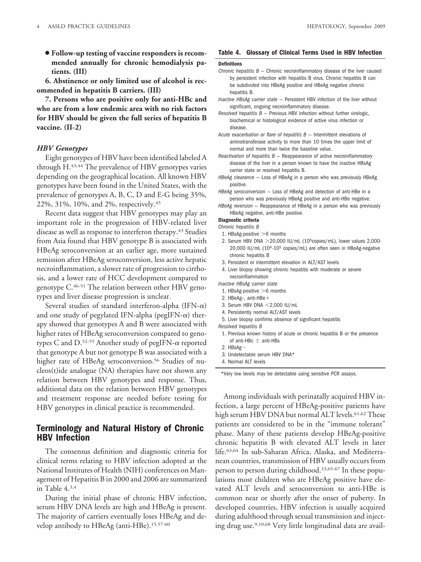● **Follow-up testing of vaccine responders is recommended annually for chronic hemodialysis patients. (III)**

**6. Abstinence or only limited use of alcohol is recommended in hepatitis B carriers. (III)**

**7. Persons who are positive only for anti-HBc and who are from a low endemic area with no risk factors for HBV should be given the full series of hepatitis B vaccine. (II-2)**

#### *HBV Genotypes*

Eight genotypes of HBV have been identified labeled A through H.43,44 The prevalence of HBV genotypes varies depending on the geographical location. All known HBV genotypes have been found in the United States, with the prevalence of genotypes A, B, C, D and E-G being 35%, 22%, 31%, 10%, and 2%, respectively.45

Recent data suggest that HBV genotypes may play an important role in the progression of HBV-related liver disease as well as response to interferon therapy.43 Studies from Asia found that HBV genotype B is associated with HBeAg seroconversion at an earlier age, more sustained remission after HBeAg seroconversion, less active hepatic necroinflammation, a slower rate of progression to cirrhosis, and a lower rate of HCC development compared to genotype C.46-51 The relation between other HBV genotypes and liver disease progression is unclear.

Several studies of standard interferon-alpha (IFN- $\alpha$ ) and one study of pegylated IFN-alpha (pegIFN- $\alpha$ ) therapy showed that genotypes A and B were associated with higher rates of HBeAg seroconversion compared to genotypes C and D.<sup>52-55</sup> Another study of pegIFN- $\alpha$  reported that genotype A but not genotype B was associated with a higher rate of HBeAg seroconversion.<sup>56</sup> Studies of nucleos(t)ide analogue (NA) therapies have not shown any relation between HBV genotypes and response. Thus, additional data on the relation between HBV genotypes and treatment response are needed before testing for HBV genotypes in clinical practice is recommended.

## **Terminology and Natural History of Chronic HBV Infection**

The consensus definition and diagnostic criteria for clinical terms relating to HBV infection adopted at the National Institutes of Health (NIH) conferences on Management of Hepatitis B in 2000 and 2006 are summarized in Table 4.3,4

During the initial phase of chronic HBV infection, serum HBV DNA levels are high and HBeAg is present. The majority of carriers eventually loses HBeAg and develop antibody to HBeAg (anti-HBe).<sup>15,57-60</sup>

#### **Table 4. Glossary of Clinical Terms Used in HBV Infection**

#### **Definitions**

- *Chronic hepatitis B* Chronic necroinflammatory disease of the liver caused by persistent infection with hepatitis B virus. Chronic hepatitis B can be subdivided into HBeAg positive and HBeAg negative chronic hepatitis B.
- *Inactive HBsAg carrier state* Persistent HBV infection of the liver without significant, ongoing necroinflammatory disease.
- *Resolved hepatitis B* Previous HBV infection without further virologic, biochemical or histological evidence of active virus infection or disease.
- *Acute exacerbation or flare of hepatitis B* Intermittent elevations of aminotransferase activity to more than 10 times the upper limit of normal and more than twice the baseline value.
- *Reactivation of hepatitis B* Reappearance of active necroinflammatory disease of the liver in a person known to have the inactive HBsAg carrier state or resolved hepatitis B.
- *HBeAg clearance* Loss of HBeAg in a person who was previously HBeAg positive.
- *HBeAg seroconversion* Loss of HBeAg and detection of anti-HBe in a person who was previously HBeAg positive and anti-HBe negative.
- *HBeAg reversion* Reappearance of HBeAg in a person who was previously HBeAg negative, anti-HBe positive.

#### **Diagnostic criteria**

*Chronic hepatitis B*

- 1. HBsAg-positive  $>6$  months
- 2. Serum HBV DNA  $>$  20,000 IU/mL (10<sup>5</sup>copies/mL), lower values 2,000-20,000 IU/mL (104-105 copies/mL) are often seen in HBeAg-negative chronic hepatitis B
- 3. Persistent or intermittent elevation in ALT/AST levels
- 4. Liver biopsy showing chronic hepatitis with moderate or severe necroinflammation

*Inactive HBsAg carrier state*

- 1. HBsAg-positive  $>6$  months
- 2. HBeAg–, anti-HBe
- 3. Serum HBV DNA  $<$  2,000 IU/mL
- 4. Persistently normal ALT/AST levels
- 5. Liver biopsy confirms absence of significant hepatitis
- *Resolved hepatitis B*
- 1. Previous known history of acute or chronic hepatitis B or the presence of anti-HBc  $\pm$  anti-HBs
- 2. HBsAg
- 3. Undetectable serum HBV DNA\*
- 4. Normal ALT levels

\*Very low levels may be detectable using sensitive PCR assays.

Among individuals with perinatally acquired HBV infection, a large percent of HBeAg-positive patients have high serum HBV DNA but normal ALT levels.<sup>61,62</sup> These patients are considered to be in the "immune tolerant" phase. Many of these patients develop HBeAg-positive chronic hepatitis B with elevated ALT levels in later life.63,64 In sub-Saharan Africa, Alaska, and Mediterranean countries, transmission of HBV usually occurs from person to person during childhood.23,65-67 In these populations most children who are HBeAg positive have elevated ALT levels and seroconversion to anti-HBe is common near or shortly after the onset of puberty. In developed countries, HBV infection is usually acquired during adulthood through sexual transmission and injecting drug use.9,10,68 Very little longitudinal data are avail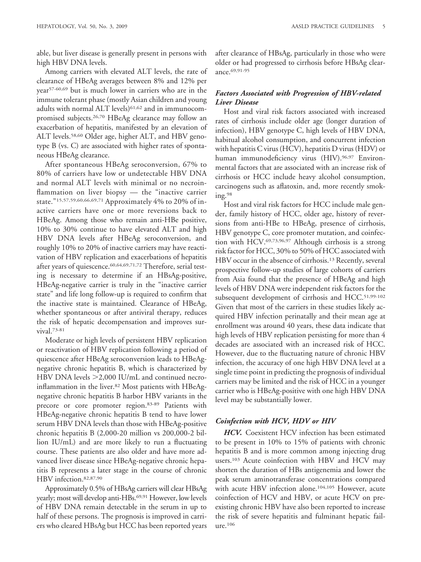able, but liver disease is generally present in persons with high HBV DNA levels.

Among carriers with elevated ALT levels, the rate of clearance of HBeAg averages between 8% and 12% per year57-60,69 but is much lower in carriers who are in the immune tolerant phase (mostly Asian children and young adults with normal ALT levels)<sup>61,62</sup> and in immunocompromised subjects.26,70 HBeAg clearance may follow an exacerbation of hepatitis, manifested by an elevation of ALT levels.58,60 Older age, higher ALT, and HBV genotype B (vs. C) are associated with higher rates of spontaneous HBeAg clearance.

After spontaneous HBeAg seroconversion, 67% to 80% of carriers have low or undetectable HBV DNA and normal ALT levels with minimal or no necroinflammation on liver biopsy — the "inactive carrier state."15,57,59,60,66,69,71 Approximately 4% to 20% of inactive carriers have one or more reversions back to HBeAg. Among those who remain anti-HBe positive, 10% to 30% continue to have elevated ALT and high HBV DNA levels after HBeAg seroconversion, and roughly 10% to 20% of inactive carriers may have reactivation of HBV replication and exacerbations of hepatitis after years of quiescence.60,64,69,71,72 Therefore, serial testing is necessary to determine if an HBsAg-positive, HBeAg-negative carrier is truly in the "inactive carrier state" and life long follow-up is required to confirm that the inactive state is maintained. Clearance of HBeAg, whether spontaneous or after antiviral therapy, reduces the risk of hepatic decompensation and improves survival.73-81

Moderate or high levels of persistent HBV replication or reactivation of HBV replication following a period of quiescence after HBeAg seroconversion leads to HBeAgnegative chronic hepatitis B, which is characterized by HBV DNA levels > 2,000 IU/mL and continued necroinflammation in the liver.82 Most patients with HBeAgnegative chronic hepatitis B harbor HBV variants in the precore or core promoter region.83-89 Patients with HBeAg-negative chronic hepatitis B tend to have lower serum HBV DNA levels than those with HBeAg-positive chronic hepatitis B (2,000-20 million vs 200,000-2 billion IU/mL) and are more likely to run a fluctuating course. These patients are also older and have more advanced liver disease since HBeAg-negative chronic hepatitis B represents a later stage in the course of chronic HBV infection.82,87,90

Approximately 0.5% of HBsAg carriers will clear HBsAg yearly; most will develop anti-HBs.<sup>69,91</sup> However, low levels of HBV DNA remain detectable in the serum in up to half of these persons. The prognosis is improved in carriers who cleared HBsAg but HCC has been reported years

after clearance of HBsAg, particularly in those who were older or had progressed to cirrhosis before HBsAg clearance.69,91-95

## *Factors Associated with Progression of HBV-related Liver Disease*

Host and viral risk factors associated with increased rates of cirrhosis include older age (longer duration of infection), HBV genotype C, high levels of HBV DNA, habitual alcohol consumption, and concurrent infection with hepatitis C virus (HCV), hepatitis D virus (HDV) or human immunodeficiency virus (HIV).96,97 Environmental factors that are associated with an increase risk of cirrhosis or HCC include heavy alcohol consumption, carcinogens such as aflatoxin, and, more recently smoking.98

Host and viral risk factors for HCC include male gender, family history of HCC, older age, history of reversions from anti-HBe to HBeAg, presence of cirrhosis, HBV genotype C, core promoter mutation, and coinfection with HCV.69,73,96,97 Although cirrhosis is a strong risk factor for HCC, 30% to 50% of HCC associated with HBV occur in the absence of cirrhosis.<sup>13</sup> Recently, several prospective follow-up studies of large cohorts of carriers from Asia found that the presence of HBeAg and high levels of HBV DNA were independent risk factors for the subsequent development of cirrhosis and HCC.51,99-102 Given that most of the carriers in these studies likely acquired HBV infection perinatally and their mean age at enrollment was around 40 years, these data indicate that high levels of HBV replication persisting for more than 4 decades are associated with an increased risk of HCC. However, due to the fluctuating nature of chronic HBV infection, the accuracy of one high HBV DNA level at a single time point in predicting the prognosis of individual carriers may be limited and the risk of HCC in a younger carrier who is HBeAg-positive with one high HBV DNA level may be substantially lower.

## *Coinfection with HCV, HDV or HIV*

*HCV.* Coexistent HCV infection has been estimated to be present in 10% to 15% of patients with chronic hepatitis B and is more common among injecting drug users.<sup>103</sup> Acute coinfection with HBV and HCV may shorten the duration of HBs antigenemia and lower the peak serum aminotransferase concentrations compared with acute HBV infection alone.<sup>104,105</sup> However, acute coinfection of HCV and HBV, or acute HCV on preexisting chronic HBV have also been reported to increase the risk of severe hepatitis and fulminant hepatic failure.106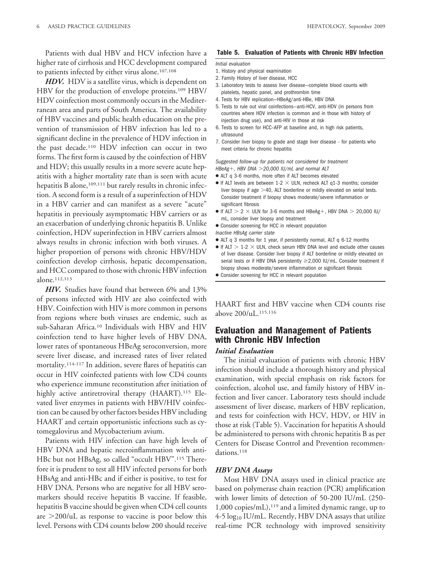Patients with dual HBV and HCV infection have a higher rate of cirrhosis and HCC development compared to patients infected by either virus alone.107,108

*HDV.* HDV is a satellite virus, which is dependent on HBV for the production of envelope proteins.<sup>109</sup> HBV/ HDV coinfection most commonly occurs in the Mediterranean area and parts of South America. The availability of HBV vaccines and public health education on the prevention of transmission of HBV infection has led to a significant decline in the prevalence of HDV infection in the past decade.110 HDV infection can occur in two forms. The first form is caused by the coinfection of HBV and HDV; this usually results in a more severe acute hepatitis with a higher mortality rate than is seen with acute hepatitis B alone,<sup>109,111</sup> but rarely results in chronic infection. A second form is a result of a superinfection of HDV in a HBV carrier and can manifest as a severe "acute" hepatitis in previously asymptomatic HBV carriers or as an exacerbation of underlying chronic hepatitis B. Unlike coinfection, HDV superinfection in HBV carriers almost always results in chronic infection with both viruses. A higher proportion of persons with chronic HBV/HDV coinfection develop cirrhosis, hepatic decompensation, and HCC compared to those with chronic HBV infection alone.112,113

*HIV.* Studies have found that between 6% and 13% of persons infected with HIV are also coinfected with HBV. Coinfection with HIV is more common in persons from regions where both viruses are endemic, such as sub-Saharan Africa.10 Individuals with HBV and HIV coinfection tend to have higher levels of HBV DNA, lower rates of spontaneous HBeAg seroconversion, more severe liver disease, and increased rates of liver related mortality.<sup>114-117</sup> In addition, severe flares of hepatitis can occur in HIV coinfected patients with low CD4 counts who experience immune reconstitution after initiation of highly active antiretroviral therapy (HAART).<sup>115</sup> Elevated liver enzymes in patients with HBV/HIV coinfection can be caused by other factors besides HBV including HAART and certain opportunistic infections such as cytomegalovirus and Mycobacterium avium.

Patients with HIV infection can have high levels of HBV DNA and hepatic necroinflammation with anti-HBc but not HBsAg, so called "occult HBV".115 Therefore it is prudent to test all HIV infected persons for both HBsAg and anti-HBc and if either is positive, to test for HBV DNA. Persons who are negative for all HBV seromarkers should receive hepatitis B vaccine. If feasible, hepatitis B vaccine should be given when CD4 cell counts are -200/uL as response to vaccine is poor below this level. Persons with CD4 counts below 200 should receive

#### **Table 5. Evaluation of Patients with Chronic HBV Infection**

#### *Initial evaluation*

- 1. History and physical examination
- 2. Family History of liver disease, HCC
- 3. Laboratory tests to assess liver disease—complete blood counts with platelets, hepatic panel, and prothrombin time
- 4. Tests for HBV replication—HBeAg/anti-HBe, HBV DNA
- 5. Tests to rule out viral coinfections—anti-HCV, anti-HDV (in persons from countries where HDV infection is common and in those with history of injection drug use), and anti-HIV in those at risk
- 6. Tests to screen for HCC–AFP at baseline and, in high risk patients, ultrasound
- 7. Consider liver biopsy to grade and stage liver disease for patients who meet criteria for chronic hepatitis

*Suggested follow-up for patients not considered for treatment HBeAg, HBV DNA* -*20,000 IU/mL and normal ALT*

- ALT q 3-6 months, more often if ALT becomes elevated
- $\bullet$  If ALT levels are between 1-2  $\times$  ULN, recheck ALT q1-3 months; consider liver biopsy if age  $>40$ , ALT borderline or mildly elevated on serial tests. Consider treatment if biopsy shows moderate/severe inflammation or significant fibrosis
- $\bullet$  If ALT  $> 2 \times$  ULN for 3-6 months and HBeAg+, HBV DNA  $> 20,000$  IU/ mL, consider liver biopsy and treatment
- Consider screening for HCC in relevant population
- *Inactive HBsAg carrier state*
- ALT q 3 months for 1 year, if persistently normal, ALT q 6-12 months
- $\bullet$  If ALT  $>$  1-2  $\times$  ULN, check serum HBV DNA level and exclude other causes of liver disease. Consider liver biopsy if ALT borderline or mildly elevated on serial tests or if HBV DNA persistently  $\geq$ 2,000 IU/mL. Consider treatment if biopsy shows moderate/severe inflammation or significant fibrosis
- Consider screening for HCC in relevant population

HAART first and HBV vaccine when CD4 counts rise above 200/uL.115,116

## **Evaluation and Management of Patients with Chronic HBV Infection**

## *Initial Evaluation*

The initial evaluation of patients with chronic HBV infection should include a thorough history and physical examination, with special emphasis on risk factors for coinfection, alcohol use, and family history of HBV infection and liver cancer. Laboratory tests should include assessment of liver disease, markers of HBV replication, and tests for coinfection with HCV, HDV, or HIV in those at risk (Table 5). Vaccination for hepatitis A should be administered to persons with chronic hepatitis B as per Centers for Disease Control and Prevention recommendations.<sup>118</sup>

#### *HBV DNA Assays*

Most HBV DNA assays used in clinical practice are based on polymerase chain reaction (PCR) amplification with lower limits of detection of 50-200 IU/mL (250-  $1,000$  copies/mL),<sup>119</sup> and a limited dynamic range, up to  $4-5 \log_{10}$  IU/mL. Recently, HBV DNA assays that utilize real-time PCR technology with improved sensitivity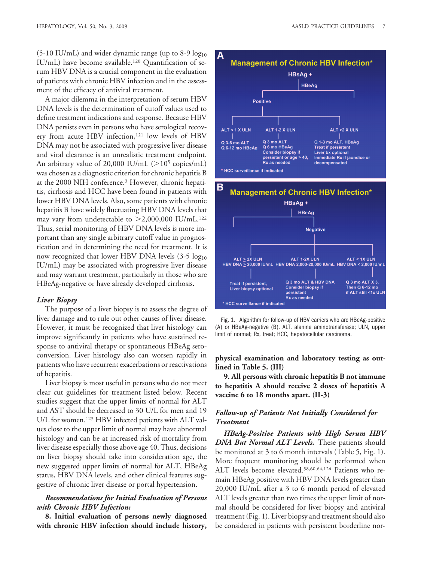$(5-10 \text{ IU/mL})$  and wider dynamic range (up to 8-9  $\log_{10}$ ) IU/mL) have become available.120 Quantification of serum HBV DNA is a crucial component in the evaluation of patients with chronic HBV infection and in the assessment of the efficacy of antiviral treatment.

A major dilemma in the interpretation of serum HBV DNA levels is the determination of cutoff values used to define treatment indications and response. Because HBV DNA persists even in persons who have serological recovery from acute HBV infection,121 low levels of HBV DNA may not be associated with progressive liver disease and viral clearance is an unrealistic treatment endpoint. An arbitrary value of 20,000 IU/mL ( $>$ 10<sup>5</sup> copies/mL) was chosen as a diagnostic criterion for chronic hepatitis B at the 2000 NIH conference.3 However, chronic hepatitis, cirrhosis and HCC have been found in patients with lower HBV DNA levels. Also, some patients with chronic hepatitis B have widely fluctuating HBV DNA levels that may vary from undetectable to  $\geq$  2,000,000 IU/mL.<sup>122</sup> Thus, serial monitoring of HBV DNA levels is more important than any single arbitrary cutoff value in prognostication and in determining the need for treatment. It is now recognized that lower HBV DNA levels  $(3-5 \log_{10}$ IU/mL) may be associated with progressive liver disease and may warrant treatment, particularly in those who are HBeAg-negative or have already developed cirrhosis.

#### *Liver Biopsy*

The purpose of a liver biopsy is to assess the degree of liver damage and to rule out other causes of liver disease. However, it must be recognized that liver histology can improve significantly in patients who have sustained response to antiviral therapy or spontaneous HBeAg seroconversion. Liver histology also can worsen rapidly in patients who have recurrent exacerbations or reactivations of hepatitis.

Liver biopsy is most useful in persons who do not meet clear cut guidelines for treatment listed below. Recent studies suggest that the upper limits of normal for ALT and AST should be decreased to 30 U/L for men and 19 U/L for women.123 HBV infected patients with ALT values close to the upper limit of normal may have abnormal histology and can be at increased risk of mortality from liver disease especially those above age 40. Thus, decisions on liver biopsy should take into consideration age, the new suggested upper limits of normal for ALT, HBeAg status, HBV DNA levels, and other clinical features suggestive of chronic liver disease or portal hypertension.

## *Recommendations for Initial Evaluation of Persons with Chronic HBV Infection:*

**8. Initial evaluation of persons newly diagnosed with chronic HBV infection should include history,**



Fig. 1. Algorithm for follow-up of HBV carriers who are HBeAg-positive (A) or HBeAg-negative (B). ALT, alanine aminotransferase; ULN, upper limit of normal; Rx, treat; HCC, hepatocellular carcinoma.

## **physical examination and laboratory testing as outlined in Table 5. (III)**

**9. All persons with chronic hepatitis B not immune to hepatitis A should receive 2 doses of hepatitis A vaccine 6 to 18 months apart. (II-3)**

## *Follow-up of Patients Not Initially Considered for Treatment*

*HBeAg-Positive Patients with High Serum HBV DNA But Normal ALT Levels.* These patients should be monitored at 3 to 6 month intervals (Table 5, Fig. 1). More frequent monitoring should be performed when ALT levels become elevated.58,60,64,124 Patients who remain HBeAg positive with HBV DNA levels greater than 20,000 IU/mL after a 3 to 6 month period of elevated ALT levels greater than two times the upper limit of normal should be considered for liver biopsy and antiviral treatment (Fig. 1). Liver biopsy and treatment should also be considered in patients with persistent borderline nor-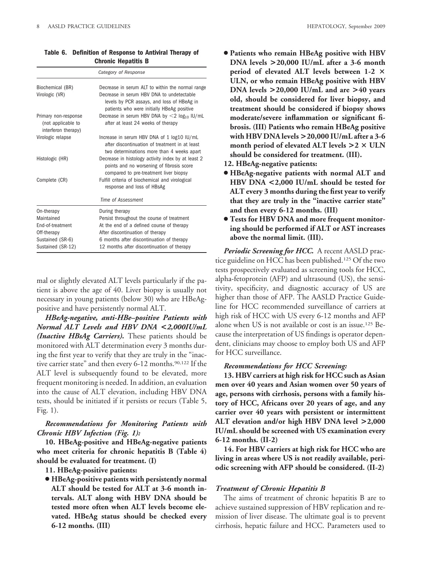| <b>Chronic Hepatitis B</b>         |                                                                                                                                             |  |  |  |  |  |
|------------------------------------|---------------------------------------------------------------------------------------------------------------------------------------------|--|--|--|--|--|
|                                    | Category of Response                                                                                                                        |  |  |  |  |  |
| Biochemical (BR)<br>Virologic (VR) | Decrease in serum ALT to within the normal range<br>Decrease in serum HBV DNA to undetectable<br>levels by PCR assays, and loss of HReAg in |  |  |  |  |  |

# **Table 6. Definition of Response to Antiviral Therapy of**

| VIIUIUKIU (VN)                                                    | Declease III seight HDV DIVA to undetectable<br>levels by PCR assays, and loss of HBeAg in<br>patients who were initially HBeAg positive<br>Decrease in serum HBV DNA by $\leq$ 2 log <sub>10</sub> IU/mL |  |  |  |  |
|-------------------------------------------------------------------|-----------------------------------------------------------------------------------------------------------------------------------------------------------------------------------------------------------|--|--|--|--|
| Primary non-response<br>(not applicable to<br>interferon therapy) | after at least 24 weeks of therapy                                                                                                                                                                        |  |  |  |  |
| Virologic relapse                                                 | Increase in serum HBV DNA of 1 log10 IU/mL<br>after discontinuation of treatment in at least<br>two determinations more than 4 weeks apart                                                                |  |  |  |  |
| Histologic (HR)                                                   | Decrease in histology activity index by at least 2<br>points and no worsening of fibrosis score<br>compared to pre-treatment liver biopsy                                                                 |  |  |  |  |
| Complete (CR)                                                     | Fulfill criteria of biochemical and virological<br>response and loss of HBsAg                                                                                                                             |  |  |  |  |
|                                                                   | <b>Time of Assessment</b>                                                                                                                                                                                 |  |  |  |  |
| On-therapy                                                        | During therapy                                                                                                                                                                                            |  |  |  |  |
| Maintained                                                        | Persist throughout the course of treatment                                                                                                                                                                |  |  |  |  |
| End-of-treatment                                                  | At the end of a defined course of therapy                                                                                                                                                                 |  |  |  |  |
| Off-therapy                                                       | After discontinuation of therapy                                                                                                                                                                          |  |  |  |  |
| Sustained (SR-6)                                                  | 6 months after discontinuation of therapy                                                                                                                                                                 |  |  |  |  |
| Sustained (SR-12)                                                 | 12 months after discontinuation of therapy                                                                                                                                                                |  |  |  |  |

mal or slightly elevated ALT levels particularly if the patient is above the age of 40. Liver biopsy is usually not necessary in young patients (below 30) who are HBeAgpositive and have persistently normal ALT.

*HBeAg-negative, anti-HBe–positive Patients with Normal ALT Levels and HBV DNA* **<***2,000IU/mL (Inactive HBsAg Carriers).* These patients should be monitored with ALT determination every 3 months during the first year to verify that they are truly in the "inactive carrier state" and then every 6-12 months.90,122 If the ALT level is subsequently found to be elevated, more frequent monitoring is needed. In addition, an evaluation into the cause of ALT elevation, including HBV DNA tests, should be initiated if it persists or recurs (Table 5, Fig. 1).

*Recommendations for Monitoring Patients with Chronic HBV Infection (Fig. 1):*

**10. HBeAg-positive and HBeAg-negative patients who meet criteria for chronic hepatitis B (Table 4) should be evaluated for treatment. (I)**

**11. HBeAg-positive patients:**

● **HBeAg-positive patients with persistently normal ALT should be tested for ALT at 3-6 month intervals. ALT along with HBV DNA should be tested more often when ALT levels become elevated. HBeAg status should be checked every 6-12 months. (III)**

- **Patients who remain HBeAg positive with HBV DNA levels >20,000 IU/mL after a 3-6 month period of elevated ALT levels between 1-2 ULN, or who remain HBeAg positive with HBV DNA levels >20,000 IU/mL and are >40 years old, should be considered for liver biopsy, and treatment should be considered if biopsy shows moderate/severe inflammation or significant fibrosis. (III) Patients who remain HBeAg positive with HBV DNA levels >20,000 IU/mL after a 3-6** month period of elevated ALT levels  $>2 \times$  ULN **should be considered for treatment. (III).**
- **12. HBeAg-negative patients:**
- **HBeAg-negative patients with normal ALT and HBV DNA <2,000 IU/mL should be tested for ALT every 3 months during the first year to verify that they are truly in the "inactive carrier state" and then every 6-12 months. (III)**
- **Tests for HBV DNA and more frequent monitoring should be performed if ALT or AST increases above the normal limit. (III).**

*Periodic Screening for HCC.* A recent AASLD practice guideline on HCC has been published.125 Of the two tests prospectively evaluated as screening tools for HCC, alpha-fetoprotein (AFP) and ultrasound (US), the sensitivity, specificity, and diagnostic accuracy of US are higher than those of AFP. The AASLD Practice Guideline for HCC recommended surveillance of carriers at high risk of HCC with US every 6-12 months and AFP alone when US is not available or cost is an issue.125 Because the interpretation of US findings is operator dependent, clinicians may choose to employ both US and AFP for HCC surveillance.

## *Recommendations for HCC Screening:*

**13. HBV carriers at high risk for HCC such as Asian men over 40 years and Asian women over 50 years of age, persons with cirrhosis, persons with a family history of HCC, Africans over 20 years of age, and any carrier over 40 years with persistent or intermittent ALT elevation and/or high HBV DNA level >2,000 IU/mL should be screened with US examination every 6-12 months. (II-2)**

**14. For HBV carriers at high risk for HCC who are living in areas where US is not readily available, periodic screening with AFP should be considered. (II-2)**

## *Treatment of Chronic Hepatitis B*

The aims of treatment of chronic hepatitis B are to achieve sustained suppression of HBV replication and remission of liver disease. The ultimate goal is to prevent cirrhosis, hepatic failure and HCC. Parameters used to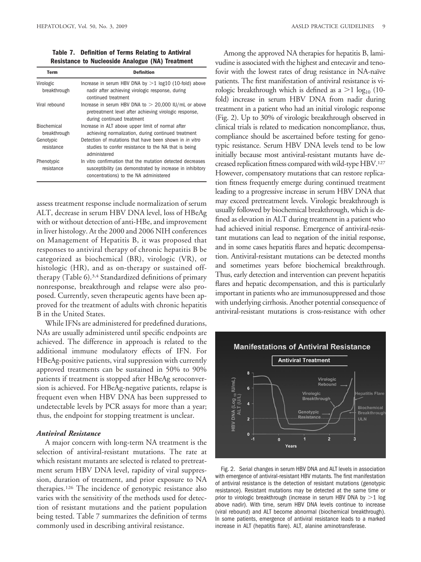**Table 7. Definition of Terms Relating to Antiviral Resistance to Nucleoside Analogue (NA) Treatment**

| <b>Term</b>                 | <b>Definition</b>                                                                                                                                                 |
|-----------------------------|-------------------------------------------------------------------------------------------------------------------------------------------------------------------|
| Virologic<br>breakthrough   | Increase in serum HBV DNA by $>1$ log10 (10-fold) above<br>nadir after achieving virologic response, during<br>continued treatment                                |
| Viral rebound               | Increase in serum HBV DNA to $> 20,000$ IU/mL or above<br>pretreatment level after achieving virologic response,<br>during continued treatment                    |
| Biochemical<br>breakthrough | Increase in ALT above upper limit of normal after<br>achieving normalization, during continued treatment                                                          |
| Genotypic<br>resistance     | Detection of mutations that have been shown in in vitro<br>studies to confer resistance to the NA that is being<br>administered                                   |
| Phenotypic<br>resistance    | In vitro confirmation that the mutation detected decreases<br>susceptibility (as demonstrated by increase in inhibitory<br>concentrations) to the NA administered |

assess treatment response include normalization of serum ALT, decrease in serum HBV DNA level, loss of HBeAg with or without detection of anti-HBe, and improvement in liver histology. At the 2000 and 2006 NIH conferences on Management of Hepatitis B, it was proposed that responses to antiviral therapy of chronic hepatitis B be categorized as biochemical (BR), virologic (VR), or histologic (HR), and as on-therapy or sustained offtherapy (Table 6).<sup>3,4</sup> Standardized definitions of primary nonresponse, breakthrough and relapse were also proposed. Currently, seven therapeutic agents have been approved for the treatment of adults with chronic hepatitis B in the United States.

While IFNs are administered for predefined durations, NAs are usually administered until specific endpoints are achieved. The difference in approach is related to the additional immune modulatory effects of IFN. For HBeAg-positive patients, viral suppression with currently approved treatments can be sustained in 50% to 90% patients if treatment is stopped after HBeAg seroconversion is achieved. For HBeAg-negative patients, relapse is frequent even when HBV DNA has been suppressed to undetectable levels by PCR assays for more than a year; thus, the endpoint for stopping treatment is unclear.

#### *Antiviral Resistance*

A major concern with long-term NA treatment is the selection of antiviral-resistant mutations. The rate at which resistant mutants are selected is related to pretreatment serum HBV DNA level, rapidity of viral suppression, duration of treatment, and prior exposure to NA therapies.126 The incidence of genotypic resistance also varies with the sensitivity of the methods used for detection of resistant mutations and the patient population being tested. Table 7 summarizes the definition of terms commonly used in describing antiviral resistance.

Among the approved NA therapies for hepatitis B, lamivudine is associated with the highest and entecavir and tenofovir with the lowest rates of drug resistance in NA-naïve patients. The first manifestation of antiviral resistance is virologic breakthrough which is defined as a  $>1$  log<sub>10</sub> (10fold) increase in serum HBV DNA from nadir during treatment in a patient who had an initial virologic response (Fig. 2). Up to 30% of virologic breakthrough observed in clinical trials is related to medication noncompliance, thus, compliance should be ascertained before testing for genotypic resistance. Serum HBV DNA levels tend to be low initially because most antiviral-resistant mutants have decreased replication fitness compared with wild-type HBV.127 However, compensatory mutations that can restore replication fitness frequently emerge during continued treatment leading to a progressive increase in serum HBV DNA that may exceed pretreatment levels. Virologic breakthrough is usually followed by biochemical breakthrough, which is defined as elevation in ALT during treatment in a patient who had achieved initial response. Emergence of antiviral-resistant mutations can lead to negation of the initial response, and in some cases hepatitis flares and hepatic decompensation. Antiviral-resistant mutations can be detected months and sometimes years before biochemical breakthrough. Thus, early detection and intervention can prevent hepatitis flares and hepatic decompensation, and this is particularly important in patients who are immunosuppressed and those with underlying cirrhosis. Another potential consequence of antiviral-resistant mutations is cross-resistance with other



Fig. 2. Serial changes in serum HBV DNA and ALT levels in association with emergence of antiviral-resistant HBV mutants. The first manifestation of antiviral resistance is the detection of resistant mutations (genotypic resistance). Resistant mutations may be detected at the same time or prior to virologic breakthrough (increase in serum HBV DNA by  $>1$  log above nadir). With time, serum HBV DNA levels continue to increase (viral rebound) and ALT become abnormal (biochemical breakthrough). In some patients, emergence of antiviral resistance leads to a marked increase in ALT (hepatitis flare). ALT, alanine aminotransferase.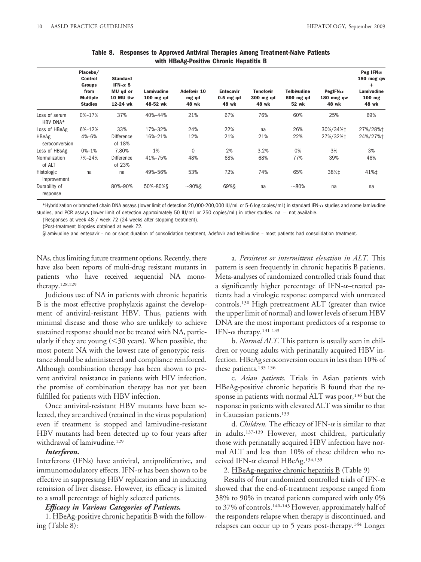|                           | Placebo/<br><b>Control</b><br><b>Groups</b><br>from<br><b>Multiple</b><br><b>Studies</b> | <b>Standard</b><br>IFN- $\alpha$ 5<br>MU gd or<br>10 MU tiw<br>12-24 wk | Lamivudine<br>$100$ mg qd<br>48-52 wk | <b>Adefovir 10</b><br>mg qd<br>48 wk | <b>Entecavir</b><br>$0.5$ mg qd<br>48 wk | <b>Tenofovir</b><br>300 mg qd<br>48 wk | <b>Telbivudine</b><br>600 mg qd<br>52 wk | PegIFN $\alpha$<br>180 mcg qw<br>48 wk | Peg IFN $\alpha$<br>180 mcg qw<br>$\ddot{}$<br>Lamivudine<br>$100$ mg<br>48 wk |
|---------------------------|------------------------------------------------------------------------------------------|-------------------------------------------------------------------------|---------------------------------------|--------------------------------------|------------------------------------------|----------------------------------------|------------------------------------------|----------------------------------------|--------------------------------------------------------------------------------|
| Loss of serum<br>HBV DNA* | 0%-17%                                                                                   | 37%                                                                     | 40%-44%                               | 21%                                  | 67%                                      | 76%                                    | 60%                                      | 25%                                    | 69%                                                                            |
| Loss of HBeAg             | 6%-12%                                                                                   | 33%                                                                     | 17%-32%                               | 24%                                  | 22%                                      | na                                     | 26%                                      | 30%/34%+                               | 27%/28%†                                                                       |
| HBeAg<br>seroconversion   | 4%-6%                                                                                    | Difference<br>of 18%                                                    | 16%-21%                               | 12%                                  | 21%                                      | 21%                                    | 22%                                      | 27%/32%†                               | 24%/27%†                                                                       |
| Loss of HBsAg             | $0% - 1%$                                                                                | 7.80%                                                                   | 1%                                    | $\Omega$                             | 2%                                       | 3.2%                                   | 0%                                       | 3%                                     | 3%                                                                             |
| Normalization<br>of ALT   | 7%-24%                                                                                   | Difference<br>of 23%                                                    | 41%-75%                               | 48%                                  | 68%                                      | 68%                                    | 77%                                      | 39%                                    | 46%                                                                            |
| Histologic<br>improvement | na                                                                                       | na                                                                      | 49%-56%                               | 53%                                  | 72%                                      | 74%                                    | 65%                                      | 38%‡                                   | 41%‡                                                                           |
| Durability of<br>response |                                                                                          | 80%-90%                                                                 | 50%-80%§                              | $~10\%$                              | 69%§                                     | na                                     | $~10\%$                                  | na                                     | na                                                                             |

#### **Table 8. Responses to Approved Antiviral Therapies Among Treatment-Naive Patients with HBeAg-Positive Chronic Hepatitis B**

\*Hybridization or branched chain DNA assays (lower limit of detection 20,000-200,000 IU/mL or 5-6 log copies/mL) in standard IFN- $\alpha$  studies and some lamivudine studies, and PCR assays (lower limit of detection approximately 50 IU/mL or 250 copies/mL) in other studies. na = not available.

†Responses at week 48 / week 72 (24 weeks after stopping treatment).

‡Post-treatment biopsies obtained at week 72.

§Lamivudine and entecavir – no or short duration of consolidation treatment, Adefovir and telbivudine – most patients had consolidation treatment.

NAs, thus limiting future treatment options. Recently, there have also been reports of multi-drug resistant mutants in patients who have received sequential NA monotherapy.128,129

Judicious use of NA in patients with chronic hepatitis B is the most effective prophylaxis against the development of antiviral-resistant HBV. Thus, patients with minimal disease and those who are unlikely to achieve sustained response should not be treated with NA, particularly if they are young  $(<$ 30 years). When possible, the most potent NA with the lowest rate of genotypic resistance should be administered and compliance reinforced. Although combination therapy has been shown to prevent antiviral resistance in patients with HIV infection, the promise of combination therapy has not yet been fulfilled for patients with HBV infection.

Once antiviral-resistant HBV mutants have been selected, they are archived (retained in the virus population) even if treatment is stopped and lamivudine-resistant HBV mutants had been detected up to four years after withdrawal of lamivudine.<sup>129</sup>

#### *Interferon.*

Interferons (IFNs) have antiviral, antiproliferative, and immunomodulatory effects. IFN- $\alpha$  has been shown to be effective in suppressing HBV replication and in inducing remission of liver disease. However, its efficacy is limited to a small percentage of highly selected patients.

#### *Efficacy in Various Categories of Patients.*

1. HBeAg-positive chronic hepatitis B with the following (Table 8):

a. *Persistent or intermittent elevation in ALT.* This pattern is seen frequently in chronic hepatitis B patients. Meta-analyses of randomized controlled trials found that a significantly higher percentage of IFN- $\alpha$ –treated patients had a virologic response compared with untreated controls.130 High pretreatment ALT (greater than twice the upper limit of normal) and lower levels of serum HBV DNA are the most important predictors of a response to IFN- $\alpha$  therapy.<sup>131-133</sup>

b. *Normal ALT.* This pattern is usually seen in children or young adults with perinatally acquired HBV infection. HBeAg seroconversion occurs in less than 10% of these patients.133-136

c. *Asian patients.* Trials in Asian patients with HBeAg-positive chronic hepatitis B found that the response in patients with normal ALT was poor, $136$  but the response in patients with elevated ALT was similar to that in Caucasian patients.<sup>133</sup>

d. *Children*. The efficacy of IFN-α is similar to that in adults.137-139 However, most children, particularly those with perinatally acquired HBV infection have normal ALT and less than 10% of these children who received IFN- $\alpha$  cleared HBeAg.<sup>134,135</sup>

2. HBeAg-negative chronic hepatitis B (Table 9)

Results of four randomized controlled trials of IFN- $\alpha$ showed that the end-of-treatment response ranged from 38% to 90% in treated patients compared with only 0% to 37% of controls.<sup>140-143</sup> However, approximately half of the responders relapse when therapy is discontinued, and relapses can occur up to 5 years post-therapy.144 Longer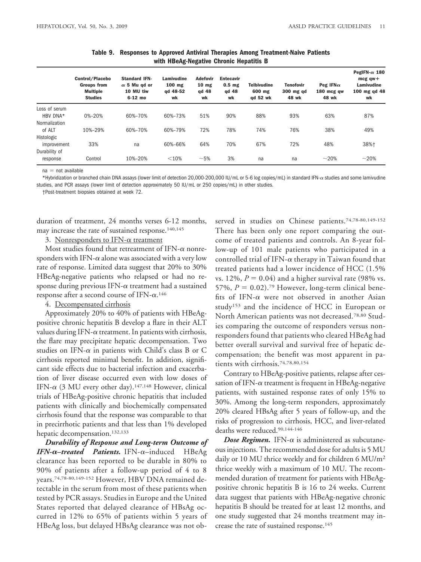|               | Control/Placebo<br><b>Groups from</b><br><b>Multiple</b><br><b>Studies</b> | <b>Standard IFN-</b><br>$\alpha$ 5 Mu ad or<br>10 MU tiw<br>$6-12$ mo | Lamivudine<br>$100$ mg<br>ad 48-52<br>wk | <b>Adefovir</b><br>10 <sub>mg</sub><br>ad 48<br>wk | <b>Entecavir</b><br>$0.5$ mg<br>ad 48<br>wk | <b>Telbivudine</b><br>600 mg<br>qd 52 wk | <b>Tenofovir</b><br>300 mg qd<br>48 wk | Peg IFN $\alpha$<br>180 mcg qw<br>48 wk | PegIFN- $\alpha$ 180<br>$mcg$ qw+<br>Lamivudine<br>100 mg qd 48<br>wk |
|---------------|----------------------------------------------------------------------------|-----------------------------------------------------------------------|------------------------------------------|----------------------------------------------------|---------------------------------------------|------------------------------------------|----------------------------------------|-----------------------------------------|-----------------------------------------------------------------------|
| Loss of serum |                                                                            |                                                                       |                                          |                                                    |                                             |                                          |                                        |                                         |                                                                       |
| HBV DNA*      | $0\% - 20\%$                                                               | 60%-70%                                                               | 60%-73%                                  | 51%                                                | 90%                                         | 88%                                      | 93%                                    | 63%                                     | 87%                                                                   |
| Normalization |                                                                            |                                                                       |                                          |                                                    |                                             |                                          |                                        |                                         |                                                                       |
| of ALT        | 10%-29%                                                                    | 60%-70%                                                               | 60%-79%                                  | 72%                                                | 78%                                         | 74%                                      | 76%                                    | 38%                                     | 49%                                                                   |
| Histologic    |                                                                            |                                                                       |                                          |                                                    |                                             |                                          |                                        |                                         |                                                                       |
| improvement   | 33%                                                                        | na                                                                    | 60%-66%                                  | 64%                                                | 70%                                         | 67%                                      | 72%                                    | 48%                                     | 38%+                                                                  |
| Durability of |                                                                            |                                                                       |                                          |                                                    |                                             |                                          |                                        |                                         |                                                                       |
| response      | Control                                                                    | 10%-20%                                                               | $<$ 10%                                  | $~10-5%$                                           | 3%                                          | na                                       | na                                     | $~1 - 20%$                              | $~10\%$                                                               |

**Table 9. Responses to Approved Antiviral Therapies Among Treatment-Naive Patients with HBeAg-Negative Chronic Hepatitis B**

 $na = not available$ 

\*Hybridization or branched chain DNA assays (lower limit of detection 20,000-200,000 IU/mL or 5-6 log copies/mL) in standard IFN- $\alpha$  studies and some lamivudine studies, and PCR assays (lower limit of detection approximately 50 IU/mL or 250 copies/mL) in other studies.

†Post-treatment biopsies obtained at week 72.

duration of treatment, 24 months verses 6-12 months, may increase the rate of sustained response.140,145

3. Nonresponders to IFN- $\alpha$  treatment

Most studies found that retreatment of IFN- $\alpha$  nonresponders with IFN- $\alpha$  alone was associated with a very low rate of response. Limited data suggest that 20% to 30% HBeAg-negative patients who relapsed or had no response during previous IFN- $\alpha$  treatment had a sustained response after a second course of IFN- $\alpha$ .<sup>146</sup>

4. Decompensated cirrhosis

Approximately 20% to 40% of patients with HBeAgpositive chronic hepatitis B develop a flare in their ALT values during IFN- $\alpha$  treatment. In patients with cirrhosis, the flare may precipitate hepatic decompensation. Two studies on IFN- $\alpha$  in patients with Child's class B or C cirrhosis reported minimal benefit. In addition, significant side effects due to bacterial infection and exacerbation of liver disease occurred even with low doses of IFN- $\alpha$  (3 MU every other day).<sup>147,148</sup> However, clinical trials of HBeAg-positive chronic hepatitis that included patients with clinically and biochemically compensated cirrhosis found that the response was comparable to that in precirrhotic patients and that less than 1% developed hepatic decompensation.<sup>132,133</sup>

*Durability of Response and Long-term Outcome of IFN-α–treated Patients.* IFN-α–induced HBeAg clearance has been reported to be durable in 80% to 90% of patients after a follow-up period of 4 to 8 years.74,78-80,149-152 However, HBV DNA remained detectable in the serum from most of these patients when tested by PCR assays. Studies in Europe and the United States reported that delayed clearance of HBsAg occurred in 12% to 65% of patients within 5 years of HBeAg loss, but delayed HBsAg clearance was not observed in studies on Chinese patients.<sup>74,78-80,149-152</sup> There has been only one report comparing the outcome of treated patients and controls. An 8-year follow-up of 101 male patients who participated in a controlled trial of IFN- $\alpha$  therapy in Taiwan found that treated patients had a lower incidence of HCC (1.5% vs. 12%,  $P = 0.04$ ) and a higher survival rate (98% vs. 57%,  $P = 0.02$ .<sup>79</sup> However, long-term clinical benefits of IFN- $\alpha$  were not observed in another Asian study153 and the incidence of HCC in European or North American patients was not decreased.78,80 Studies comparing the outcome of responders versus nonresponders found that patients who cleared HBeAg had better overall survival and survival free of hepatic decompensation; the benefit was most apparent in patients with cirrhosis.74,78,80,154

Contrary to HBeAg-positive patients, relapse after cessation of IFN- $\alpha$  treatment is frequent in HBeAg-negative patients, with sustained response rates of only 15% to 30%. Among the long-term responders, approximately 20% cleared HBsAg after 5 years of follow-up, and the risks of progression to cirrhosis, HCC, and liver-related deaths were reduced.90,144-146

 $\boldsymbol{D}$ ose Regimen. IFN- $\alpha$  is administered as subcutaneous injections. The recommended dose for adults is 5 MU daily or 10 MU thrice weekly and for children 6 MU/m<sup>2</sup> thrice weekly with a maximum of 10 MU. The recommended duration of treatment for patients with HBeAgpositive chronic hepatitis B is 16 to 24 weeks. Current data suggest that patients with HBeAg-negative chronic hepatitis B should be treated for at least 12 months, and one study suggested that 24 months treatment may increase the rate of sustained response.145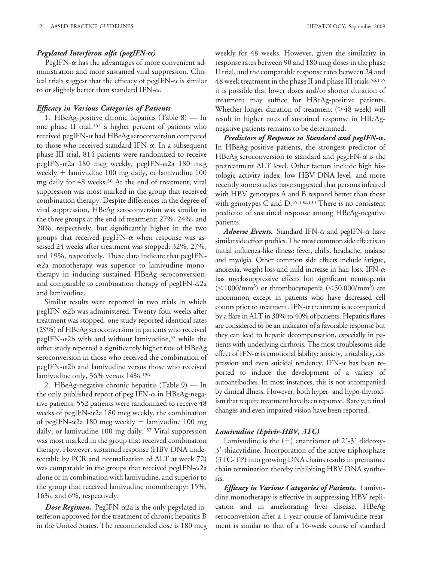### $P$ egylated Interferon alfa (pegIFN- $\alpha$ )

PegIFN- $\alpha$  has the advantages of more convenient administration and more sustained viral suppression. Clinical trials suggest that the efficacy of pegIFN- $\alpha$  is similar to or slightly better than standard IFN- $\alpha$ .

#### *Efficacy in Various Categories of Patients*

1. HBeAg-positive chronic hepatitis (Table 8) — In one phase II trial,155 a higher percent of patients who received pegIFN- $\alpha$  had HBeAg seroconversion compared to those who received standard IFN- $\alpha$ . In a subsequent phase III trial, 814 patients were randomized to receive pegIFN- $\alpha$ 2a 180 mcg weekly, pegIFN- $\alpha$ 2a 180 mcg weekly  $+$  lamivudine 100 mg daily, or lamivudine 100 mg daily for 48 weeks.<sup>56</sup> At the end of treatment, viral suppression was most marked in the group that received combination therapy. Despite differences in the degree of viral suppression, HBeAg seroconversion was similar in the three groups at the end of treatment: 27%, 24%, and 20%, respectively, but significantly higher in the two groups that received pegIFN- $\alpha$  when response was assessed 24 weeks after treatment was stopped: 32%, 27%, and 19%, respectively. These data indicate that pegIFN-  $\alpha$ 2a monotherapy was superior to lamivudine monotherapy in inducing sustained HBeAg seroconversion, and comparable to combination therapy of pegIFN- $\alpha$ 2a and lamivudine.

Similar results were reported in two trials in which  $\operatorname{pegIFN-}\alpha$ 2b was administered. Twenty-four weeks after treatment was stopped, one study reported identical rates (29%) of HBeAg seroconversion in patients who received pegIFN- $\alpha$ 2b with and without lamivudine,<sup>55</sup> while the other study reported a significantly higher rate of HBeAg seroconversion in those who received the combination of  $pegIFN-\alpha2b$  and lamivudine versus those who received lamivudine only, 36% versus 14%.156

2. HBeAg-negative chronic hepatitis (Table 9) — In the only published report of peg IFN- $\alpha$  in HBeAg-negative patients, 552 patients were randomized to receive 48 weeks of pegIFN- $\alpha$ 2a 180 mcg weekly, the combination of pegIFN- $\alpha$ 2a 180 mcg weekly + lamivudine 100 mg daily, or lamivudine 100 mg daily.157 Viral suppression was most marked in the group that received combination therapy. However, sustained response (HBV DNA undetectable by PCR and normalization of ALT at week 72) was comparable in the groups that received pegIFN- $\alpha$ 2a alone or in combination with lamivudine, and superior to the group that received lamivudine monotherapy: 15%, 16%, and 6%, respectively.

 $\bm{D}$ ose Regimen. PegIFN- $\alpha$ 2a is the only pegylated interferon approved for the treatment of chronic hepatitis B in the United States. The recommended dose is 180 mcg weekly for 48 weeks. However, given the similarity in response rates between 90 and 180 mcg doses in the phase II trial, and the comparable response rates between 24 and 48 week treatment in the phase II and phase III trials, 56,155 it is possible that lower doses and/or shorter duration of treatment may suffice for HBeAg-positive patients. Whether longer duration of treatment (>48 week) will result in higher rates of sustained response in HBeAgnegative patients remains to be determined.

Predictors of Response to Standard and pegIFN- $\alpha$ . In HBeAg-positive patients, the strongest predictor of HBeAg seroconversion to standard and pegIFN- $\alpha$  is the pretreatment ALT level. Other factors include high histologic activity index, low HBV DNA level, and more recently some studies have suggested that persons infected with HBV genotypes A and B respond better than those with genotypes C and  $D_{\cdot}^{55,132,133}$  There is no consistent predictor of sustained response among HBeAg-negative patients.

 $Adverse$  Events. Standard IFN- $\alpha$  and pegIFN- $\alpha$  have similar side effect profiles. The most common side effect is an initial influenza-like illness: fever, chills, headache, malaise and myalgia. Other common side effects include fatigue, anorexia, weight loss and mild increase in hair loss. IFN- $\alpha$ has myelosuppressive effects but significant neutropenia  $(<1000/\text{mm}^3)$  or thrombocytopenia  $(<50,000/\text{mm}^3)$  are uncommon except in patients who have decreased cell counts prior to treatment. IFN- $\alpha$  treatment is accompanied by a flare in ALT in 30% to 40% of patients. Hepatitis flares are considered to be an indicator of a favorable response but they can lead to hepatic decompensation, especially in patients with underlying cirrhosis. The most troublesome side effect of IFN- $\alpha$  is emotional lability: anxiety, irritability, depression and even suicidal tendency. IFN- $\alpha$  has been reported to induce the development of a variety of autoantibodies. In most instances, this is not accompanied by clinical illness. However, both hyper- and hypo-thyroidism that require treatment have been reported. Rarely, retinal changes and even impaired vision have been reported.

### *Lamivudine (Epivir-HBV, 3TC)*

Lamivudine is the  $(-)$  enantiomer of  $2'$ -3' dideoxy-3 -thiacytidine. Incorporation of the active triphosphate (3TC-TP) into growing DNA chains results in premature chain termination thereby inhibiting HBV DNA synthesis.

*Efficacy in Various Categories of Patients.* Lamivudine monotherapy is effective in suppressing HBV replication and in ameliorating liver disease. HBeAg seroconversion after a 1-year course of lamivudine treatment is similar to that of a 16-week course of standard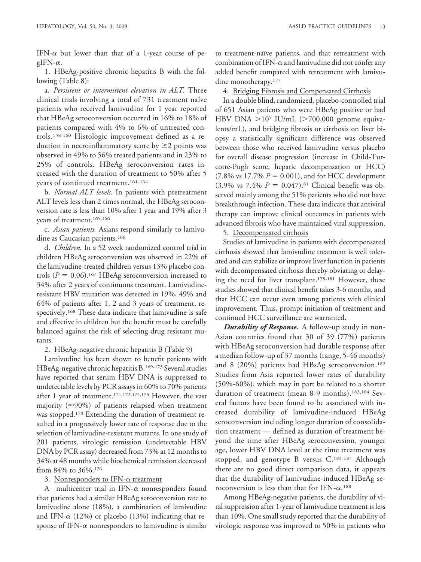IFN- $\alpha$  but lower than that of a 1-year course of pe $g$ IFN- $\alpha$ .

1. HBeAg-positive chronic hepatitis B with the following (Table 8):

a. *Persistent or intermittent elevation in ALT.* Three clinical trials involving a total of 731 treatment naïve patients who received lamivudine for 1 year reported that HBeAg seroconversion occurred in 16% to 18% of patients compared with 4% to 6% of untreated controls.158-160 Histologic improvement defined as a reduction in necroinflammatory score by  $\geq$  2 points was observed in 49% to 56% treated patients and in 23% to 25% of controls. HBeAg seroconversion rates increased with the duration of treatment to 50% after 5 years of continued treatment.161-164

b. *Normal ALT levels.* In patients with pretreatment ALT levels less than 2 times normal, the HBeAg seroconversion rate is less than 10% after 1 year and 19% after 3 years of treatment.165,166

c. *Asian patients.* Asians respond similarly to lamivudine as Caucasian patients.<sup>166</sup>

d. *Children.* In a 52 week randomized control trial in children HBeAg seroconversion was observed in 22% of the lamivudine-treated children versus 13% placebo controls ( $P = 0.06$ ).<sup>167</sup> HBeAg seroconversion increased to 34% after 2 years of continuous treatment. Lamivudineresistant HBV mutation was detected in 19%, 49% and 64% of patients after 1, 2 and 3 years of treatment, respectively.<sup>168</sup> These data indicate that lamivudine is safe and effective in children but the benefit must be carefully balanced against the risk of selecting drug resistant mutants.

2. HBeAg-negative chronic hepatitis B (Table 9)

Lamivudine has been shown to benefit patients with HBeAg-negative chronic hepatitis B.169-173 Several studies have reported that serum HBV DNA is suppressed to undetectable levels by PCR assays in 60% to 70% patients after 1 year of treatment.171,172,174,175 However, the vast majority ( 90%) of patients relapsed when treatment was stopped.170 Extending the duration of treatment resulted in a progressively lower rate of response due to the selection of lamivudine-resistant mutants. In one study of 201 patients, virologic remission (undetectable HBV DNA by PCR assay) decreased from 73% at 12 months to 34% at 48 months while biochemical remission decreased from 84% to 36%.176

## 3. Nonresponders to IFN- $\alpha$  treatment

A  $\,$  multicenter trial in IFN- $\alpha$  nonresponders found that patients had a similar HBeAg seroconversion rate to lamivudine alone (18%), a combination of lamivudine and IFN- $\alpha$  (12%) or placebo (13%) indicating that response of IFN- $\alpha$  nonresponders to lamivudine is similar

to treatment-naïve patients, and that retreatment with combination of IFN- $\alpha$  and lamivudine did not confer any added benefit compared with retreatment with lamivudine monotherapy.<sup>177</sup>

4. Bridging Fibrosis and Compensated Cirrhosis

In a double blind, randomized, placebo-controlled trial of 651 Asian patients who were HBeAg positive or had HBV DNA  $>10^5$  IU/mL ( $>700,000$  genome equivalents/mL), and bridging fibrosis or cirrhosis on liver biopsy a statistically significant difference was observed between those who received lamivudine versus placebo for overall disease progression (increase in Child-Turcotte-Pugh score, hepatic decompensation or HCC)  $(7.8\% \text{ vs } 17.7\% \text{ } P = 0.001)$ , and for HCC development  $(3.9\% \text{ vs } 7.4\% \text{ } P = 0.047).$ <sup>81</sup> Clinical benefit was observed mainly among the 51% patients who did not have breakthrough infection. These data indicate that antiviral therapy can improve clinical outcomes in patients with advanced fibrosis who have maintained viral suppression.

5. Decompensated cirrhosis

Studies of lamivudine in patients with decompensated cirrhosis showed that lamivudine treatment is well tolerated and can stabilize or improve liver function in patients with decompensated cirrhosis thereby obviating or delaying the need for liver transplant.178-181 However, these studies showed that clinical benefit takes 3-6 months, and that HCC can occur even among patients with clinical improvement. Thus, prompt initiation of treatment and continued HCC surveillance are warranted.

*Durability of Response.* A follow-up study in non-Asian countries found that 30 of 39 (77%) patients with HBeAg seroconversion had durable response after a median follow-up of 37 months (range, 5-46 months) and 8 (20%) patients had HBsAg seroconversion.<sup>182</sup> Studies from Asia reported lower rates of durability (50%-60%), which may in part be related to a shorter duration of treatment (mean 8-9 months).183,184 Several factors have been found to be associated with increased durability of lamivudine-induced HBeAg seroconversion including longer duration of consolidation treatment — defined as duration of treatment beyond the time after HBeAg seroconversion, younger age, lower HBV DNA level at the time treatment was stopped, and genotype B versus C.183-187 Although there are no good direct comparison data, it appears that the durability of lamivudine-induced HBeAg seroconversion is less than that for IFN- $\alpha$ .<sup>188</sup>

Among HBeAg-negative patients, the durability of viral suppression after 1-year of lamivudine treatment is less than 10%. One small study reported that the durability of virologic response was improved to 50% in patients who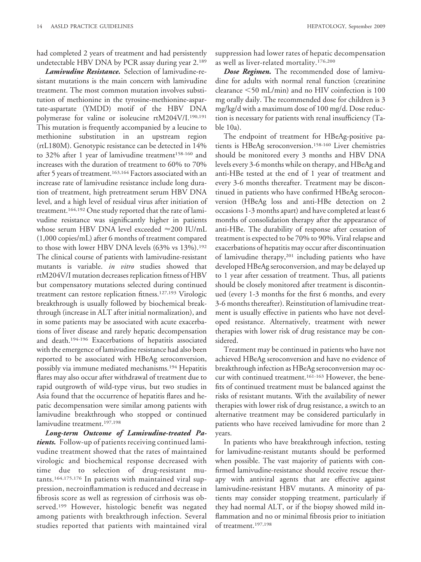had completed 2 years of treatment and had persistently undetectable HBV DNA by PCR assay during year 2.189

*Lamivudine Resistance.* Selection of lamivudine-resistant mutations is the main concern with lamivudine treatment. The most common mutation involves substitution of methionine in the tyrosine-methionine-aspartate-aspartate (YMDD) motif of the HBV DNA polymerase for valine or isoleucine rtM204V/I.190,191 This mutation is frequently accompanied by a leucine to methionine substitution in an upstream region (rtL180M). Genotypic resistance can be detected in 14% to  $32\%$  after 1 year of lamivudine treatment<sup>158-160</sup> and increases with the duration of treatment to 60% to 70% after 5 years of treatment.<sup>163,164</sup> Factors associated with an increase rate of lamivudine resistance include long duration of treatment, high pretreatment serum HBV DNA level, and a high level of residual virus after initiation of treatment.164,192 One study reported that the rate of lamivudine resistance was significantly higher in patients whose serum HBV DNA level exceeded 200 IU/mL (1,000 copies/mL) after 6 months of treatment compared to those with lower HBV DNA levels (63% vs 13%).192 The clinical course of patients with lamivudine-resistant mutants is variable. *in vitro* studies showed that rtM204V/I mutation decreases replication fitness of HBV but compensatory mutations selected during continued treatment can restore replication fitness.127,193 Virologic breakthrough is usually followed by biochemical breakthrough (increase in ALT after initial normalization), and in some patients may be associated with acute exacerbations of liver disease and rarely hepatic decompensation and death.194-196 Exacerbations of hepatitis associated with the emergence of lamivudine resistance had also been reported to be associated with HBeAg seroconversion, possibly via immune mediated mechanisms.194 Hepatitis flares may also occur after withdrawal of treatment due to rapid outgrowth of wild-type virus, but two studies in Asia found that the occurrence of hepatitis flares and hepatic decompensation were similar among patients with lamivudine breakthrough who stopped or continued lamivudine treatment.197,198

*Long-term Outcome of Lamivudine-treated Patients.* Follow-up of patients receiving continued lamivudine treatment showed that the rates of maintained virologic and biochemical response decreased with time due to selection of drug-resistant mutants.164,175,176 In patients with maintained viral suppression, necroinflammation is reduced and decrease in fibrosis score as well as regression of cirrhosis was observed.<sup>199</sup> However, histologic benefit was negated among patients with breakthrough infection. Several studies reported that patients with maintained viral

suppression had lower rates of hepatic decompensation as well as liver-related mortality.176,200

*Dose Regimen.* The recommended dose of lamivudine for adults with normal renal function (creatinine clearance  $\leq$ 50 mL/min) and no HIV coinfection is 100 mg orally daily. The recommended dose for children is 3 mg/kg/d with a maximum dose of 100 mg/d. Dose reduction is necessary for patients with renal insufficiency (Table 10a).

The endpoint of treatment for HBeAg-positive patients is HBeAg seroconversion.158-160 Liver chemistries should be monitored every 3 months and HBV DNA levels every 3-6 months while on therapy, and HBeAg and anti-HBe tested at the end of 1 year of treatment and every 3-6 months thereafter. Treatment may be discontinued in patients who have confirmed HBeAg seroconversion (HBeAg loss and anti-HBe detection on 2 occasions 1-3 months apart) and have completed at least 6 months of consolidation therapy after the appearance of anti-HBe. The durability of response after cessation of treatment is expected to be 70% to 90%. Viral relapse and exacerbations of hepatitis may occur after discontinuation of lamivudine therapy,201 including patients who have developed HBeAg seroconversion, and may be delayed up to 1 year after cessation of treatment. Thus, all patients should be closely monitored after treatment is discontinued (every 1-3 months for the first 6 months, and every 3-6 months thereafter). Reinstitution of lamivudine treatment is usually effective in patients who have not developed resistance. Alternatively, treatment with newer therapies with lower risk of drug resistance may be considered.

Treatment may be continued in patients who have not achieved HBeAg seroconversion and have no evidence of breakthrough infection as HBeAg seroconversion may occur with continued treatment.<sup>161-163</sup> However, the benefits of continued treatment must be balanced against the risks of resistant mutants. With the availability of newer therapies with lower risk of drug resistance, a switch to an alternative treatment may be considered particularly in patients who have received lamivudine for more than 2 years.

In patients who have breakthrough infection, testing for lamivudine-resistant mutants should be performed when possible. The vast majority of patients with confirmed lamivudine-resistance should receive rescue therapy with antiviral agents that are effective against lamivudine-resistant HBV mutants. A minority of patients may consider stopping treatment, particularly if they had normal ALT, or if the biopsy showed mild inflammation and no or minimal fibrosis prior to initiation of treatment.197,198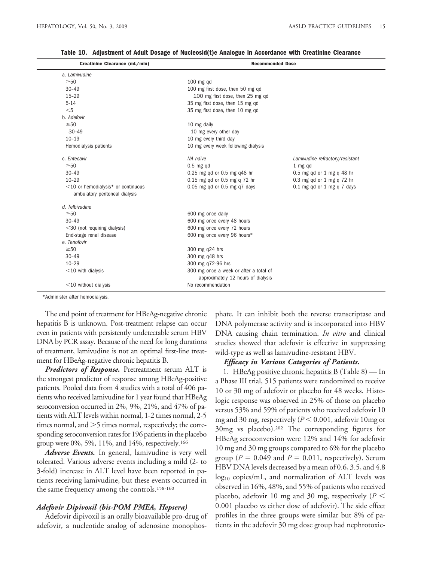| Creatinine Clearance (mL/min)         | <b>Recommended Dose</b>                |                                 |  |  |  |  |
|---------------------------------------|----------------------------------------|---------------------------------|--|--|--|--|
| a. Lamivudine                         |                                        |                                 |  |  |  |  |
| $\geq 50$                             | $100$ mg qd                            |                                 |  |  |  |  |
| $30 - 49$                             | 100 mg first dose, then 50 mg qd       |                                 |  |  |  |  |
| $15 - 29$                             | 100 mg first dose, then 25 mg qd       |                                 |  |  |  |  |
| $5 - 14$                              | 35 mg first dose, then 15 mg qd        |                                 |  |  |  |  |
| $<$ 5                                 | 35 mg first dose, then 10 mg gd        |                                 |  |  |  |  |
| b. Adefovir                           |                                        |                                 |  |  |  |  |
| $\geq 50$                             | 10 mg daily                            |                                 |  |  |  |  |
| $30 - 49$                             | 10 mg every other day                  |                                 |  |  |  |  |
| $10 - 19$                             | 10 mg every third day                  |                                 |  |  |  |  |
| Hemodialysis patients                 | 10 mg every week following dialysis    |                                 |  |  |  |  |
| c. Entecavir                          | NA naïve                               | Lamivudine refractory/resistant |  |  |  |  |
| $\geq 50$                             | $0.5$ mg qd                            | 1 mg qd                         |  |  |  |  |
| $30 - 49$                             | 0.25 mg qd or 0.5 mg q48 hr            | 0.5 mg qd or 1 mg q 48 hr       |  |  |  |  |
| $10 - 29$                             | 0.15 mg qd or 0.5 mg q 72 hr           | 0.3 mg qd or 1 mg q $72$ hr     |  |  |  |  |
| $<$ 10 or hemodialysis* or continuous | $0.05$ mg qd or $0.5$ mg q $7$ days    | $0.1$ mg qd or 1 mg q 7 days    |  |  |  |  |
| ambulatory peritoneal dialysis        |                                        |                                 |  |  |  |  |
| d. Telbivudine                        |                                        |                                 |  |  |  |  |
| $\geq 50$                             | 600 mg once daily                      |                                 |  |  |  |  |
| $30 - 49$                             | 600 mg once every 48 hours             |                                 |  |  |  |  |
| $<$ 30 (not requiring dialysis)       | 600 mg once every 72 hours             |                                 |  |  |  |  |
| End-stage renal disease               | 600 mg once every 96 hours*            |                                 |  |  |  |  |
| e. Tenofovir                          |                                        |                                 |  |  |  |  |
| $\geq 50$                             | 300 mg q24 hrs                         |                                 |  |  |  |  |
| $30 - 49$                             | 300 mg q48 hrs                         |                                 |  |  |  |  |
| $10 - 29$                             | 300 mg q72-96 hrs                      |                                 |  |  |  |  |
| $<$ 10 with dialysis                  | 300 mg once a week or after a total of |                                 |  |  |  |  |
|                                       | approximately 12 hours of dialysis     |                                 |  |  |  |  |
| $<$ 10 without dialysis               | No recommendation                      |                                 |  |  |  |  |
|                                       |                                        |                                 |  |  |  |  |

**Table 10. Adjustment of Adult Dosage of Nucleosid(t)e Analogue in Accordance with Creatinine Clearance**

\*Administer after hemodialysis.

The end point of treatment for HBeAg-negative chronic hepatitis B is unknown. Post-treatment relapse can occur even in patients with persistently undetectable serum HBV DNA by PCR assay. Because of the need for long durations of treatment, lamivudine is not an optimal first-line treatment for HBeAg-negative chronic hepatitis B.

*Predictors of Response.* Pretreatment serum ALT is the strongest predictor of response among HBeAg-positive patients. Pooled data from 4 studies with a total of 406 patients who received lamivudine for 1 year found that HBeAg seroconversion occurred in 2%, 9%, 21%, and 47% of patients with ALT levels within normal, 1-2 times normal, 2-5 times normal, and  $>$  5 times normal, respectively; the corresponding seroconversion rates for 196 patients in the placebo group were  $0\%$ , 5%, 11%, and 14%, respectively.<sup>166</sup>

*Adverse Events.* In general, lamivudine is very well tolerated. Various adverse events including a mild (2- to 3-fold) increase in ALT level have been reported in patients receiving lamivudine, but these events occurred in the same frequency among the controls.158-160

## *Adefovir Dipivoxil (bis-POM PMEA, Hepsera)*

Adefovir dipivoxil is an orally bioavailable pro-drug of adefovir, a nucleotide analog of adenosine monophosphate. It can inhibit both the reverse transcriptase and DNA polymerase activity and is incorporated into HBV DNA causing chain termination. *In vitro* and clinical studies showed that adefovir is effective in suppressing wild-type as well as lamivudine-resistant HBV.

### *Efficacy in Various Categories of Patients.*

1. HBeAg positive chronic hepatitis B (Table 8) — In a Phase III trial, 515 patients were randomized to receive 10 or 30 mg of adefovir or placebo for 48 weeks. Histologic response was observed in 25% of those on placebo versus 53% and 59% of patients who received adefovir 10 mg and 30 mg, respectively  $(P < 0.001$ , adefovir 10mg or 30mg vs placebo).202 The corresponding figures for HBeAg seroconversion were 12% and 14% for adefovir 10 mg and 30 mg groups compared to 6% for the placebo group ( $P = 0.049$  and  $P = 0.011$ , respectively). Serum HBV DNA levels decreased by a mean of 0.6, 3.5, and 4.8 log<sub>10</sub> copies/mL, and normalization of ALT levels was observed in 16%, 48%, and 55% of patients who received placebo, adefovir 10 mg and 30 mg, respectively (*P* 0.001 placebo vs either dose of adefovir). The side effect profiles in the three groups were similar but 8% of patients in the adefovir 30 mg dose group had nephrotoxic-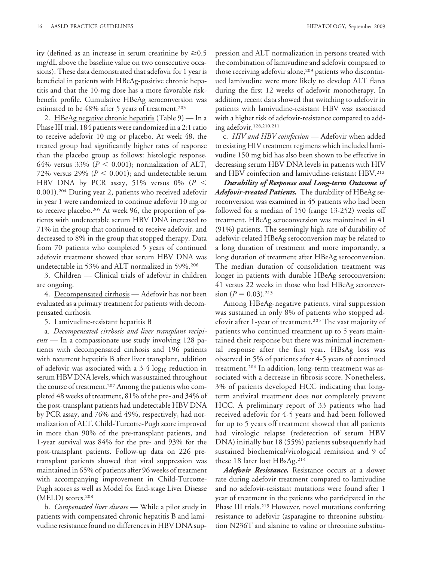ity (defined as an increase in serum creatinine by  $\geq 0.5$ mg/dL above the baseline value on two consecutive occasions). These data demonstrated that adefovir for 1 year is beneficial in patients with HBeAg-positive chronic hepatitis and that the 10-mg dose has a more favorable riskbenefit profile. Cumulative HBeAg seroconversion was estimated to be 48% after 5 years of treatment.<sup>203</sup>

2. HBeAg negative chronic hepatitis (Table 9) — In a Phase III trial, 184 patients were randomized in a 2:1 ratio to receive adefovir 10 mg or placebo. At week 48, the treated group had significantly higher rates of response than the placebo group as follows: histologic response, 64% versus 33% ( $P < 0.001$ ); normalization of ALT, 72% versus 29% ( $P < 0.001$ ); and undetectable serum HBV DNA by PCR assay, 51% versus  $0\%$  ( $P <$ 0.001).204 During year 2, patients who received adefovir in year 1 were randomized to continue adefovir 10 mg or to receive placebo.<sup>205</sup> At week 96, the proportion of patients with undetectable serum HBV DNA increased to 71% in the group that continued to receive adefovir, and decreased to 8% in the group that stopped therapy. Data from 70 patients who completed 5 years of continued adefovir treatment showed that serum HBV DNA was undetectable in 53% and ALT normalized in 59%.206

3. Children — Clinical trials of adefovir in children are ongoing.

4. Decompensated cirrhosis — Adefovir has not been evaluated as a primary treatment for patients with decompensated cirrhosis.

5. Lamivudine-resistant hepatitis B

a. *Decompensated cirrhosis and liver transplant recipients* — In a compassionate use study involving 128 patients with decompensated cirrhosis and 196 patients with recurrent hepatitis B after liver transplant, addition of adefovir was associated with a  $3-4 \log_{10}$  reduction in serum HBV DNA levels, which was sustained throughout the course of treatment.207 Among the patients who completed 48 weeks of treatment, 81% of the pre- and 34% of the post-transplant patients had undetectable HBV DNA by PCR assay, and 76% and 49%, respectively, had normalization of ALT. Child-Turcotte-Pugh score improved in more than 90% of the pre-transplant patients, and 1-year survival was 84% for the pre- and 93% for the post-transplant patients. Follow-up data on 226 pretransplant patients showed that viral suppression was maintained in 65% of patients after 96 weeks of treatment with accompanying improvement in Child-Turcotte-Pugh scores as well as Model for End-stage Liver Disease (MELD) scores.208

b. *Compensated liver disease* — While a pilot study in patients with compensated chronic hepatitis B and lamivudine resistance found no differences in HBV DNA suppression and ALT normalization in persons treated with the combination of lamivudine and adefovir compared to those receiving adefovir alone,<sup>209</sup> patients who discontinued lamivudine were more likely to develop ALT flares during the first 12 weeks of adefovir monotherapy. In addition, recent data showed that switching to adefovir in patients with lamivudine-resistant HBV was associated with a higher risk of adefovir-resistance compared to adding adefovir.128,210,211

c. *HIV and HBV coinfection* — Adefovir when added to existing HIV treatment regimens which included lamivudine 150 mg bid has also been shown to be effective in decreasing serum HBV DNA levels in patients with HIV and HBV coinfection and lamivudine-resistant HBV.212

*Durability of Response and Long-term Outcome of Adefovir-treated Patients.* The durability of HBeAg seroconversion was examined in 45 patients who had been followed for a median of 150 (range 13-252) weeks off treatment. HBeAg seroconversion was maintained in 41 (91%) patients. The seemingly high rate of durability of adefovir-related HBeAg seroconversion may be related to a long duration of treatment and more importantly, a long duration of treatment after HBeAg seroconversion. The median duration of consolidation treatment was longer in patients with durable HBeAg seroconversion: 41 versus 22 weeks in those who had HBeAg seroreversion  $(P = 0.03)$ .<sup>213</sup>

Among HBeAg-negative patients, viral suppression was sustained in only 8% of patients who stopped adefovir after 1-year of treatment.205 The vast majority of patients who continued treatment up to 5 years maintained their response but there was minimal incremental response after the first year. HBsAg loss was observed in 5% of patients after 4-5 years of continued treatment.206 In addition, long-term treatment was associated with a decrease in fibrosis score. Nonetheless, 3% of patients developed HCC indicating that longterm antiviral treatment does not completely prevent HCC. A preliminary report of 33 patients who had received adefovir for 4-5 years and had been followed for up to 5 years off treatment showed that all patients had virologic relapse (redetection of serum HBV DNA) initially but 18 (55%) patients subsequently had sustained biochemical/virological remission and 9 of these 18 later lost HBsAg.214

*Adefovir Resistance.* Resistance occurs at a slower rate during adefovir treatment compared to lamivudine and no adefovir-resistant mutations were found after 1 year of treatment in the patients who participated in the Phase III trials.<sup>215</sup> However, novel mutations conferring resistance to adefovir (asparagine to threonine substitution N236T and alanine to valine or threonine substitu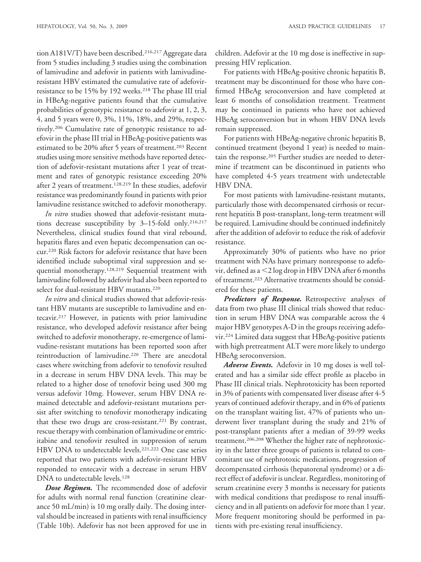tion A181V/T) have been described.<sup>216,217</sup> Aggregate data from 5 studies including 3 studies using the combination of lamivudine and adefovir in patients with lamivudineresistant HBV estimated the cumulative rate of adefovirresistance to be 15% by 192 weeks.<sup>218</sup> The phase III trial in HBeAg-negative patients found that the cumulative probabilities of genotypic resistance to adefovir at 1, 2, 3, 4, and 5 years were 0, 3%, 11%, 18%, and 29%, respectively.206 Cumulative rate of genotypic resistance to adefovir in the phase III trial in HBeAg-positive patients was estimated to be 20% after 5 years of treatment.<sup>203</sup> Recent studies using more sensitive methods have reported detection of adefovir-resistant mutations after 1 year of treatment and rates of genotypic resistance exceeding 20% after 2 years of treatment.<sup>128,219</sup> In these studies, adefovir resistance was predominantly found in patients with prior lamivudine resistance switched to adefovir monotherapy.

*In vitro* studies showed that adefovir-resistant mutations decrease susceptibility by 3-15-fold only.<sup>216,217</sup> Nevertheless, clinical studies found that viral rebound, hepatitis flares and even hepatic decompensation can occur.220 Risk factors for adefovir resistance that have been identified include suboptimal viral suppression and sequential monotherapy.128,219 Sequential treatment with lamivudine followed by adefovir had also been reported to select for dual-resistant HBV mutants.<sup>220</sup>

*In vitro* and clinical studies showed that adefovir-resistant HBV mutants are susceptible to lamivudine and entecavir.217 However, in patients with prior lamivudine resistance, who developed adefovir resistance after being switched to adefovir monotherapy, re-emergence of lamivudine-resistant mutations has been reported soon after reintroduction of lamivudine.220 There are anecdotal cases where switching from adefovir to tenofovir resulted in a decrease in serum HBV DNA levels. This may be related to a higher dose of tenofovir being used 300 mg versus adefovir 10mg. However, serum HBV DNA remained detectable and adefovir-resistant mutations persist after switching to tenofovir monotherapy indicating that these two drugs are cross-resistant.<sup>221</sup> By contrast, rescue therapy with combination of lamivudine or emtricitabine and tenofovir resulted in suppression of serum HBV DNA to undetectable levels.221,222 One case series reported that two patients with adefovir-resistant HBV responded to entecavir with a decrease in serum HBV DNA to undetectable levels.<sup>128</sup>

*Dose Regimen.* The recommended dose of adefovir for adults with normal renal function (creatinine clearance 50 mL/min) is 10 mg orally daily. The dosing interval should be increased in patients with renal insufficiency (Table 10b). Adefovir has not been approved for use in

children. Adefovir at the 10 mg dose is ineffective in suppressing HIV replication.

For patients with HBeAg-positive chronic hepatitis B, treatment may be discontinued for those who have confirmed HBeAg seroconversion and have completed at least 6 months of consolidation treatment. Treatment may be continued in patients who have not achieved HBeAg seroconversion but in whom HBV DNA levels remain suppressed.

For patients with HBeAg-negative chronic hepatitis B, continued treatment (beyond 1 year) is needed to maintain the response.205 Further studies are needed to determine if treatment can be discontinued in patients who have completed 4-5 years treatment with undetectable HBV DNA.

For most patients with lamivudine-resistant mutants, particularly those with decompensated cirrhosis or recurrent hepatitis B post-transplant, long-term treatment will be required. Lamivudine should be continued indefinitely after the addition of adefovir to reduce the risk of adefovir resistance.

Approximately 30% of patients who have no prior treatment with NAs have primary nonresponse to adefovir, defined as a  $<$  2 log drop in HBV DNA after 6 months of treatment.223 Alternative treatments should be considered for these patients.

*Predictors of Response.* Retrospective analyses of data from two phase III clinical trials showed that reduction in serum HBV DNA was comparable across the 4 major HBV genotypes A-D in the groups receiving adefovir.224 Limited data suggest that HBeAg-positive patients with high pretreatment ALT were more likely to undergo HBeAg seroconversion.

*Adverse Events.* Adefovir in 10 mg doses is well tolerated and has a similar side effect profile as placebo in Phase III clinical trials. Nephrotoxicity has been reported in 3% of patients with compensated liver disease after 4-5 years of continued adefovir therapy, and in 6% of patients on the transplant waiting list, 47% of patients who underwent liver transplant during the study and 21% of post-transplant patients after a median of 39-99 weeks treatment.206,208 Whether the higher rate of nephrotoxicity in the latter three groups of patients is related to concomitant use of nephrotoxic medications, progression of decompensated cirrhosis (hepatorenal syndrome) or a direct effect of adefovir is unclear. Regardless, monitoring of serum creatinine every 3 months is necessary for patients with medical conditions that predispose to renal insufficiency and in all patients on adefovir for more than 1 year. More frequent monitoring should be performed in patients with pre-existing renal insufficiency.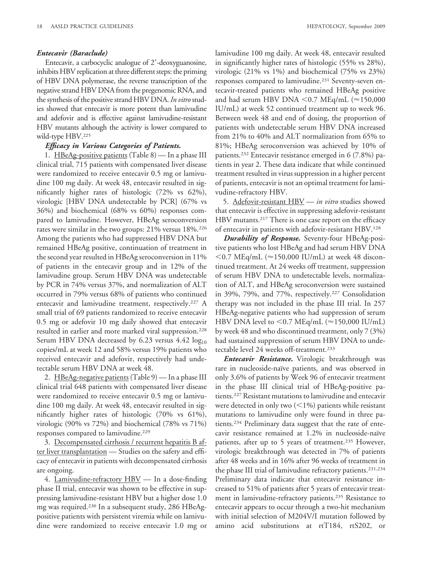#### *Entecavir (Baraclude)*

Entecavir, a carbocyclic analogue of 2 -deoxyguanosine, inhibits HBV replication at three different steps: the priming of HBV DNA polymerase, the reverse transcription of the negative strand HBV DNA from the pregenomic RNA, and the synthesis of the positive strand HBV DNA.*In vitro* studies showed that entecavir is more potent than lamivudine and adefovir and is effective against lamivudine-resistant HBV mutants although the activity is lower compared to wild-type HBV.225

### *Efficacy in Various Categories of Patients.*

1. HBeAg-positive patients (Table 8) — In a phase III clinical trial, 715 patients with compensated liver disease were randomized to receive entecavir 0.5 mg or lamivudine 100 mg daily. At week 48, entecavir resulted in significantly higher rates of histologic (72% vs 62%), virologic [HBV DNA undetectable by PCR] (67% vs 36%) and biochemical (68% vs 60%) responses compared to lamivudine. However, HBeAg seroconversion rates were similar in the two groups: 21% versus 18%.226 Among the patients who had suppressed HBV DNA but remained HBeAg positive, continuation of treatment in the second year resulted in HBeAg seroconversion in 11% of patients in the entecavir group and in 12% of the lamivudine group. Serum HBV DNA was undetectable by PCR in 74% versus 37%, and normalization of ALT occurred in 79% versus 68% of patients who continued entecavir and lamivudine treatment, respectively.227 A small trial of 69 patients randomized to receive entecavir 0.5 mg or adefovir 10 mg daily showed that entecavir resulted in earlier and more marked viral suppression.228 Serum HBV DNA decreased by 6.23 versus  $4.42 \log_{10}$ copies/mL at week 12 and 58% versus 19% patients who received entecavir and adefovir, respectively had undetectable serum HBV DNA at week 48.

2. HBeAg-negative patients (Table 9) — In a phase III clinical trial 648 patients with compensated liver disease were randomized to receive entecavir 0.5 mg or lamivudine 100 mg daily. At week 48, entecavir resulted in significantly higher rates of histologic (70% vs 61%), virologic (90% vs 72%) and biochemical (78% vs 71%) responses compared to lamivudine.229

3. Decompensated cirrhosis / recurrent hepatitis B after liver transplantation — Studies on the safety and efficacy of entecavir in patients with decompensated cirrhosis are ongoing.

4. Lamivudine-refractory HBV - In a dose-finding phase II trial, entecavir was shown to be effective in suppressing lamivudine-resistant HBV but a higher dose 1.0 mg was required.230 In a subsequent study, 286 HBeAgpositive patients with persistent viremia while on lamivudine were randomized to receive entecavir 1.0 mg or lamivudine 100 mg daily. At week 48, entecavir resulted in significantly higher rates of histologic (55% vs 28%), virologic (21% vs 1%) and biochemical (75% vs 23%) responses compared to lamivudine.231 Seventy-seven entecavir-treated patients who remained HBeAg positive and had serum HBV DNA  $<$ 0.7 MEq/mL (≈150,000 IU/mL) at week 52 continued treatment up to week 96. Between week 48 and end of dosing, the proportion of patients with undetectable serum HBV DNA increased from 21% to 40% and ALT normalization from 65% to 81%; HBeAg seroconversion was achieved by 10% of patients.232 Entecavir resistance emerged in 6 (7.8%) patients in year 2. These data indicate that while continued treatment resulted in virus suppression in a higher percent of patients, entecavir is not an optimal treatment for lamivudine-refractory HBV.

5. Adefovir-resistant HBV — *in vitro* studies showed that entecavir is effective in suppressing adefovir-resistant HBV mutants.<sup>217</sup> There is one case report on the efficacy of entecavir in patients with adefovir-resistant HBV.128

*Durability of Response.* Seventy-four HBeAg-positive patients who lost HBeAg and had serum HBV DNA  $0.7 \text{ MEq/mL}$  ( $\approx$ 150,000 IU/mL) at week 48 discontinued treatment. At 24 weeks off treatment, suppression of serum HBV DNA to undetectable levels, normalization of ALT, and HBeAg seroconversion were sustained in 39%, 79%, and 77%, respectively.227 Consolidation therapy was not included in the phase III trial. In 257 HBeAg-negative patients who had suppression of serum HBV DNA level to  $\leq$  0.7 MEq/mL ( $\approx$  150,000 IU/mL) by week 48 and who discontinued treatment, only 7 (3%) had sustained suppression of serum HBV DNA to undetectable level 24 weeks off-treatment.233

*Entecavir Resistance.* Virologic breakthrough was rare in nucleoside-naïve patients, and was observed in only 3.6% of patients by Week 96 of entecavir treatment in the phase III clinical trial of HBeAg-positive patients.227Resistant mutations to lamivudine and entecavir were detected in only two  $(<1%)$  patients while resistant mutations to lamivudine only were found in three patients.234 Preliminary data suggest that the rate of entecavir resistance remained at 1.2% in nucleoside-naïve patients, after up to 5 years of treatment.<sup>235</sup> However, virologic breakthrough was detected in 7% of patients after 48 weeks and in 16% after 96 weeks of treatment in the phase III trial of lamivudine refractory patients.231,234 Preliminary data indicate that entecavir resistance increased to 51% of patients after 5 years of entecavir treatment in lamivudine-refractory patients.235 Resistance to entecavir appears to occur through a two-hit mechanism with initial selection of M204V/I mutation followed by amino acid substitutions at rtT184, rtS202, or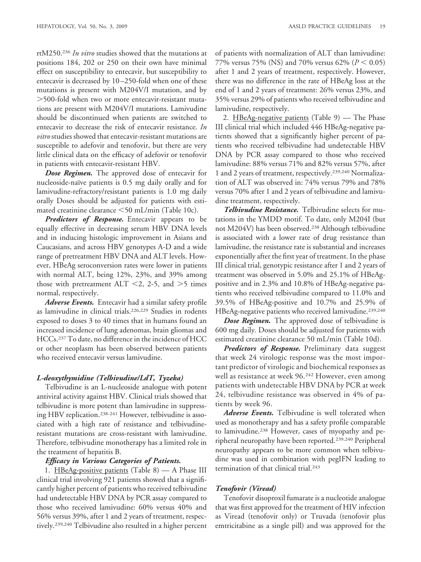rtM250.236 *In vitro* studies showed that the mutations at positions 184, 202 or 250 on their own have minimal effect on susceptibility to entecavir, but susceptibility to entecavir is decreased by 10–250-fold when one of these mutations is present with M204V/I mutation, and by -500-fold when two or more entecavir-resistant mutations are present with M204V/I mutations. Lamivudine should be discontinued when patients are switched to entecavir to decrease the risk of entecavir resistance. *In vitro* studies showed that entecavir-resistant mutations are susceptible to adefovir and tenofovir, but there are very little clinical data on the efficacy of adefovir or tenofovir in patients with entecavir-resistant HBV.

*Dose Regimen.* The approved dose of entecavir for nucleoside-naïve patients is 0.5 mg daily orally and for lamivudine-refractory/resistant patients is 1.0 mg daily orally Doses should be adjusted for patients with estimated creatinine clearance 50 mL/min (Table 10c).

*Predictors of Response.* Entecavir appears to be equally effective in decreasing serum HBV DNA levels and in inducing histologic improvement in Asians and Caucasians, and across HBV genotypes A-D and a wide range of pretreatment HBV DNA and ALT levels. However, HBeAg seroconversion rates were lower in patients with normal ALT, being 12%, 23%, and 39% among those with pretreatment ALT  $\leq$ 2, 2-5, and  $>$ 5 times normal, respectively.

*Adverse Events.* Entecavir had a similar safety profile as lamivudine in clinical trials.226,229 Studies in rodents exposed to doses 3 to 40 times that in humans found an increased incidence of lung adenomas, brain gliomas and HCCs.237To date, no difference in the incidence of HCC or other neoplasm has been observed between patients who received entecavir versus lamivudine.

## *L-deoxythymidine (Telbivudine/LdT, Tyzeka)*

Telbivudine is an L-nucleoside analogue with potent antiviral activity against HBV. Clinical trials showed that telbivudine is more potent than lamivudine in suppressing HBV replication.238-241 However, telbivudine is associated with a high rate of resistance and telbivudineresistant mutations are cross-resistant with lamivudine. Therefore, telbivudine monotherapy has a limited role in the treatment of hepatitis B.

### *Efficacy in Various Categories of Patients.*

1. HBeAg-positive patients (Table  $8$ ) — A Phase III clinical trial involving 921 patients showed that a significantly higher percent of patients who received telbivudine had undetectable HBV DNA by PCR assay compared to those who received lamivudine: 60% versus 40% and 56% versus 39%, after 1 and 2 years of treatment, respectively.239,240 Telbivudine also resulted in a higher percent

of patients with normalization of ALT than lamivudine: 77% versus 75% (NS) and 70% versus 62% ( $P < 0.05$ ) after 1 and 2 years of treatment, respectively. However, there was no difference in the rate of HBeAg loss at the end of 1 and 2 years of treatment: 26% versus 23%, and 35% versus 29% of patients who received telbivudine and lamivudine, respectively.

2. HBeAg-negative patients (Table 9) — The Phase III clinical trial which included 446 HBeAg-negative patients showed that a significantly higher percent of patients who received telbivudine had undetectable HBV DNA by PCR assay compared to those who received lamivudine: 88% versus 71% and 82% versus 57%, after 1 and 2 years of treatment, respectively.239,240 Normalization of ALT was observed in: 74% versus 79% and 78% versus 70% after 1 and 2 years of telbivudine and lamivudine treatment, respectively.

*Telbivudine Resistance.* Telbivudine selects for mutations in the YMDD motif. To date, only M204I (but not M204V) has been observed.238 Although telbivudine is associated with a lower rate of drug resistance than lamivudine, the resistance rate is substantial and increases exponentially after the first year of treatment. In the phase III clinical trial, genotypic resistance after 1 and 2 years of treatment was observed in 5.0% and 25.1% of HBeAgpositive and in 2.3% and 10.8% of HBeAg-negative patients who received telbivudine compared to 11.0% and 39.5% of HBeAg-positive and 10.7% and 25.9% of HBeAg-negative patients who received lamivudine.<sup>239,240</sup>

*Dose Regimen.* The approved dose of telbivudine is 600 mg daily. Doses should be adjusted for patients with estimated creatinine clearance 50 mL/min (Table 10d).

*Predictors of Response.* Preliminary data suggest that week 24 virologic response was the most important predictor of virologic and biochemical responses as well as resistance at week 96.242 However, even among patients with undetectable HBV DNA by PCR at week 24, telbivudine resistance was observed in 4% of patients by week 96.

*Adverse Events.* Telbivudine is well tolerated when used as monotherapy and has a safety profile comparable to lamivudine.238 However, cases of myopathy and peripheral neuropathy have been reported.239,240 Peripheral neuropathy appears to be more common when telbivudine was used in combination with pegIFN leading to termination of that clinical trial.243

## *Tenofovir (Viread)*

Tenofovir disoproxil fumarate is a nucleotide analogue that was first approved for the treatment of HIV infection as Viread (tenofovir only) or Truvada (tenofovir plus emtricitabine as a single pill) and was approved for the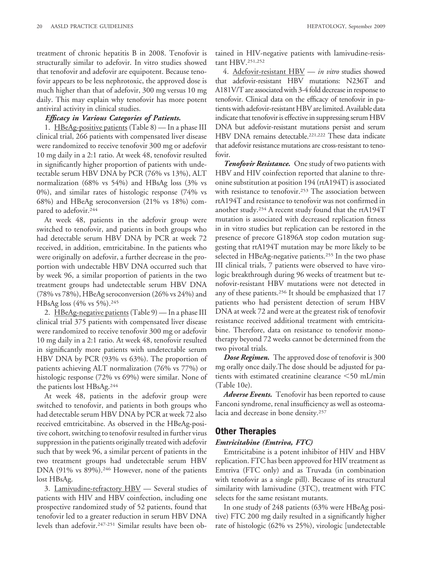treatment of chronic hepatitis B in 2008. Tenofovir is structurally similar to adefovir. In vitro studies showed that tenofovir and adefovir are equipotent. Because tenofovir appears to be less nephrotoxic, the approved dose is much higher than that of adefovir, 300 mg versus 10 mg daily. This may explain why tenofovir has more potent antiviral activity in clinical studies.

#### *Efficacy in Various Categories of Patients.*

1. HBeAg-positive patients (Table  $8$ ) — In a phase III clinical trial, 266 patients with compensated liver disease were randomized to receive tenofovir 300 mg or adefovir 10 mg daily in a 2:1 ratio. At week 48, tenofovir resulted in significantly higher proportion of patients with undetectable serum HBV DNA by PCR (76% vs 13%), ALT normalization (68% vs 54%) and HBsAg loss (3% vs 0%), and similar rates of histologic response (74% vs 68%) and HBeAg seroconversion (21% vs 18%) compared to adefovir.244

At week 48, patients in the adefovir group were switched to tenofovir, and patients in both groups who had detectable serum HBV DNA by PCR at week 72 received, in addition, emtricitabine. In the patients who were originally on adefovir, a further decrease in the proportion with undectable HBV DNA occurred such that by week 96, a similar proportion of patients in the two treatment groups had undetectable serum HBV DNA (78% vs 78%), HBeAg seroconversion (26% vs 24%) and HBsAg loss (4% vs 5%).245

2. HBeAg-negative patients (Table 9) — In a phase III clinical trial 375 patients with compensated liver disease were randomized to receive tenofovir 300 mg or adefovir 10 mg daily in a 2:1 ratio. At week 48, tenofovir resulted in significantly more patients with undetectable serum HBV DNA by PCR (93% vs 63%). The proportion of patients achieving ALT normalization (76% vs 77%) or histologic response (72% vs 69%) were similar. None of the patients lost HBsAg.244

At week 48, patients in the adefovir group were switched to tenofovir, and patients in both groups who had detectable serum HBV DNA by PCR at week 72 also received emtricitabine. As observed in the HBeAg-positive cohort, switching to tenofovir resulted in further virus suppression in the patients originally treated with adefovir such that by week 96, a similar percent of patients in the two treatment groups had undetectable serum HBV DNA (91% vs 89%).<sup>246</sup> However, none of the patients lost HBsAg.

3. Lamivudine-refractory HBV — Several studies of patients with HIV and HBV coinfection, including one prospective randomized study of 52 patients, found that tenofovir led to a greater reduction in serum HBV DNA levels than adefovir.247-251 Similar results have been obtained in HIV-negative patients with lamivudine-resistant HBV.251,252

4. Adefovir-resistant HBV — *in vitro* studies showed that adefovir-resistant HBV mutations: N236T and A181V/T are associated with 3-4 fold decrease in response to tenofovir. Clinical data on the efficacy of tenofovir in patients with adefovir-resistant HBV are limited. Available data indicate that tenofovir is effective in suppressing serum HBV DNA but adefovir-resistant mutations persist and serum HBV DNA remains detectable.221,222 These data indicate that adefovir resistance mutations are cross-resistant to tenofovir.

*Tenofovir Resistance.* One study of two patients with HBV and HIV coinfection reported that alanine to threonine substitution at position 194 (rtA194T) is associated with resistance to tenofovir.<sup>253</sup> The association between rtA194T and resistance to tenofovir was not confirmed in another study.254 A recent study found that the rtA194T mutation is associated with decreased replication fitness in in vitro studies but replication can be restored in the presence of precore G1896A stop codon mutation suggesting that rtA194T mutation may be more likely to be selected in HBeAg-negative patients.<sup>255</sup> In the two phase III clinical trials, 7 patients were observed to have virologic breakthrough during 96 weeks of treatment but tenofovir-resistant HBV mutations were not detected in any of these patients.<sup>256</sup> It should be emphasized that 17 patients who had persistent detection of serum HBV DNA at week 72 and were at the greatest risk of tenofovir resistance received additional treatment with emtricitabine. Therefore, data on resistance to tenofovir monotherapy beyond 72 weeks cannot be determined from the two pivotal trials.

*Dose Regimen.* The approved dose of tenofovir is 300 mg orally once daily.The dose should be adjusted for patients with estimated creatinine clearance 50 mL/min (Table 10e).

*Adverse Events.* Tenofovir has been reported to cause Fanconi syndrome, renal insufficiency as well as osteomalacia and decrease in bone density.257

## **Other Therapies**

#### *Emtricitabine (Emtriva, FTC)*

Emtricitabine is a potent inhibitor of HIV and HBV replication. FTC has been approved for HIV treatment as Emtriva (FTC only) and as Truvada (in combination with tenofovir as a single pill). Because of its structural similarity with lamivudine (3TC), treatment with FTC selects for the same resistant mutants.

In one study of 248 patients (63% were HBeAg positive) FTC 200 mg daily resulted in a significantly higher rate of histologic (62% vs 25%), virologic [undetectable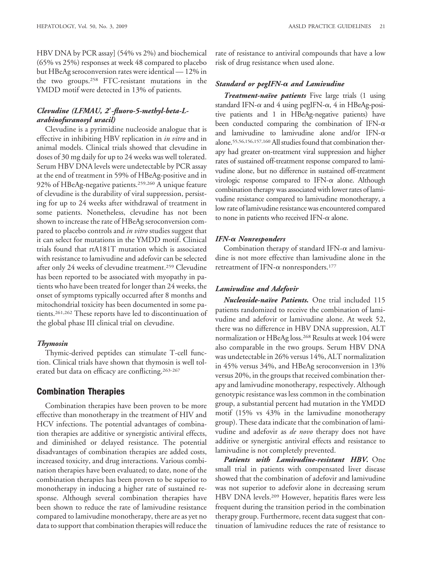HBV DNA by PCR assay] (54% vs 2%) and biochemical (65% vs 25%) responses at week 48 compared to placebo but HBeAg seroconversion rates were identical — 12% in the two groups.258 FTC-resistant mutations in the YMDD motif were detected in 13% of patients.

## *Clevudine (LFMAU, 2*-*-fluoro-5-methyl-beta-Larabinofuranosyl uracil)*

Clevudine is a pyrimidine nucleoside analogue that is effective in inhibiting HBV replication in *in vitro* and in animal models. Clinical trials showed that clevudine in doses of 30 mg daily for up to 24 weeks was well tolerated. Serum HBV DNA levels were undetectable by PCR assay at the end of treatment in 59% of HBeAg-positive and in 92% of HBeAg-negative patients.259,260 A unique feature of clevudine is the durability of viral suppression, persisting for up to 24 weeks after withdrawal of treatment in some patients. Nonetheless, clevudine has not been shown to increase the rate of HBeAg seroconversion compared to placebo controls and *in vitro* studies suggest that it can select for mutations in the YMDD motif. Clinical trials found that rtA181T mutation which is associated with resistance to lamivudine and adefovir can be selected after only 24 weeks of clevudine treatment.259 Clevudine has been reported to be associated with myopathy in patients who have been treated for longer than 24 weeks, the onset of symptoms typically occurred after 8 months and mitochondrial toxicity has been documented in some patients.261,262 These reports have led to discontinuation of the global phase III clinical trial on clevudine.

#### *Thymosin*

Thymic-derived peptides can stimulate T-cell function. Clinical trials have shown that thymosin is well tolerated but data on efficacy are conflicting.263-267

## **Combination Therapies**

Combination therapies have been proven to be more effective than monotherapy in the treatment of HIV and HCV infections. The potential advantages of combination therapies are additive or synergistic antiviral effects, and diminished or delayed resistance. The potential disadvantages of combination therapies are added costs, increased toxicity, and drug interactions. Various combination therapies have been evaluated; to date, none of the combination therapies has been proven to be superior to monotherapy in inducing a higher rate of sustained response. Although several combination therapies have been shown to reduce the rate of lamivudine resistance compared to lamivudine monotherapy, there are as yet no data to support that combination therapies will reduce the rate of resistance to antiviral compounds that have a low risk of drug resistance when used alone.

#### *Standard or pegIFN-*- *and Lamivudine*

*Treatment-naïve patients* Five large trials (1 using standard IFN- $\alpha$  and 4 using pegIFN- $\alpha$ , 4 in HBeAg-positive patients and 1 in HBeAg-negative patients) have been conducted comparing the combination of IFN- $\alpha$ and lamivudine to lamivudine alone and/or IFN- $\alpha$ alone.<sup>55,56,156,157,160</sup> All studies found that combination therapy had greater on-treatment viral suppression and higher rates of sustained off-treatment response compared to lamivudine alone, but no difference in sustained off-treatment virologic response compared to IFN- $\alpha$  alone. Although combination therapy was associated with lower rates of lamivudine resistance compared to lamivudine monotherapy, a low rate of lamivudine resistance was encountered compared to none in patients who received IFN- $\alpha$  alone.

### *IFN-*- *Nonresponders*

Combination therapy of standard IFN- $\alpha$  and lamivudine is not more effective than lamivudine alone in the retreatment of IFN- $\alpha$  nonresponders.<sup>177</sup>

## *Lamivudine and Adefovir*

*Nucleoside-naïve Patients.* One trial included 115 patients randomized to receive the combination of lamivudine and adefovir or lamivudine alone. At week 52, there was no difference in HBV DNA suppression, ALT normalization or HBeAg loss.268 Results at week 104 were also comparable in the two groups. Serum HBV DNA was undetectable in 26% versus 14%, ALT normalization in 45% versus 34%, and HBeAg seroconversion in 13% versus 20%, in the groups that received combination therapy and lamivudine monotherapy, respectively. Although genotypic resistance was less common in the combination group, a substantial percent had mutation in the YMDD motif (15% vs 43% in the lamivudine monotherapy group). These data indicate that the combination of lamivudine and adefovir as *de novo* therapy does not have additive or synergistic antiviral effects and resistance to lamivudine is not completely prevented.

*Patients with Lamivudine-resistant HBV.* One small trial in patients with compensated liver disease showed that the combination of adefovir and lamivudine was not superior to adefovir alone in decreasing serum HBV DNA levels.209 However, hepatitis flares were less frequent during the transition period in the combination therapy group. Furthermore, recent data suggest that continuation of lamivudine reduces the rate of resistance to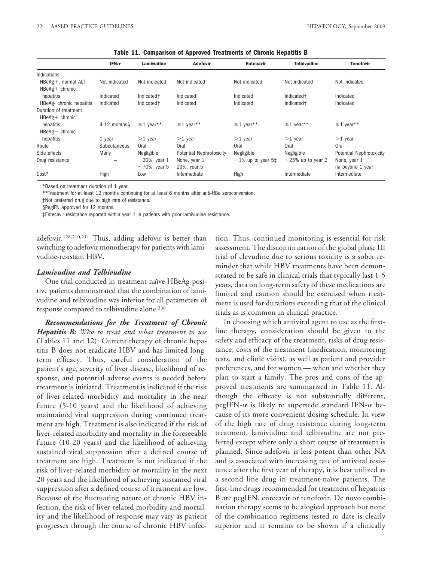|                                           | IFN $\alpha$  | <b>Lamivudine</b>                        | <b>Adefovir</b>                 | <b>Entecavir</b>        | <b>Telbivudine</b>      | <b>Tenofovir</b>                 |
|-------------------------------------------|---------------|------------------------------------------|---------------------------------|-------------------------|-------------------------|----------------------------------|
| Indications                               |               |                                          |                                 |                         |                         |                                  |
| $HBeAg+$ , normal ALT<br>$HBeAg+$ chronic | Not indicated | Not indicated                            | Not indicated                   | Not indicated           | Not indicated           | Not indicated                    |
| hepatitis                                 | Indicated     | Indicated <sup>+</sup>                   | Indicated                       | Indicated               | Indicated <sup>+</sup>  | Indicated                        |
| HBeAg-chronic hepatitis                   | Indicated     | Indicated <sup>+</sup>                   | Indicated                       | Indicated               | Indicated <sup>+</sup>  | Indicated                        |
| Duration of treatment<br>$HBeAg+$ chronic |               |                                          |                                 |                         |                         |                                  |
| hepatitis<br>HBeAg-chronic                | 4-12 months&  | $\geq$ 1 year**                          | $\geq$ 1 year**                 | $\geq$ 1 year**         | $\geq$ 1 year**         | $\geq$ 1 year**                  |
| hepatitis                                 | 1 year        | $>1$ year                                | $>1$ year                       | $>1$ year               | $>1$ year               | $>1$ year                        |
| Route                                     | Subcutaneous  | Oral                                     | Oral                            | Oral                    | Oral                    | Oral                             |
| Side effects                              | Many          | Negligible                               | <b>Potential Nephrotoxicity</b> | Negligible              | Negligible              | <b>Potential Nephrotoxicity</b>  |
| Drug resistance                           |               | $\sim$ 20%, year 1<br>$\sim$ 70%, year 5 | None, year 1<br>29%, year 5     | $\sim$ 1% up to year 5‡ | $\sim$ 25% up to year 2 | None, year 1<br>na beyond 1 year |
| $Cost*$                                   | High          | Low                                      | Intermediate                    | High                    | Intermediate            | Intermediate                     |

**Table 11. Comparison of Approved Treatments of Chronic Hepatitis B**

\*Based on treatment duration of 1 year.

\*\*Treatment for at least 12 months continuing for at least 6 months after anti-HBe seroconversion.

†Not preferred drug due to high rate of resistance.

§PegIFN approved for 12 months.

‡Entecavir resistance reported within year 1 in patients with prior lamivudine resistance.

adefovir.128,210,211 Thus, adding adefovir is better than switching to adefovir monotherapy for patients with lamivudine-resistant HBV.

#### *Lamivudine and Telbivudine*

One trial conducted in treatment-naïve HBeAg-positive patients demonstrated that the combination of lamivudine and telbivudine was inferior for all parameters of response compared to telbivudine alone.<sup>238</sup>

*Recommendations for the Treatment of Chronic Hepatitis B: Who to treat and what treatment to use* (Tables 11 and 12): Current therapy of chronic hepatitis B does not eradicate HBV and has limited longterm efficacy. Thus, careful consideration of the patient's age, severity of liver disease, likelihood of response, and potential adverse events is needed before treatment is initiated. Treatment is indicated if the risk of liver-related morbidity and mortality in the near future (5-10 years) and the likelihood of achieving maintained viral suppression during continued treatment are high. Treatment is also indicated if the risk of liver-related morbidity and mortality in the foreseeable future (10-20 years) and the likelihood of achieving sustained viral suppression after a defined course of treatment are high. Treatment is not indicated if the risk of liver-related morbidity or mortality in the next 20 years and the likelihood of achieving sustained viral suppression after a defined course of treatment are low. Because of the fluctuating nature of chronic HBV infection, the risk of liver-related morbidity and mortality and the likelihood of response may vary as patient progresses through the course of chronic HBV infection. Thus, continued monitoring is essential for risk assessment. The discontinuation of the global phase III trial of clevudine due to serious toxicity is a sober reminder that while HBV treatments have been demonstrated to be safe in clinical trials that typically last 1-5 years, data on long-term safety of these medications are limited and caution should be exercised when treatment is used for durations exceeding that of the clinical trials as is common in clinical practice.

In choosing which antiviral agent to use as the firstline therapy, consideration should be given to the safety and efficacy of the treatment, risks of drug resistance, costs of the treatment (medication, monitoring tests, and clinic visits), as well as patient and provider preferences, and for women — when and whether they plan to start a family. The pros and cons of the approved treatments are summarized in Table 11. Although the efficacy is not substantially different, pegIFN- $\alpha$  is likely to supersede standard IFN- $\alpha$  because of its more convenient dosing schedule. In view of the high rate of drug resistance during long-term treatment, lamivudine and telbivudine are not preferred except where only a short course of treatment is planned. Since adefovir is less potent than other NA and is associated with increasing rate of antiviral resistance after the first year of therapy, it is best utilized as a second line drug in treatment-naïve patients. The first-line drugs recommended for treatment of hepatitis B are pegIFN, entecavir or tenofovir. De novo combination therapy seems to be alogical approach but none of the combination regimens tested to date is clearly superior and it remains to be shown if a clinically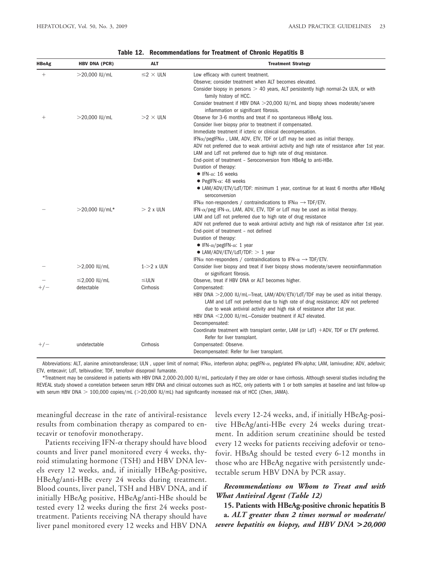| <b>HBeAg</b> | <b>HBV DNA (PCR)</b> | <b>ALT</b>            | <b>Treatment Strategy</b>                                                                                                                                                                                                                                                                                       |
|--------------|----------------------|-----------------------|-----------------------------------------------------------------------------------------------------------------------------------------------------------------------------------------------------------------------------------------------------------------------------------------------------------------|
| $^{+}$       | $>$ 20,000 IU/mL     | $\leq$ 2 $\times$ ULN | Low efficacy with current treatment.                                                                                                                                                                                                                                                                            |
|              |                      |                       | Observe; consider treatment when ALT becomes elevated.                                                                                                                                                                                                                                                          |
|              |                      |                       | Consider biopsy in persons $> 40$ years, ALT persistently high normal-2x ULN, or with<br>family history of HCC.                                                                                                                                                                                                 |
|              |                      |                       | Consider treatment if HBV DNA $>$ 20,000 IU/mL and biopsy shows moderate/severe<br>inflammation or significant fibrosis.                                                                                                                                                                                        |
| $^{+}$       | $>$ 20,000 IU/mL     | $>2 \times$ ULN       | Observe for 3-6 months and treat if no spontaneous HBeAg loss.                                                                                                                                                                                                                                                  |
|              |                      |                       | Consider liver biopsy prior to treatment if compensated.                                                                                                                                                                                                                                                        |
|              |                      |                       | Immediate treatment if icteric or clinical decompensation.                                                                                                                                                                                                                                                      |
|              |                      |                       | IFN $\alpha$ /pegIFN $\alpha$ , LAM, ADV, ETV, TDF or LdT may be used as initial therapy.                                                                                                                                                                                                                       |
|              |                      |                       | ADV not preferred due to weak antiviral activity and high rate of resistance after 1st year.                                                                                                                                                                                                                    |
|              |                      |                       | LAM and LdT not preferred due to high rate of drug resistance.                                                                                                                                                                                                                                                  |
|              |                      |                       | End-point of treatment - Seroconversion from HBeAg to anti-HBe.                                                                                                                                                                                                                                                 |
|              |                      |                       | Duration of therapy:                                                                                                                                                                                                                                                                                            |
|              |                      |                       | $\bullet$ IFN- $\alpha$ : 16 weeks                                                                                                                                                                                                                                                                              |
|              |                      |                       | $\bullet$ PegIFN- $\alpha$ : 48 weeks                                                                                                                                                                                                                                                                           |
|              |                      |                       | • LAM/ADV/ETV/LdT/TDF: minimum 1 year, continue for at least 6 months after HBeAg                                                                                                                                                                                                                               |
|              |                      |                       | seroconversion                                                                                                                                                                                                                                                                                                  |
|              |                      |                       | IFN $\alpha$ non-responders / contraindications to IFN $\alpha \rightarrow \text{TDF}/\text{ETV}$ .                                                                                                                                                                                                             |
|              | $>$ 20,000 IU/mL*    | $> 2x$ ULN            | IFN- $\alpha$ /peg IFN- $\alpha$ , LAM, ADV, ETV, TDF or LdT may be used as initial therapy.                                                                                                                                                                                                                    |
|              |                      |                       | LAM and LdT not preferred due to high rate of drug resistance                                                                                                                                                                                                                                                   |
|              |                      |                       | ADV not preferred due to weak antiviral activity and high risk of resistance after 1st year.                                                                                                                                                                                                                    |
|              |                      |                       | End-point of treatment - not defined                                                                                                                                                                                                                                                                            |
|              |                      |                       | Duration of therapy:                                                                                                                                                                                                                                                                                            |
|              |                      |                       | • IFN- $\alpha$ /pegIFN- $\alpha$ : 1 year                                                                                                                                                                                                                                                                      |
|              |                      |                       | $\bullet$ LAM/ADV/ETV/LdT/TDF: $> 1$ year                                                                                                                                                                                                                                                                       |
|              |                      |                       | IFN $\alpha$ non-responders / contraindications to IFN- $\alpha \rightarrow$ TDF/ETV.                                                                                                                                                                                                                           |
|              | $>2,000$ IU/mL       | $1-2x$ ULN            | Consider liver biopsy and treat if liver biopsy shows moderate/severe necroinflammation<br>or significant fibrosis.                                                                                                                                                                                             |
|              | $\leq$ 2,000 IU/mL   | $\leq$ ULN            | Observe, treat if HBV DNA or ALT becomes higher.                                                                                                                                                                                                                                                                |
| $+/-$        | detectable           | Cirrhosis             | Compensated:                                                                                                                                                                                                                                                                                                    |
|              |                      |                       | HBV DNA $>2,000$ IU/mL-Treat, LAM/ADV/ETV/LdT/TDF may be used as initial therapy.<br>LAM and LdT not preferred due to high rate of drug resistance; ADV not preferred<br>due to weak antiviral activity and high risk of resistance after 1st year.<br>HBV DNA <2,000 IU/mL-Consider treatment if ALT elevated. |
|              |                      |                       | Decompensated:                                                                                                                                                                                                                                                                                                  |
|              |                      |                       | Coordinate treatment with transplant center, LAM (or LdT) $+ADV$ , TDF or ETV preferred.<br>Refer for liver transplant.                                                                                                                                                                                         |
| $+/-$        | undetectable         | Cirrhosis             | Compensated: Observe.                                                                                                                                                                                                                                                                                           |
|              |                      |                       | Decompensated: Refer for liver transplant.                                                                                                                                                                                                                                                                      |
|              |                      |                       |                                                                                                                                                                                                                                                                                                                 |

|  | Table 12. Recommendations for Treatment of Chronic Hepatitis B |  |  |  |  |  |  |
|--|----------------------------------------------------------------|--|--|--|--|--|--|
|--|----------------------------------------------------------------|--|--|--|--|--|--|

Abbreviations: ALT, alanine aminotransferase; ULN, upper limit of normal; IFN $\alpha$ , interferon alpha; pegIFN- $\alpha$ , pegylated IFN-alpha; LAM, lamivudine; ADV, adefovir; ETV, entecavir; LdT, telbivudine; TDF, tenofovir disoproxil fumarate.

\*Treatment may be considered in patients with HBV DNA 2,000-20,000 IU/mL, particularly if they are older or have cirrhosis. Although several studies including the REVEAL study showed a correlation between serum HBV DNA and clinical outcomes such as HCC, only patients with 1 or both samples at baseline and last follow-up with serum HBV DNA > 100,000 copies/mL (>20,000 IU/mL) had significantly increased risk of HCC (Chen, JAMA).

meaningful decrease in the rate of antiviral-resistance results from combination therapy as compared to entecavir or tenofovir monotherapy.

Patients receiving IFN- $\alpha$  therapy should have blood counts and liver panel monitored every 4 weeks, thyroid stimulating hormone (TSH) and HBV DNA levels every 12 weeks, and, if initially HBeAg-positive, HBeAg/anti-HBe every 24 weeks during treatment. Blood counts, liver panel, TSH and HBV DNA, and if initially HBeAg positive, HBeAg/anti-HBe should be tested every 12 weeks during the first 24 weeks posttreatment. Patients receiving NA therapy should have liver panel monitored every 12 weeks and HBV DNA

levels every 12-24 weeks, and, if initially HBeAg-positive HBeAg/anti-HBe every 24 weeks during treatment. In addition serum creatinine should be tested every 12 weeks for patients receiving adefovir or tenofovir. HBsAg should be tested every 6-12 months in those who are HBeAg negative with persistently undetectable serum HBV DNA by PCR assay.

## *Recommendations on Whom to Treat and with What Antiviral Agent (Table 12)*

**15. Patients with HBeAg-positive chronic hepatitis B a.** *ALT greater than 2 times normal or moderate/ severe hepatitis on biopsy, and HBV DNA* **>***20,000*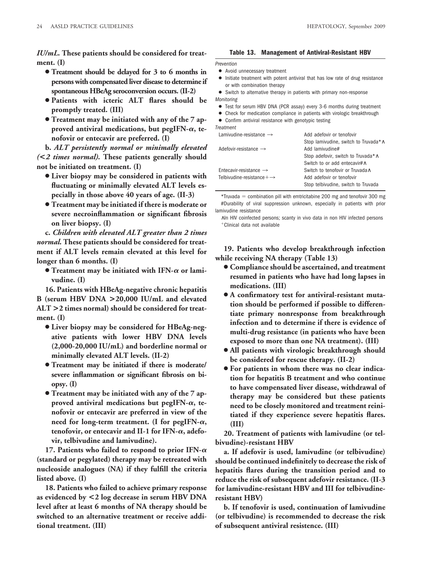*IU/mL.* **These patients should be considered for treatment. (I)**

- **Treatment should be delayed for 3 to 6 months in persons with compensated liver disease to determine if spontaneous HBeAg seroconversion occurs. (II-2)**
- **Patients with icteric ALT flares should be promptly treated. (III)**
- **Treatment may be initiated with any of the 7 ap**proved antiviral medications, but pegIFN- $\alpha$ , te**nofovir or entecavir are preferred. (I)**

**b.** *ALT persistently normal or minimally elevated (***<***2 times normal).* **These patients generally should not be initiated on treatment. (I)**

- **Liver biopsy may be considered in patients with fluctuating or minimally elevated ALT levels especially in those above 40 years of age. (II-3)**
- **Treatment may be initiated if there is moderate or severe necroinflammation or significant fibrosis on liver biopsy. (I)**

**c.** *Children with elevated ALT greater than 2 times normal.* **These patients should be considered for treatment if ALT levels remain elevated at this level for longer than 6 months. (I)**

 $\bullet$  Treatment may be initiated with IFN- $\alpha$  or lami**vudine. (I)**

**16. Patients with HBeAg-negative chronic hepatitis B (serum HBV DNA >20,000 IU/mL and elevated ALT >2 times normal) should be considered for treatment. (I)**

- **Liver biopsy may be considered for HBeAg-negative patients with lower HBV DNA levels (2,000-20,000 IU/mL) and borderline normal or minimally elevated ALT levels. (II-2)**
- **Treatment may be initiated if there is moderate/ severe inflammation or significant fibrosis on biopsy. (I)**
- **Treatment may be initiated with any of the 7 ap**proved antiviral medications but pegIFN- $\alpha$ , te**nofovir or entecavir are preferred in view of the** need for long-term treatment. (I for pegIFN- $\alpha,$ tenofovir, or entecavir and II-1 for IFN-α, adefo**vir, telbivudine and lamivudine).**

17. Patients who failed to respond to prior IFN- $\alpha$ **(standard or pegylated) therapy may be retreated with nucleoside analogues (NA) if they fulfill the criteria listed above. (I)**

**18. Patients who failed to achieve primary response as evidenced by <2 log decrease in serum HBV DNA level after at least 6 months of NA therapy should be switched to an alternative treatment or receive additional treatment. (III)**

#### **Table 13. Management of Antiviral-Resistant HBV**

*Prevention*

- Avoid unnecessary treatment
- Initiate treatment with potent antiviral that has low rate of drug resistance or with combination therapy

● Switch to alternative therapy in patients with primary non-response *Monitoring*

- Test for serum HBV DNA (PCR assay) every 3-6 months during treatment
- Check for medication compliance in patients with virologic breakthrough
- Confirm antiviral resistance with genotypic testing *Treatment*  $\Delta$ dd adefovir or tenofovir  $\Delta$

| <b>LUITUVUULIIV. IVAJKJUULIVA.</b>    |                                              |
|---------------------------------------|----------------------------------------------|
|                                       | Stop lamivudine, switch to Truvada* $\wedge$ |
| Adefovir-resistance $\rightarrow$     | Add lamivudine#                              |
|                                       | Stop adefovir, switch to Truvada* $\wedge$   |
|                                       | Switch to or add entecavir# $\wedge$         |
| Entecavir-resistance $\rightarrow$    | Switch to tenofovir or Truvada $\wedge$      |
| Telbivudine-resistance $+\rightarrow$ | Add adefovir or tenofovir                    |
|                                       | Stop telbivudine, switch to Truvada          |
|                                       |                                              |

 $*Truvada = combination$  pill with emtricitabine 200 mg and tenofovir 300 mg #Durability of viral suppression unknown, especially in patients with prior lamivudine resistance

∧In HIV coinfected persons; scanty in vivo data in non HIV infected persons Clinical data not available

**19. Patients who develop breakthrough infection while receiving NA therapy (Table 13)**

- **Compliance should be ascertained, and treatment resumed in patients who have had long lapses in medications. (III)**
- **A confirmatory test for antiviral-resistant mutation should be performed if possible to differentiate primary nonresponse from breakthrough infection and to determine if there is evidence of multi-drug resistance (in patients who have been exposed to more than one NA treatment). (III)**
- **All patients with virologic breakthrough should be considered for rescue therapy. (II-2)**
- **For patients in whom there was no clear indication for hepatitis B treatment and who continue to have compensated liver disease, withdrawal of therapy may be considered but these patients need to be closely monitored and treatment reinitiated if they experience severe hepatitis flares. (III)**

**20. Treatment of patients with lamivudine (or telbivudine)-resistant HBV**

**a. If adefovir is used, lamivudine (or telbivudine) should be continued indefinitely to decrease the risk of hepatitis flares during the transition period and to reduce the risk of subsequent adefovir resistance. (II-3 for lamivudine-resistant HBV and III for telbivudineresistant HBV)**

**b. If tenofovir is used, continuation of lamivudine (or telbivudine) is recommended to decrease the risk of subsequent antiviral resistence. (III)**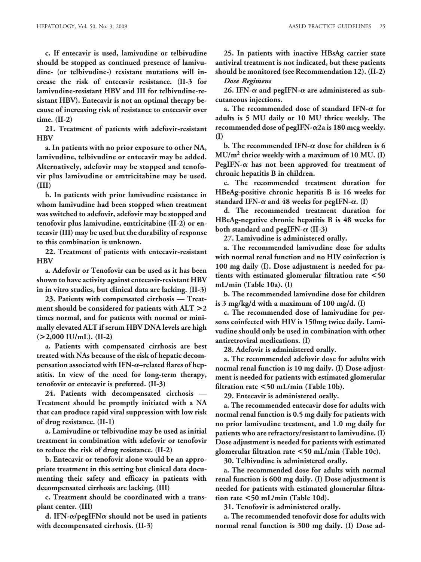**c. If entecavir is used, lamivudine or telbivudine should be stopped as continued presence of lamivudine- (or telbivudine-) resistant mutations will increase the risk of entecavir resistance. (II-3 for lamivudine-resistant HBV and III for telbivudine-resistant HBV). Entecavir is not an optimal therapy because of increasing risk of resistance to entecavir over time. (II-2)**

**21. Treatment of patients with adefovir-resistant HBV**

**a. In patients with no prior exposure to other NA, lamivudine, telbivudine or entecavir may be added. Alternatively, adefovir may be stopped and tenofovir plus lamivudine or emtricitabine may be used. (III)**

**b. In patients with prior lamivudine resistance in whom lamivudine had been stopped when treatment was switched to adefovir, adefovir may be stopped and tenofovir plus lamivudine, emtricitabine (II-2) or entecavir (III) may be used but the durability of response to this combination is unknown.**

**22. Treatment of patients with entecavir-resistant HBV**

**a. Adefovir or Tenofovir can be used as it has been shown to have activity against entecavir-resistant HBV in in vitro studies, but clinical data are lacking. (II-3)**

**23. Patients with compensated cirrhosis — Treatment should be considered for patients with ALT >2 times normal, and for patients with normal or minimally elevated ALT if serum HBV DNA levels are high (>2,000 IU/mL). (II-2)**

**a. Patients with compensated cirrhosis are best treated with NAs because of the risk of hepatic decom**pensation associated with IFN-α–related flares of hep**atitis. In view of the need for long-term therapy, tenofovir or entecavir is preferred. (II-3)**

**24. Patients with decompensated cirrhosis — Treatment should be promptly initiated with a NA that can produce rapid viral suppression with low risk of drug resistance. (II-1)**

**a. Lamivudine or telbivudine may be used as initial treatment in combination with adefovir or tenofovir to reduce the risk of drug resistance. (II-2)**

**b. Entecavir or tenofovir alone would be an appropriate treatment in this setting but clinical data documenting their safety and efficacy in patients with decompensated cirrhosis are lacking. (III)**

**c. Treatment should be coordinated with a transplant center. (III)**

**d. IFN-**-**/pegIFN**- **should not be used in patients with decompensated cirrhosis. (II-3)**

**25. In patients with inactive HBsAg carrier state antiviral treatment is not indicated, but these patients should be monitored (see Recommendation 12). (II-2)**

#### *Dose Regimens*

26. IFN- $\alpha$  and pegIFN- $\alpha$  are administered as sub**cutaneous injections.**

a. The recommended dose of standard IFN- $\alpha$  for **adults is 5 MU daily or 10 MU thrice weekly. The** recommended dose of pegIFN- $\alpha$ 2a is 180 mcg weekly. **(I)**

**b.** The recommended IFN- $\alpha$  dose for children is 6  $\,$ **MU/m2 thrice weekly with a maximum of 10 MU. (I)**  $\text{PegIFN-}\alpha$  has not been approved for treatment of **chronic hepatitis B in children.**

**c. The recommended treatment duration for HBeAg-positive chronic hepatitis B is 16 weeks for** standard IFN- $\alpha$  and 48 weeks for pegIFN- $\alpha$ . (I)

**d. The recommended treatment duration for HBeAg-negative chronic hepatitis B is 48 weeks for** both standard and  $\operatorname{pegIFN-}\alpha$  (II-3)

**27. Lamivudine is administered orally.**

**a. The recommended lamivudine dose for adults with normal renal function and no HIV coinfection is 100 mg daily (I). Dose adjustment is needed for patients with estimated glomerular filtration rate <50 mL/min (Table 10a). (I)**

**b. The recommended lamivudine dose for children is 3 mg/kg/d with a maximum of 100 mg/d. (I)**

**c. The recommended dose of lamivudine for persons coinfected with HIV is 150mg twice daily. Lamivudine should only be used in combination with other antiretroviral medications. (I)**

**28. Adefovir is administered orally.**

**a. The recommended adefovir dose for adults with normal renal function is 10 mg daily. (I) Dose adjustment is needed for patients with estimated glomerular filtration rate <50 mL/min (Table 10b).**

**29. Entecavir is administered orally.**

**a. The recommended entecavir dose for adults with normal renal function is 0.5 mg daily for patients with no prior lamivudine treatment, and 1.0 mg daily for patients who are refractory/resistant to lamivudine. (I) Dose adjustment is needed for patients with estimated glomerular filtration rate <50 mL/min (Table 10c).**

**30. Telbivudine is administered orally.**

**a. The recommended dose for adults with normal renal function is 600 mg daily. (I) Dose adjustment is needed for patients with estimated glomerular filtration rate <50 mL/min (Table 10d).**

**31. Tenofovir is administered orally.**

**a. The recommended tenofovir dose for adults with normal renal function is 300 mg daily. (I) Dose ad-**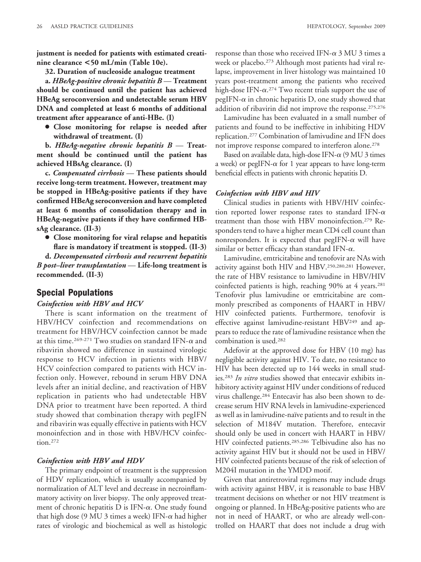**justment is needed for patients with estimated creatinine clearance <50 mL/min (Table 10e).**

**32. Duration of nucleoside analogue treatment**

**a.** *HBeAg-positive chronic hepatitis B* — **Treatment should be continued until the patient has achieved HBeAg seroconversion and undetectable serum HBV DNA and completed at least 6 months of additional treatment after appearance of anti-HBe. (I)**

● **Close monitoring for relapse is needed after withdrawal of treatment. (I)**

**b.** *HBeAg-negative chronic hepatitis B* — **Treatment should be continued until the patient has achieved HBsAg clearance. (I)**

**c.** *Compensated cirrhosis* — **These patients should receive long-term treatment. However, treatment may be stopped in HBeAg-positive patients if they have confirmed HBeAg seroconversion and have completed at least 6 months of consolidation therapy and in HBeAg-negative patients if they have confirmed HBsAg clearance. (II-3)**

● **Close monitoring for viral relapse and hepatitis flare is mandatory if treatment is stopped. (II-3)**

**d.** *Decompensated cirrhosis and recurrent hepatitis B post–liver transplantation* — **Life-long treatment is recommended. (II-3)**

## **Special Populations**

#### *Coinfection with HBV and HCV*

There is scant information on the treatment of HBV/HCV coinfection and recommendations on treatment for HBV/HCV coinfection cannot be made at this time. $^{269\text{-}271}\,\mathrm{T}$ wo studies on standard IFN- $\alpha$  and ribavirin showed no difference in sustained virologic response to HCV infection in patients with HBV/ HCV coinfection compared to patients with HCV infection only. However, rebound in serum HBV DNA levels after an initial decline, and reactivation of HBV replication in patients who had undetectable HBV DNA prior to treatment have been reported. A third study showed that combination therapy with pegIFN and ribavirin was equally effective in patients with HCV monoinfection and in those with HBV/HCV coinfection.272

### *Coinfection with HBV and HDV*

The primary endpoint of treatment is the suppression of HDV replication, which is usually accompanied by normalization of ALT level and decrease in necroinflammatory activity on liver biopsy. The only approved treatment of chronic hepatitis  $D$  is IFN- $\alpha$ . One study found that high dose (9 MU 3 times a week) IFN- $\alpha$  had higher rates of virologic and biochemical as well as histologic

response than those who received IFN- $\alpha$  3 MU 3 times a week or placebo.<sup>273</sup> Although most patients had viral relapse, improvement in liver histology was maintained 10 years post-treatment among the patients who received high-dose IFN- $\alpha$ .<sup>274</sup> Two recent trials support the use of pegIFN- $\alpha$  in chronic hepatitis D, one study showed that addition of ribavirin did not improve the response.275,276

Lamivudine has been evaluated in a small number of patients and found to be ineffective in inhibiting HDV replication.277 Combination of lamivudine and IFN does not improve response compared to interferon alone.<sup>278</sup>

Based on available data, high-dose IFN- $\alpha$  (9 MU 3 times a week) or pegIFN- $\alpha$  for 1 year appears to have long-term beneficial effects in patients with chronic hepatitis D.

#### *Coinfection with HBV and HIV*

Clinical studies in patients with HBV/HIV coinfection reported lower response rates to standard IFN- $\alpha$ treatment than those with HBV monoinfection.279 Responders tend to have a higher mean CD4 cell count than nonresponders. It is expected that pegIFN- $\alpha$  will have similar or better efficacy than standard IFN- $\alpha$ .

Lamivudine, emtricitabine and tenofovir are NAs with activity against both HIV and HBV.250,280,281 However, the rate of HBV resistance to lamivudine in HBV/HIV coinfected patients is high, reaching 90% at 4 years.<sup>281</sup> Tenofovir plus lamivudine or emtricitabine are commonly prescribed as components of HAART in HBV/ HIV coinfected patients. Furthermore, tenofovir is effective against lamivudine-resistant HBV249 and appears to reduce the rate of lamivudine resistance when the combination is used.282

Adefovir at the approved dose for HBV (10 mg) has negligible activity against HIV. To date, no resistance to HIV has been detected up to 144 weeks in small studies.283 *In vitro* studies showed that entecavir exhibits inhibitory activity against HIV under conditions of reduced virus challenge.284 Entecavir has also been shown to decrease serum HIV RNA levels in lamivudine-experienced as well as in lamivudine-naïve patients and to result in the selection of M184V mutation. Therefore, entecavir should only be used in concert with HAART in HBV/ HIV coinfected patients.285,286 Telbivudine also has no activity against HIV but it should not be used in HBV/ HIV coinfected patients because of the risk of selection of M204I mutation in the YMDD motif.

Given that antiretroviral regimens may include drugs with activity against HBV, it is reasonable to base HBV treatment decisions on whether or not HIV treatment is ongoing or planned. In HBeAg-positive patients who are not in need of HAART, or who are already well-controlled on HAART that does not include a drug with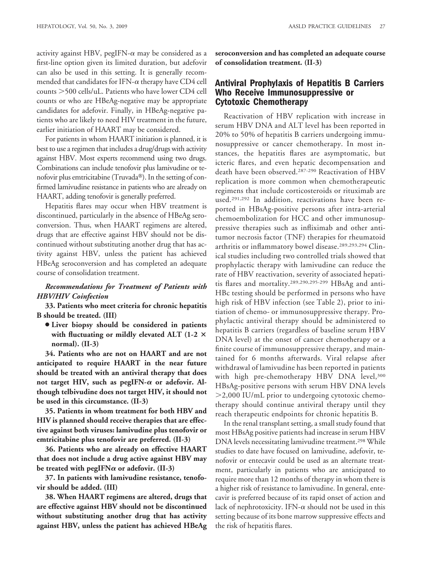activity against HBV, pegIFN- $\alpha$  may be considered as a first-line option given its limited duration, but adefovir can also be used in this setting. It is generally recommended that candidates for IFN- $\alpha$  therapy have CD4 cell counts -500 cells/uL. Patients who have lower CD4 cell counts or who are HBeAg-negative may be appropriate candidates for adefovir. Finally, in HBeAg-negative patients who are likely to need HIV treatment in the future, earlier initiation of HAART may be considered.

For patients in whom HAART initiation is planned, it is best to use a regimen that includes a drug/drugs with activity against HBV. Most experts recommend using two drugs. Combinations can include tenofovir plus lamivudine or tenofovir plus emtricitabine (Truvada®). In the setting of confirmed lamivudine resistance in patients who are already on HAART, adding tenofovir is generally preferred.

Hepatitis flares may occur when HBV treatment is discontinued, particularly in the absence of HBeAg seroconversion. Thus, when HAART regimens are altered, drugs that are effective against HBV should not be discontinued without substituting another drug that has activity against HBV, unless the patient has achieved HBeAg seroconversion and has completed an adequate course of consolidation treatment.

## *Recommendations for Treatment of Patients with HBV/HIV Coinfection*

**33. Patients who meet criteria for chronic hepatitis B should be treated. (III)**

● **Liver biopsy should be considered in patients with fluctuating or mildly elevated ALT (1-2 normal). (II-3)**

**34. Patients who are not on HAART and are not anticipated to require HAART in the near future should be treated with an antiviral therapy that does not target HIV, such as pegIFN-α or adefovir. Although telbivudine does not target HIV, it should not be used in this circumstance. (II-3)**

**35. Patients in whom treatment for both HBV and HIV is planned should receive therapies that are effective against both viruses: lamivudine plus tenofovir or emtricitabine plus tenofovir are preferred. (II-3)**

**36. Patients who are already on effective HAART that does not include a drug active against HBV may be treated with pegIFN**- **or adefovir. (II-3)**

**37. In patients with lamivudine resistance, tenofovir should be added. (III)**

**38. When HAART regimens are altered, drugs that are effective against HBV should not be discontinued without substituting another drug that has activity against HBV, unless the patient has achieved HBeAg** **seroconversion and has completed an adequate course of consolidation treatment. (II-3)**

## **Antiviral Prophylaxis of Hepatitis B Carriers Who Receive Immunosuppressive or Cytotoxic Chemotherapy**

Reactivation of HBV replication with increase in serum HBV DNA and ALT level has been reported in 20% to 50% of hepatitis B carriers undergoing immunosuppressive or cancer chemotherapy. In most instances, the hepatitis flares are asymptomatic, but icteric flares, and even hepatic decompensation and death have been observed.287-290 Reactivation of HBV replication is more common when chemotherapeutic regimens that include corticosteroids or rituximab are used.291,292 In addition, reactivations have been reported in HBsAg-positive persons after intra-arterial chemoembolization for HCC and other immunosuppressive therapies such as infliximab and other antitumor necrosis factor (TNF) therapies for rheumatoid arthritis or inflammatory bowel disease.289,293,294 Clinical studies including two controlled trials showed that prophylactic therapy with lamivudine can reduce the rate of HBV reactivation, severity of associated hepatitis flares and mortality.289,290,295-299 HBsAg and anti-HBc testing should be performed in persons who have high risk of HBV infection (see Table 2), prior to initiation of chemo- or immunosuppressive therapy. Prophylactic antiviral therapy should be administered to hepatitis B carriers (regardless of baseline serum HBV DNA level) at the onset of cancer chemotherapy or a finite course of immunosuppressive therapy, and maintained for 6 months afterwards. Viral relapse after withdrawal of lamivudine has been reported in patients with high pre-chemotherapy HBV DNA level,<sup>300</sup> HBsAg-positive persons with serum HBV DNA levels -2,000 IU/mL prior to undergoing cytotoxic chemotherapy should continue antiviral therapy until they reach therapeutic endpoints for chronic hepatitis B.

In the renal transplant setting, a small study found that most HBsAg positive patients had increase in serum HBV DNA levels necessitating lamivudine treatment.298 While studies to date have focused on lamivudine, adefovir, tenofovir or entecavir could be used as an alternate treatment, particularly in patients who are anticipated to require more than 12 months of therapy in whom there is a higher risk of resistance to lamivudine. In general, entecavir is preferred because of its rapid onset of action and lack of nephrotoxicity. IFN- $\alpha$  should not be used in this setting because of its bone marrow suppressive effects and the risk of hepatitis flares.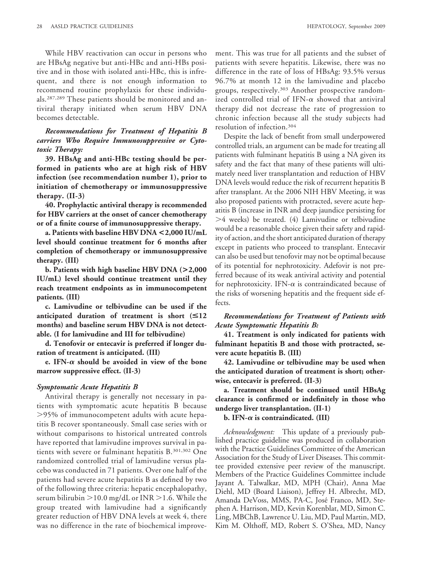While HBV reactivation can occur in persons who are HBsAg negative but anti-HBc and anti-HBs positive and in those with isolated anti-HBc, this is infrequent, and there is not enough information to recommend routine prophylaxis for these individuals.287,289 These patients should be monitored and antiviral therapy initiated when serum HBV DNA becomes detectable.

## *Recommendations for Treatment of Hepatitis B carriers Who Require Immunosuppressive or Cytotoxic Therapy:*

**39. HBsAg and anti-HBc testing should be performed in patients who are at high risk of HBV infection (see recommendation number 1), prior to initiation of chemotherapy or immunosuppressive therapy. (II-3)**

**40. Prophylactic antiviral therapy is recommended for HBV carriers at the onset of cancer chemotherapy or of a finite course of immunosuppressive therapy.**

**a. Patients with baseline HBV DNA <2,000 IU/mL level should continue treatment for 6 months after completion of chemotherapy or immunosuppressive therapy. (III)**

**b. Patients with high baseline HBV DNA (>2,000 IU/mL) level should continue treatment until they reach treatment endpoints as in immunocompetent patients. (III)**

**c. Lamivudine or telbivudine can be used if the** anticipated duration of treatment is short  $(\leq 12)$ **months) and baseline serum HBV DNA is not detectable. (I for lamivudine and III for telbivudine)**

**d. Tenofovir or entecavir is preferred if longer duration of treatment is anticipated. (III)**

 $e$ . IFN- $\alpha$  should be avoided in view of the bone **marrow suppressive effect. (II-3)**

## *Symptomatic Acute Hepatitis B*

Antiviral therapy is generally not necessary in patients with symptomatic acute hepatitis B because -95% of immunocompetent adults with acute hepatitis B recover spontaneously. Small case series with or without comparisons to historical untreated controls have reported that lamivudine improves survival in patients with severe or fulminant hepatitis B.301,302 One randomized controlled trial of lamivudine versus placebo was conducted in 71 patients. Over one half of the patients had severe acute hepatitis B as defined by two of the following three criteria: hepatic encephalopathy, serum bilirubin >10.0 mg/dL or INR >1.6. While the group treated with lamivudine had a significantly greater reduction of HBV DNA levels at week 4, there was no difference in the rate of biochemical improvement. This was true for all patients and the subset of patients with severe hepatitis. Likewise, there was no difference in the rate of loss of HBsAg: 93.5% versus 96.7% at month 12 in the lamivudine and placebo groups, respectively.303 Another prospective randomized controlled trial of IFN- $\alpha$  showed that antiviral therapy did not decrease the rate of progression to chronic infection because all the study subjects had resolution of infection.304

Despite the lack of benefit from small underpowered controlled trials, an argument can be made for treating all patients with fulminant hepatitis B using a NA given its safety and the fact that many of these patients will ultimately need liver transplantation and reduction of HBV DNA levels would reduce the risk of recurrent hepatitis B after transplant. At the 2006 NIH HBV Meeting, it was also proposed patients with protracted, severe acute hepatitis B (increase in INR and deep jaundice persisting for -4 weeks) be treated. (4) Lamivudine or telbivudine would be a reasonable choice given their safety and rapidity of action, and the short anticipated duration of therapy except in patients who proceed to transplant. Entecavir can also be used but tenofovir may not be optimal because of its potential for nephrotoxicity. Adefovir is not preferred because of its weak antiviral activity and potential for nephrotoxicity. IFN- $\alpha$  is contraindicated because of the risks of worsening hepatitis and the frequent side effects.

## *Recommendations for Treatment of Patients with Acute Symptomatic Hepatitis B:*

**41. Treatment is only indicated for patients with fulminant hepatitis B and those with protracted, severe acute hepatitis B. (III)**

**42. Lamivudine or telbivudine may be used when the anticipated duration of treatment is short; otherwise, entecavir is preferred. (II-3)**

**a. Treatment should be continued until HBsAg clearance is confirmed or indefinitely in those who undergo liver transplantation. (II-1)**

**b.** IFN- $\alpha$  is contraindicated. (III)

*Acknowledgment:* This update of a previously published practice guideline was produced in collaboration with the Practice Guidelines Committee of the American Association for the Study of Liver Diseases. This committee provided extensive peer review of the manuscript. Members of the Practice Guidelines Committee include Jayant A. Talwalkar, MD, MPH (Chair), Anna Mae Diehl, MD (Board Liaison), Jeffrey H. Albrecht, MD, Amanda DeVoss, MMS, PA-C, José Franco, MD, Stephen A. Harrison, MD, Kevin Korenblat, MD, Simon C. Ling, MBChB, Lawrence U. Liu, MD, Paul Martin, MD, Kim M. Olthoff, MD, Robert S. O'Shea, MD, Nancy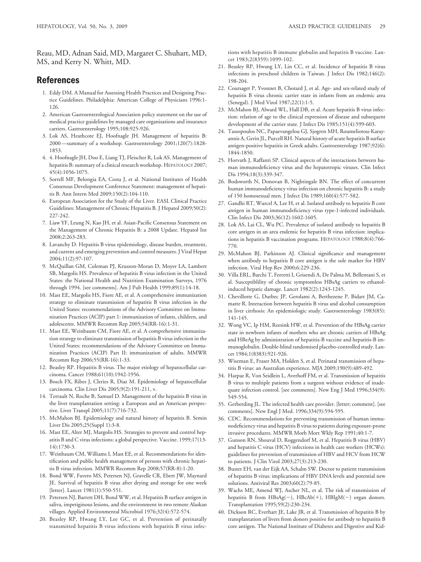Reau, MD, Adnan Said, MD, Margaret C. Shuhart, MD, MS, and Kerry N. Whitt, MD.

## **References**

- 1. Eddy DM. A Manual for Assessing Health Practices and Designing Practice Guidelines. Philadelphia: American College of Physicians 1996:1- 126.
- 2. American Gastroenterological Association policy statement on the use of medical practice guidelines by managed care organizations and insurance carriers. Gastroenterology 1995;108:925-926.
- 3. Lok AS, Heathcote EJ, Hoofnagle JH. Management of hepatitis B: 2000—summary of a workshop. Gastroenterology 2001;120(7):1828- 1853.
- 4. 4. Hoofnagle JH, Doo E, Liang TJ, Fleischer R, Lok AS. Management of hepatitis B: summary of a clinical research workshop. HEPATOLOGY 2007; 45(4):1056-1075.
- 5. Sorrell MF, Belongia EA, Costa J, et al. National Institutes of Health Consensus Development Conference Statement: management of hepatitis B. Ann Intern Med 2009;150(2):104-110.
- 6. European Association for the Study of the Liver. EASL Clinical Practice Guidelines: Management of Chronic Hepatitis B. J Hepatol 2009;50(2): 227-242.
- 7. Liaw YF, Leung N, Kao JH, et al. Asian-Pacific Consensus Statement on the Management of Chronic Hepatitis B: a 2008 Update. Hepatol Int 2008;2:263-283.
- 8. Lavanchy D. Hepatitis B virus epidemiology, disease burden, treatment, and current and emerging prevention and control measures. J Viral Hepat 2004;11(2):97-107.
- 9. McQuillan GM, Coleman PJ, Kruszon-Moran D, Moyer LA, Lambert SB, Margolis HS. Prevalence of hepatitis B virus infection in the United States: the National Health and Nutrition Examination Surveys, 1976 through 1994. [see comments]. Am J Pub Health 1999;89(1):14-18.
- 10. Mast EE, Margolis HS, Fiore AE, et al. A comprehensive immunization strategy to eliminate transmission of hepatitis B virus infection in the United States: recommendations of the Advisory Committee on Immunization Practices (ACIP) part 1: immunization of infants, children, and adolescents. MMWR Recomm Rep 2005;54(RR-16):1-31.
- 11. Mast EE, Weinbaum CM, Fiore AE, et al. A comprehensive immunization strategy to eliminate transmission of hepatitis B virus infection in the United States: recommendations of the Advisory Committee on Immunization Practices (ACIP) Part II: immunization of adults. MMWR Recomm Rep 2006;55(RR-16):1-33.
- 12. Beasley RP. Hepatitis B virus. The major etiology of hepatocellular carcinoma. Cancer 1988;61(10):1942-1956.
- 13. Bosch FX, Ribes J, Cleries R, Diaz M. Epidemiology of hepatocellular carcinoma. Clin Liver Dis 2005;9(2):191-211, v.
- 14. Terrault N, Roche B, Samuel D. Management of the hepatitis B virus in the liver transplantation setting: a European and an American perspective. Liver Transpl 2005;11(7):716-732.
- 15. McMahon BJ. Epidemiology and natural history of hepatitis B. Semin Liver Dis 2005;25(Suppl 1):3-8.
- 16. Mast EE, Alter MJ, Margolis HS. Strategies to prevent and control hepatitis B and C virus infections: a global perspective. Vaccine. 1999;17(13- 14):1730-3.
- 17. Weinbaum CM, Williams I, Mast EE, et al. Recommendations for identification and public health management of persons with chronic hepatitis B virus infection. MMWR Recomm Rep 2008;57(RR-8):1-20.
- 18. Bond WW, Favero MS, Petersen NJ, Gravelle CR, Ebert JW, Maynard JE. Survival of hepatitis B virus after drying and storage for one week [letter]. Lancet 1981(1):550-551.
- 19. Petersen NJ, Barrett DH, Bond WW, et al. Hepatitis B surface antigen in saliva, impetiginous lesions, and the environment in two remote Alaskan villages. Applied Environmental Microbiol 1976;32(4):572-574.
- 20. Beasley RP, Hwang LY, Lee GC, et al. Prevention of perinatally transmitted hepatitis B virus infections with hepatitis B virus infec-

tions with hepatitis B immune globulin and hepatitis B vaccine. Lancet 1983;2(8359):1099-102.

- 21. Beasley RP, Hwang LY, Lin CC, et al. Incidence of hepatitis B virus infections in preschool children in Taiwan. J Infect Dis 1982;146(2): 198-204.
- 22. Coursaget P, Yvonnet B, Chotard J, et al. Age- and sex-related study of hepatitis B virus chronic carrier state in infants from an endemic area (Senegal). J Med Virol 1987;22(1):1-5.
- 23. McMahon BJ, Alward WL, Hall DB, et al. Acute hepatitis B virus infection: relation of age to the clinical expression of disease and subsequent development of the carrier state. J Infect Dis 1985;151(4):599-603.
- 24. Tassopoulos NC, Papaevangelou GJ, Sjogren MH, Roumeliotou-Karayannis A, Gerin JL, Purcell RH. Natural history of acute hepatitis B surface antigen-positive hepatitis in Greek adults. Gastroenterology 1987;92(6): 1844-1850.
- 25. Horvath J, Raffanti SP. Clinical aspects of the interactions between human immunodeficiency virus and the hepatotropic viruses. Clin Infect Dis 1994;18(3):339-347.
- 26. Bodsworth N, Donovan B, Nightingale BN. The effect of concurrent human immunodeficiency virus infection on chronic hepatitis B: a study of 150 homosexual men. J Infect Dis 1989;160(4):577-582.
- 27. Gandhi RT, Wurcel A, Lee H, et al. Isolated antibody to hepatitis B core antigen in human immunodeficiency virus type-1-infected individuals. Clin Infect Dis 2003;36(12):1602-1605.
- 28. Lok AS, Lai CL, Wu PC. Prevalence of isolated antibody to hepatitis B core antigen in an area endemic for hepatitis B virus infection: implications in hepatitis B vaccination programs. HEPATOLOGY 1988;8(4):766- 770.
- 29. McMahon BJ, Parkinson AJ. Clinical significance and management when antibody to hepatitis B core antigen is the sole marker for HBV infection. Viral Hep Rev 2000;6:229-236.
- 30. Villa ERL, Barchi T, Ferretti I, Grisendi A, De Palma M, Bellentani S, et al. Susceptiblility of chronic symptomless HBsAg carriers to ethanolinduced hepatic damage. Lancet 1982(2):1243-1245.
- 31. Chevillotte G, Durbec JP, Gerolami A, Berthezene P, Bidart JM, Camatte R. Interaction between hepatitis B virus and alcohol consumption in liver cirrhosis: An epidemiologic study. Gastroenterology 1983(85): 141-145.
- 32. Wong VC, Ip HM, Reesink HW, et al. Prevention of the HBsAg carrier state in newborn infants of mothers who are chronic carriers of HBsAg and HBeAg by administration of hepatitis-B vaccine and hepatitis-B immunoglobulin. Double-blind randomised placebo-controlled study. Lancet 1984;1(8383):921-926.
- 33. Wiseman E, Fraser MA, Holden S, et al. Perinatal transmission of hepatitis B virus: an Australian experience. MJA 2009;190(9):489-492.
- 34. Harpaz R, Von Seidlein L, Averhoff FM, et al. Transmission of hepatitis B virus to multiple patients from a surgeon without evidence of inadequate infection control. [see comments]. New Eng J Med 1996;334(9): 549-554.
- 35. Gerberding JL. The infected health care provider. [letter; comment]. [see comments]. New Engl J Med. 1996;334(9):594-595.
- 36. CDC. Recommendations for preventing transmission of human immunodeficiency virus and hepatitis B virus to patients during exposure-prone invasive procedures. MMWR Morb Mort Wkly Rep 1991;40:1-7.
- 37. Gunson RN, Shouval D, Roggendorf M, et al. Hepatitis B virus (HBV) and hepatitis C virus (HCV) infections in health care workers (HCWs): guidelines for prevention of transmission of HBV and HCV from HCW to patients. J Clin Virol 2003;27(3):213-230.
- 38. Buster EH, van der Eijk AA, Schalm SW. Doctor to patient transmission of hepatitis B virus: implications of HBV DNA levels and potential new solutions. Antiviral Res 2003;60(2):79-85.
- Wachs ME, Amend WJ, Ascher NL, et al. The risk of transmission of hepatitis B from  $HBsAg(-)$ ,  $HBeAb(+)$ ,  $HBlgM(-)$  organ donors. Transplantation 1995;59(2):230-234.
- 40. Dickson RC, Everhart JE, Lake JR, et al. Transmission of hepatitis B by transplantation of livers from donors positive for antibody to hepatitis B core antigen. The National Institute of Diabetes and Digestive and Kid-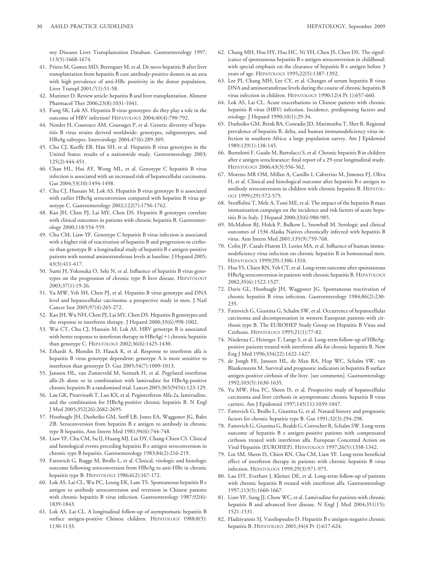ney Diseases Liver Transplantation Database. Gastroenterology 1997; 113(5):1668-1674.

- 41. Prieto M, Gomez MD, Berenguer M, et al. De novo hepatitis B after liver transplantation from hepatitis B core antibody-positive donors in an area with high prevalence of anti-HBc positivity in the donor population. Liver Transpl 2001;7(1):51-58.
- 42. Mutimer D. Review article: hepatitis B and liver transplantation. Aliment Pharmacol Ther 2006;23(8):1031-1041.
- 43. Fung SK, Lok AS. Hepatitis B virus genotypes: do they play a role in the outcome of HBV infection? HEPATOLOGY 2004;40(4):790-792.
- 44. Norder H, Courouce AM, Coursaget P, et al. Genetic diversity of hepatitis B virus strains derived worldwide: genotypes, subgenotypes, and HBsAg subtypes. Intervirology 2004;47(6):289-309.
- 45. Chu CJ, Keeffe EB, Han SH, et al. Hepatitis B virus genotypes in the United States: results of a nationwide study. Gastroenterology 2003; 125(2):444-451.
- 46. Chan HL, Hui AY, Wong ML, et al. Genotype C hepatitis B virus infection is associated with an increased risk of hepatocellular carcinoma. Gut 2004;53(10):1494-1498.
- 47. Chu CJ, Hussain M, Lok AS. Hepatitis B virus genotype B is associated with earlier HBeAg seroconversion compared with hepatitis B virus genotype C. Gastroenterology 2002;122(7):1756-1762.
- 48. Kao JH, Chen PJ, Lai MY, Chen DS. Hepatitis B genotypes correlate with clinical outcomes in patients with chronic hepatitis B. Gastroenterology 2000;118:554-559.
- 49. Chu CM, Liaw YF. Genotype C hepatitis B virus infection is associated with a higher risk of reactivation of hepatitis B and progression to cirrhosis than genotype B: a longitudinal study of hepatitis B e antigen-positive patients with normal aminotransferase levels at baseline. J Hepatol 2005; 43(3):411-417.
- 50. Sumi H, Yokosuka O, Seki N, et al. Influence of hepatitis B virus genotypes on the progression of chronic type B liver disease. HEPATOLOGY 2003;37(1):19-26.
- 51. Yu MW, Yeh SH, Chen PJ, et al. Hepatitis B virus genotype and DNA level and hepatocellular carcinoma: a prospective study in men. J Natl Cancer Inst 2005;97(4):265-272.
- 52. Kao JH, Wu NH, Chen PJ, Lai MY, Chen DS. Hepatitis B genotypes and the response to interferon therapy. J Hepatol 2000;33(6):998-1002.
- 53. Wai CT, Chu CJ, Hussain M, Lok AS. HBV genotype B is associated with better response to interferon therapy in  $HBeAg(+)$  chronic hepatitis than genotype C. HEPATOLOGY 2002;36(6):1425-1430.
- 54. Erhardt A, Blondin D, Hauck K, et al. Response to interferon alfa is hepatitis B virus genotype dependent: genotype A is more sensitive to interferon than genotype D. Gut 2005;54(7):1009-1013.
- 55. Janssen HL, van Zonneveld M, Senturk H, et al. Pegylated interferon alfa-2b alone or in combination with lamivudine for HBeAg-positive chronic hepatitis B: a randomised trial. Lancet 2005;365(9454):123-129.
- 56. Lau GK, Piratvisuth T, Luo KX, et al. Peginterferon Alfa-2a, lamivudine, and the combination for HBeAg-positive chronic hepatitis B. N Engl J Med 2005;352(26):2682-2695.
- 57. Hoofnagle JH, Dusheiko GM, Seeff LB, Jones EA, Waggoner JG, Bales ZB. Seroconversion from hepatitis B e antigen to antibody in chronic type B hepatitis. Ann Intern Med 1981;94(6):744-748.
- 58. Liaw YF, Chu CM, Su IJ, Huang MJ, Lin DY, Chang-Chien CS. Clinical and histological events preceding hepatitis B e antigen seroconversion in chronic type B hepatitis. Gastroenterology 1983;84(2):216-219.
- 59. Fattovich G, Rugge M, Brollo L, et al. Clinical, virologic and histologic outcome following seroconversion from HBeAg to anti-HBe in chronic hepatitis type B. HEPATOLOGY 1986;6(2):167-172.
- 60. Lok AS, Lai CL, Wu PC, Leung EK, Lam TS. Spontaneous hepatitis B e antigen to antibody seroconversion and reversion in Chinese patients with chronic hepatitis B virus infection. Gastroenterology 1987;92(6): 1839-1843.
- 61. Lok AS, Lai CL. A longitudinal follow-up of asymptomatic hepatitis B surface antigen-positive Chinese children. HEPATOLOGY 1988;8(5): 1130-1133.
- 62. Chang MH, Hsu HY, Hsu HC, Ni YH, Chen JS, Chen DS. The significance of spontaneous hepatitis B e antigen seroconversion in childhood: with special emphasis on the clearance of hepatitis B e antigen before 3 years of age. HEPATOLOGY 1995;22(5):1387-1392.
- 63. Lee PI, Chang MH, Lee CY, et al. Changes of serum hepatitis B virus DNA and aminotransferase levels during the course of chronic hepatitis B virus infection in children. HEPATOLOGY 1990;12(4 Pt 1):657-660.
- 64. Lok AS, Lai CL. Acute exacerbations in Chinese patients with chronic hepatitis B virus (HBV) infection. Incidence, predisposing factors and etiology. J Hepatol 1990;10(1):29-34.
- 65. Dusheiko GM, Brink BA, Conradie JD, Marimuthu T, Sher R. Regional prevalence of hepatitis B, delta, and human immunodeficiency virus infection in southern Africa: a large population survey. Am J Epidemiol 1989;129(1):138-145.
- 66. Bortolotti F, Guido M, Bartolacci S, et al. Chronic hepatitis B in children after e antigen seroclearance: final report of a 29-year longitudinal study. HEPATOLOGY 2006;43(3):556-562.
- 67. Moreno MR OM, Millan A, Castillo I, Cabrerizo M, Jimenez FJ, Oliva H, et al. Clinical and histological outcome after hepatitis B e antigen to antibody seroconversion in children with chronic hepatitis B. HEPATOL-OGY 1999;(29):572-575.
- 68. Stroffolini T, Mele A, Tosti ME, et al. The impact of the hepatitis B mass immunisation campaign on the incidence and risk factors of acute hepatitis B in Italy. J Hepatol 2000;33(6):980-985.
- 69. McMahon BJ, Holck P, Bulkow L, Snowball M. Serologic and clinical outcomes of 1536 Alaska Natives chronically infected with hepatitis B virus. Ann Intern Med 2001;135(9):759-768.
- 70. Colin JF, Cazals-Hatem D, Loriot MA, et al. Influence of human immunodeficiency virus infection on chronic hepatitis B in homosexual men. HEPATOLOGY 1999(29):1306-1310.
- 71. Hsu YS, Chien RN, Yeh CT, et al. Long-term outcome after spontaneous HBeAg seroconversion in patients with chronic hepatitis B. HEPATOLOGY 2002;35(6):1522-1527.
- 72. Davis GL, Hoofnagle JH, Waggoner JG. Spontaneous reactivation of chronic hepatitis B virus infection. Gastroenterology 1984;86(2):230- 235.
- 73. Fattovich G, Giustina G, Schalm SW, et al. Occurrence of hepatocellular carcinoma and decompensation in western European patients with cirrhosis type B. The EUROHEP Study Group on Hepatitis B Virus and Cirrhosis. HEPATOLOGY 1995;21(1):77-82.
- 74. Niederau C, Heintges T, Lange S, et al. Long-term follow-up of HBeAgpositive patients treated with interferon alfa for chronic hepatitis B. New Eng J Med 1996;334(22):1422-1427.
- 75. de Jongh FE, Janssen HL, de Man RA, Hop WC, Schalm SW, van Blankenstein M. Survival and prognostic indicators in hepatitis B surface antigen-positive cirrhosis of the liver. [see comments]. Gastroenterology 1992;103(5):1630-1635.
- 76. Yu MW, Hsu FC, Sheen IS, et al. Prospective study of hepatocellular carcinoma and liver cirrhosis in asymptomatic chronic hepatitis B virus carriers. Am J Epidemiol 1997;145(11):1039-1047.
- 77. Fattovich G, Brollo L, Giustina G, et al. Natural history and prognostic factors for chronic hepatitis type B. Gut 1991;32(3):294-298.
- 78. Fattovich G, Giustina G, Realdi G, Corrocher R, Schalm SW. Long-term outcome of hepatitis B e antigen-positive patients with compensated cirrhosis treated with interferon alfa. European Concerted Action on Viral Hepatitis (EUROHEP). HEPATOLOGY 1997;26(5):1338-1342.
- 79. Lin SM, Sheen IS, Chien RN, Chu CM, Liaw YF. Long-term beneficial effect of interferon therapy in patients with chronic hepatitis B virus infection. HEPATOLOGY 1999;29(3):971-975.
- 80. Lau DT, Everhart J, Kleiner DE, et al. Long-term follow-up of patients with chronic hepatitis B treated with interferon alfa. Gastroenterology 1997;113(5):1660-1667.
- 81. Liaw YF, Sung JJ, Chow WC, et al. Lamivudine for patients with chronic hepatitis B and advanced liver disease. N Engl J Med 2004;351(15): 1521-1531.
- 82. Hadziyannis SJ, Vassilopoulos D. Hepatitis B e antigen-negative chronic hepatitis B. HEPATOLOGY 2001;34(4 Pt 1):617-624.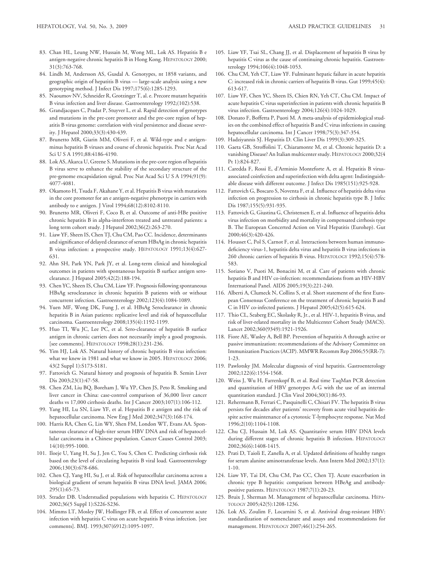- 83. Chan HL, Leung NW, Hussain M, Wong ML, Lok AS. Hepatitis B e antigen-negative chronic hepatitis B in Hong Kong. HEPATOLOGY 2000; 31(3):763-768.
- 84. Lindh M, Andersson AS, Gusdal A. Genotypes, nt 1858 variants, and geographic origin of hepatitis B virus — large-scale analysis using a new genotyping method. J Infect Dis 1997;175(6):1285-1293.
- 85. Naoumov NV, Schneider R, Grotzinger T, al. e. Precore mutant hepatitis B virus infection and liver disease. Gastroenterology 1992;(102):538.
- 86. Grandjacques C, Pradat P, Stuyver L, et al. Rapid detection of genotypes and mutations in the pre-core promoter and the pre-core region of hepatitis B virus genome: correlation with viral persistence and disease severity. J Hepatol 2000;33(3):430-439.
- 87. Brunetto MR, Giarin MM, Oliveri F, et al. Wild-type and e antigenminus hepatitis B viruses and course of chronic hepatitis. Proc Nat Acad Sci U S A 1991;88:4186-4190.
- 88. Lok AS, Akarca U, Greene S. Mutations in the pre-core region of hepatitis B virus serve to enhance the stability of the secondary structure of the pre-genome encapsidation signal. Proc Nat Acad Sci U S A 1994;91(9): 4077-4081.
- 89. Okamoto H, Tsuda F, Akahane Y, et al. Hepatitis B virus with mutations in the core promoter for an e antigen-negative phenotype in carriers with antibody to e antigen. J Virol 1994;68(12):8102-8110.
- 90. Brunetto MR, Oliveri F, Coco B, et al. Outcome of anti-HBe positive chronic hepatitis B in alpha-interferon treated and untreated patients: a long term cohort study. J Hepatol 2002;36(2):263-270.
- 91. Liaw YF, Sheen IS, Chen TJ, Chu CM, Pao CC. Incidence, determinants and significance of delayed clearance of serum HBsAg in chronic hepatitis B virus infection: a prospective study. HEPATOLOGY 1991;13(4):627- 631.
- 92. Ahn SH, Park YN, Park JY, et al. Long-term clinical and histological outcomes in patients with spontaneous hepatitis B surface antigen seroclearance. J Hepatol 2005;42(2):188-194.
- 93. Chen YC, Sheen IS, Chu CM, Liaw YF. Prognosis following spontaneous HBsAg seroclearance in chronic hepatitis B patients with or without concurrent infection. Gastroenterology 2002;123(4):1084-1089.
- 94. Yuen MF, Wong DK, Fung J, et al. HBsAg Seroclearance in chronic hepatitis B in Asian patients: replicative level and risk of hepatocellular carcinoma. Gastroenterology 2008;135(4):1192-1199.
- 95. Huo TI, Wu JC, Lee PC, et al. Sero-clearance of hepatitis B surface antigen in chronic carriers does not necessarily imply a good prognosis. [see comments]. HEPATOLOGY 1998;28(1):231-236.
- 96. Yim HJ, Lok AS. Natural history of chronic hepatitis B virus infection: what we knew in 1981 and what we know in 2005. HEPATOLOGY 2006; 43(2 Suppl 1):S173-S181.
- 97. Fattovich G. Natural history and prognosis of hepatitis B. Semin Liver Dis 2003;23(1):47-58.
- 98. Chen ZM, Liu BQ, Boreham J, Wu YP, Chen JS, Peto R. Smoking and liver cancer in China: case-control comparison of 36,000 liver cancer deaths vs 17,000 cirrhosis deaths. Int J Cancer 2003;107(1):106-112.
- 99. Yang HI, Lu SN, Liaw YF, et al. Hepatitis B e antigen and the risk of hepatocellular carcinoma. New Eng J Med 2002;347(3):168-174.
- 100. Harris RA, Chen G, Lin WY, Shen FM, London WT, Evans AA. Spontaneous clearance of high-titer serum HBV DNA and risk of hepatocellular carcinoma in a Chinese population. Cancer Causes Control 2003; 14(10):995-1000.
- 101. Iloeje U, Yang H, Su J, Jen C, You S, Chen C. Predicting cirrhosis risk based on the level of circulating hepatitis B viral load. Gastroenterology 2006;130(3):678-686.
- 102. Chen CJ, Yang HI, Su J, et al. Risk of hepatocellular carcinoma across a biological gradient of serum hepatitis B virus DNA level. JAMA 2006; 295(1):65-73.
- 103. Strader DB. Understudied populations with hepatitis C. HEPATOLOGY 2002;36(5 Suppl 1):S226-S236.
- 104. Mimms LT, Mosley JW, Hollinger FB, et al. Effect of concurrent acute infection with hepatitis C virus on acute hepatitis B virus infection. [see comments]. BMJ. 1993;307(6912):1095-1097.
- 105. Liaw YF, Tsai SL, Chang JJ, et al. Displacement of hepatitis B virus by hepatitis C virus as the cause of continuing chronic hepatitis. Gastroenterology 1994;106(4):1048-1053.
- 106. Chu CM, Yeh CT, Liaw YF. Fulminant hepatic failure in acute hepatitis C: increased risk in chronic carriers of hepatitis B virus. Gut 1999;45(4): 613-617.
- 107. Liaw YF, Chen YC, Sheen IS, Chien RN, Yeh CT, Chu CM. Impact of acute hepatitis C virus superinfection in patients with chronic hepatitis B virus infection. Gastroenterology 2004;126(4):1024-1029.
- 108. Donato F, Boffetta P, Puoti M. A meta-analysis of epidemiological studies on the combined effect of hepatitis B and C virus infections in causing hepatocellular carcinoma. Int J Cancer 1998;75(3):347-354.
- 109. Hadziyannis SJ. Hepatitis D. Clin Liver Dis 1999(3):309-325.
- 110. Gaeta GB, Stroffolini T, Chiaramonte M, et al. Chronic hepatitis D: a vanishing Disease? An Italian multicenter study. HEPATOLOGY 2000;32(4 Pt 1):824-827.
- 111. Caredda F, Rossi E, d'Arminio Monteforte A, et al. Hepatitis B virusassociated coinfection and superinfection with delta agent: Indistinguishable disease with different outcome. J Infect Dis 1985(151):925-928.
- 112. Fattovich G, Boscaro S, Noventa F, et al. Influence of hepatitis delta virus infection on progression to cirrhosis in chronic hepatitis type B. J Infec Dis 1987;155(5):931-935.
- 113. Fattovich G, Giustina G, Christensen E, et al. Influence of hepatitis delta virus infection on morbidity and mortality in compensated cirrhosis type B. The European Concerted Action on Viral Hepatitis (Eurohep). Gut 2000;46(3):420-426.
- 114. Housset C, Pol S, Carnot F, et al. Interactions between human immunodeficiency virus-1, hepatitis delta virus and hepatitis B virus infections in 260 chronic carriers of hepatitis B virus. HEPATOLOGY 1992;15(4):578- 583.
- 115. Soriano V, Puoti M, Bonacini M, et al. Care of patients with chronic hepatitis B and HIV co-infection: recommendations from an HIV-HBV International Panel. AIDS 2005;19(3):221-240.
- 116. Alberti A, Clumeck N, Collins S, et al. Short statement of the first European Consensus Conference on the treatment of chronic hepatitis B and C in HIV co-infected patients. J Hepatol 2005;42(5):615-624.
- 117. Thio CL, Seaberg EC, Skolasky R, Jr., et al. HIV-1, hepatitis B virus, and risk of liver-related mortality in the Multicenter Cohort Study (MACS). Lancet 2002;360(9349):1921-1926.
- 118. Fiore AE, Wasley A, Bell BP. Prevention of hepatitis A through active or passive immunization: recommendations of the Advisory Committee on Immunization Practices (ACIP). MMWR Recomm Rep 2006;55(RR-7): 1-23.
- 119. Pawlotsky JM. Molecular diagnosis of viral hepatitis. Gastroenterology 2002;122(6):1554-1568.
- 120. Weiss J, Wu H, Farrenkopf B, et al. Real time TaqMan PCR detection and quantitation of HBV genotypes A-G with the use of an internal quantitation standard. J Clin Virol 2004;30(1):86-93.
- 121. Rehermann B, Ferrari C, Pasquinelli C, Chisari FV. The hepatitis B virus persists for decades after patients' recovery from acute viral hepatitis despite active maintenance of a cytotoxic T-lymphocyte response. Nat Med 1996;2(10):1104-1108.
- 122. Chu CJ, Hussain M, Lok AS. Quantitative serum HBV DNA levels during different stages of chronic hepatitis B infection. HEPATOLOGY 2002;36(6):1408-1415.
- 123. Prati D, Taioli E, Zanella A, et al. Updated definitions of healthy ranges for serum alanine aminotransferase levels. Ann Intern Med 2002;137(1): 1-10.
- 124. Liaw YF, Tai DI, Chu CM, Pao CC, Chen TJ. Acute exacerbation in chronic type B hepatitis: comparison between HBeAg and antibodypositive patients. HEPATOLOGY 1987;7(1):20-23.
- 125. Bruix J, Sherman M. Management of hepatocellular carcinoma. HEPA-TOLOGY 2005;42(5):1208-1236.
- 126. Lok AS, Zoulim F, Locarnini S, et al. Antiviral drug-resistant HBV: standardization of nomenclature and assays and recommendations for management. HEPATOLOGY 2007;46(1):254-265.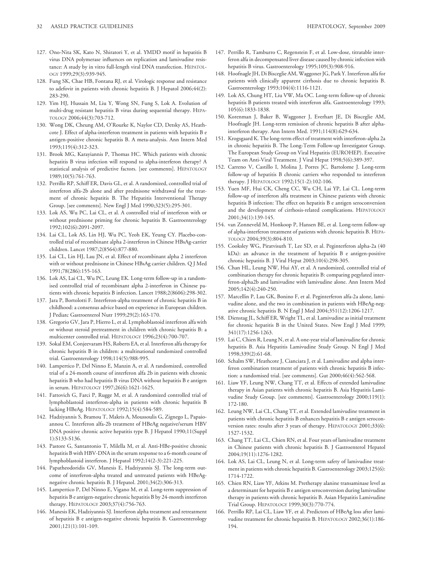- 127. Ono-Nita SK, Kato N, Shiratori Y, et al. YMDD motif in hepatitis B virus DNA polymerase influences on replication and lamivudine resistance: A study by in vitro full-length viral DNA transfection. HEPATOL-OGY 1999;29(3):939-945.
- 128. Fung SK, Chae HB, Fontana RJ, et al. Virologic response and resistance to adefovir in patients with chronic hepatitis B. J Hepatol 2006;44(2): 283-290.
- 129. Yim HJ, Hussain M, Liu Y, Wong SN, Fung S, Lok A. Evolution of multi-drug resistant hepatitis B virus during sequential therapy. HEPA-TOLOGY 2006;44(3):703-712.
- 130. Wong DK, Cheung AM, O'Rourke K, Naylor CD, Detsky AS, Heathcote J. Effect of alpha-interferon treatment in patients with hepatitis B e antigen-positive chronic hepatitis B. A meta-analysis. Ann Intern Med 1993;119(4):312-323.
- 131. Brook MG, Karayiannis P, Thomas HC. Which patients with chronic hepatitis B virus infection will respond to alpha-interferon therapy? A statistical analysis of predictive factors. [see comments]. HEPATOLOGY 1989;10(5):761-763.
- 132. Perrillo RP, Schiff ER, Davis GL, et al. A randomized, controlled trial of interferon alfa-2b alone and after prednisone withdrawal for the treatment of chronic hepatitis B. The Hepatitis Interventional Therapy Group. [see comments]. New Engl J Med 1990;323(5):295-301.
- 133. Lok AS, Wu PC, Lai CL, et al. A controlled trial of interferon with or without prednisone priming for chronic hepatitis B. Gastroenterology 1992;102(6):2091-2097.
- 134. Lai CL, Lok AS, Lin HJ, Wu PC, Yeoh EK, Yeung CY. Placebo-controlled trial of recombinant alpha 2-interferon in Chinese HBsAg-carrier children. Lancet 1987;2(8564):877-880.
- 135. Lai CL, Lin HJ, Lau JN, et al. Effect of recombinant alpha 2 interferon with or without prednisone in Chinese HBsAg carrier children. Q J Med 1991;78(286):155-163.
- 136. Lok AS, Lai CL, Wu PC, Leung EK. Long-term follow-up in a randomised controlled trial of recombinant alpha 2-interferon in Chinese patients with chronic hepatitis B infection. Lancet 1988;2(8606):298-302.
- 137. Jara P, Bortolotti F. Interferon-alpha treatment of chronic hepatitis B in childhood: a consensus advice based on experience in European children. J Pediatc Gastroenterol Nutr 1999;29(2):163-170.
- 138. Gregorio GV, Jara P, Hierro L, et al. Lymphoblastoid interferon alfa with or without steroid pretreatment in children with chronic hepatitis B: a multicenter controlled trial. HEPATOLOGY 1996;23(4):700-707.
- 139. Sokal EM, Conjeevaram HS, Roberts EA, et al. Interferon alfa therapy for chronic hepatitis B in children: a multinational randomized controlled trial. Gastroenterology 1998;114(5):988-995.
- 140. Lampertico P, Del Ninno E, Manzin A, et al. A randomized, controlled trial of a 24-month course of interferon alfa 2b in patients with chronic hepatitis B who had hepatitis B virus DNA without hepatitis B e antigen in serum. HEPATOLOGY 1997;26(6):1621-1625.
- 141. Fattovich G, Farci P, Rugge M, et al. A randomized controlled trial of lymphoblastoid interferon-alpha in patients with chronic hepatitis B lacking HBeAg. HEPATOLOGY 1992;15(4):584-589.
- 142. Hadziyannis S, Bramou T, Makris A, Moussoulis G, Zignego L, Papaioannou C. Interferon alfa-2b treatment of HBeAg negative/serum HBV DNA positive chronic active hepatitis type B. J Hepatol 1990;11(Suppl 1):S133-S136.
- 143. Pastore G, Santantonio T, Milella M, et al. Anti-HBe-positive chronic hepatitis B with HBV-DNA in the serum response to a 6-month course of lymphoblastoid interferon. J Hepatol 1992;14(2-3):221-225.
- 144. Papatheodoridis GV, Manesis E, Hadziyannis SJ. The long-term outcome of interferon-alpha treated and untreated patients with HBeAgnegative chronic hepatitis B. J Hepatol. 2001;34(2):306-313.
- 145. Lampertico P, Del Ninno E, Vigano M, et al. Long-term suppression of hepatitis B e antigen-negative chronic hepatitis B by 24-month interferon therapy. HEPATOLOGY 2003;37(4):756-763.
- 146. Manesis EK, Hadziyannis SJ. Interferon alpha treatment and retreatment of hepatitis B e antigen-negative chronic hepatitis B. Gastroenterology 2001;121(1):101-109.
- 147. Perrillo R, Tamburro C, Regenstein F, et al. Low-dose, titratable interferon alfa in decompensated liver disease caused by chronic infection with hepatitis B virus. Gastroenterology 1995;109(3):908-916.
- 148. Hoofnagle JH, Di Bisceglie AM, Waggoner JG, Park Y. Interferon alfa for patients with clinically apparent cirrhosis due to chronic hepatitis B. Gastroenterology 1993;104(4):1116-1121.
- 149. Lok AS, Chung HT, Liu VW, Ma OC. Long-term follow-up of chronic hepatitis B patients treated with interferon alfa. Gastroenterology 1993; 105(6):1833-1838.
- 150. Korenman J, Baker B, Waggoner J, Everhart JE, Di Bisceglie AM, Hoofnagle JH. Long-term remission of chronic hepatitis B after alphainterferon therapy. Ann Intern Med. 1991;114(8):629-634.
- 151. Krogsgaard K. The long-term effect of treatment with interferon-alpha 2a in chronic hepatitis B. The Long-Term Follow-up Investigator Group. The European Study Group on Viral Hepatitis (EUROHEP). Executive Team on Anti-Viral Treatment. J Viral Hepat 1998;5(6):389-397.
- 152. Carreno V, Castillo I, Molina J, Porres JC, Bartolome J. Long-term follow-up of hepatitis B chronic carriers who responded to interferon therapy. J HEPATOLOGY 1992;15(1-2):102-106.
- 153. Yuen MF, Hui CK, Cheng CC, Wu CH, Lai YP, Lai CL. Long-term follow-up of interferon alfa treatment in Chinese patients with chronic hepatitis B infection: The effect on hepatitis B e antigen seroconversion and the development of cirrhosis-related complications. HEPATOLOGY 2001;34(1):139-145.
- 154. van Zonneveld M, Honkoop P, Hansen BE, et al. Long-term follow-up of alpha-interferon treatment of patients with chronic hepatitis B. HEPA-TOLOGY 2004;39(3):804-810.
- 155. Cooksley WG, Piratvisuth T, Lee SD, et al. Peginterferon alpha-2a (40 kDa): an advance in the treatment of hepatitis B e antigen-positive chronic hepatitis B. J Viral Hepat 2003;10(4):298-305.
- 156. Chan HL, Leung NW, Hui AY, et al. A randomized, controlled trial of combination therapy for chronic hepatitis B: comparing pegylated interferon-alpha2b and lamivudine with lamivudine alone. Ann Intern Med 2005;142(4):240-250.
- 157. Marcellin P, Lau GK, Bonino F, et al. Peginterferon alfa-2a alone, lamivudine alone, and the two in combination in patients with HBeAg-negative chronic hepatitis B. N Engl J Med 2004;351(12):1206-1217.
- 158. Dienstag JL, Schiff ER, Wright TL, et al. Lamivudine as initial treatment for chronic hepatitis B in the United States. New Engl J Med 1999; 341(17):1256-1263.
- 159. Lai C, Chien R, Leung N, et al. A one-year trial of lamivudine for chronic hepatitis B. Asia Hepatitis Lamivudine Study Group. N Engl J Med 1998;339(2):61-68.
- 160. Schalm SW, Heathcote J, Cianciara J, et al. Lamivudine and alpha interferon combination treatment of patients with chronic hepatitis B infection: a randomised trial. [see comments]. Gut 2000;46(4):562-568.
- 161. Liaw YF, Leung NW, Chang TT, et al. Effects of extended lamivudine therapy in Asian patients with chronic hepatitis B. Asia Hepatitis Lamivudine Study Group. [see comments]. Gastroenterology 2000;119(1): 172-180.
- 162. Leung NW, Lai CL, Chang TT, et al. Extended lamivudine treatment in patients with chronic hepatitis B enhances hepatitis B e antigen seroconversion rates: results after 3 years of therapy. HEPATOLOGY 2001;33(6): 1527-1532.
- 163. Chang TT, Lai CL, Chien RN, et al. Four years of lamivudine treatment in Chinese patients with chronic hepatitis B. J Gastroenterol Hepatol 2004;19(11):1276-1282.
- 164. Lok AS, Lai CL, Leung N, et al. Long-term safety of lamivudine treatment in patients with chronic hepatitis B. Gastroenterology 2003;125(6): 1714-1722.
- 165. Chien RN, Liaw YF, Atkins M. Pretherapy alanine transaminase level as a determinant for hepatitis B e antigen seroconversion during lamivudine therapy in patients with chronic hepatitis B. Asian Hepatitis Lamivudine Trial Group. HEPATOLOGY 1999;30(3):770-774.
- 166. Perrillo RP, Lai CL, Liaw YF, et al. Predictors of HBeAg loss after lamivudine treatment for chronic hepatitis B. HEPATOLOGY 2002;36(1):186- 194.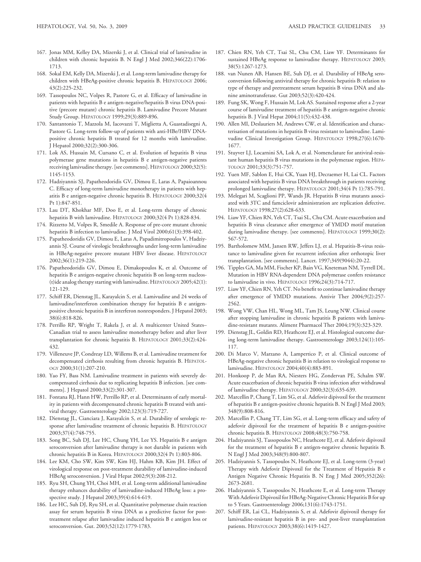- 167. Jonas MM, Kelley DA, Mizerski J, et al. Clinical trial of lamivudine in children with chronic hepatitis B. N Engl J Med 2002;346(22):1706- 1713.
- 168. Sokal EM, Kelly DA, Mizerski J, et al. Long-term lamivudine therapy for children with HBeAg-positive chronic hepatitis B. HEPATOLOGY 2006; 43(2):225-232.
- 169. Tassopoulos NC, Volpes R, Pastore G, et al. Efficacy of lamivudine in patients with hepatitis B e antigen-negative/hepatitis B virus DNA-positive (precore mutant) chronic hepatitis B. Lamivudine Precore Mutant Study Group. HEPATOLOGY 1999;29(3):889-896.
- 170. Santantonio T, Mazzola M, Iacovazzi T, Miglietta A, Guastadisegni A, Pastore G. Long-term follow-up of patients with anti-HBe/HBV DNApositive chronic hepatitis B treated for 12 months with lamivudine. J Hepatol 2000;32(2):300-306.
- 171. Lok AS, Hussain M, Cursano C, et al. Evolution of hepatitis B virus polymerase gene mutations in hepatitis B e antigen-negative patients receiving lamivudine therapy. [see comments]. HEPATOLOGY 2000;32(5): 1145-1153.
- 172. Hadziyannis SJ, Papatheodoridis GV, Dimou E, Laras A, Papaioannou C. Efficacy of long-term lamivudine monotherapy in patients with hepatitis B e antigen-negative chronic hepatitis B. HEPATOLOGY 2000;32(4 Pt 1):847-851.
- 173. Lau DT, Khokhar MF, Doo E, et al. Long-term therapy of chronic hepatitis B with lamivudine. HEPATOLOGY 2000;32(4 Pt 1):828-834.
- 174. Rizzetto M, Volpes R, Smedile A. Response of pre-core mutant chronic hepatitis B infection to lamivudine. J Med Virol 2000;61(3):398-402.
- 175. Papatheodoridis GV, Dimou E, Laras A, Papadimitropoulos V, Hadziyannis SJ. Course of virologic breakthroughs under long-term lamivudine in HBeAg-negative precore mutant HBV liver disease. HEPATOLOGY 2002;36(1):219-226.
- 176. Papatheodoridis GV, Dimou E, Dimakopoulos K, et al. Outcome of hepatitis B e antigen-negative chronic hepatitis B on long-term nucleos- (t)ide analog therapy starting with lamivudine. HEPATOLOGY 2005;42(1): 121-129.
- 177. Schiff ER, Dienstag JL, Karayalcin S, et al. Lamivudine and 24 weeks of lamivudine/interferon combination therapy for hepatitis B e antigenpositive chronic hepatitis B in interferon nonresponders. J Hepatol 2003; 38(6):818-826.
- 178. Perrillo RP, Wright T, Rakela J, et al. A multicenter United States– Canadian trial to assess lamivudine monotherapy before and after liver transplantation for chronic hepatitis B. HEPATOLOGY 2001;33(2):424- 432.
- 179. Villeneuve JP, Condreay LD, Willems B, et al. Lamivudine treatment for decompensated cirrhosis resulting from chronic hepatitis B. HEPATOL-OGY 2000;31(1):207-210.
- 180. Yao FY, Bass NM. Lamivudine treatment in patients with severely decompensated cirrhosis due to replicating hepatitis B infection. [see comments]. J Hepatol 2000;33(2):301-307.
- 181. Fontana RJ, Hann HW, Perrillo RP, et al. Determinants of early mortality in patients with decompensated chronic hepatitis B treated with antiviral therapy. Gastroenterology 2002;123(3):719-727.
- 182. Dienstag JL, Cianciara J, Karayalcin S, et al. Durability of serologic response after lamivudine treatment of chronic hepatitis B. HEPATOLOGY 2003;37(4):748-755.
- 183. Song BC, Suh DJ, Lee HC, Chung YH, Lee YS. Hepatitis B e antigen seroconversion after lamivudine therapy is not durable in patients with chronic hepatitis B in Korea. HEPATOLOGY 2000;32(4 Pt 1):803-806.
- 184. Lee KM, Cho SW, Kim SW, Kim HJ, Hahm KB, Kim JH. Effect of virological response on post-treatment durability of lamivudine-induced HBeAg seroconversion. J Viral Hepat 2002;9(3):208-212.
- 185. Ryu SH, Chung YH, Choi MH, et al. Long-term additional lamivudine therapy enhances durability of lamivudine-induced HBeAg loss: a prospective study. J Hepatol 2003;39(4):614-619.
- 186. Lee HC, Suh DJ, Ryu SH, et al. Quantitative polymerase chain reaction assay for serum hepatitis B virus DNA as a predictive factor for posttreatment relapse after lamivudine induced hepatitis B e antigen loss or seroconversion. Gut. 2003;52(12):1779-1783.
- 187. Chien RN, Yeh CT, Tsai SL, Chu CM, Liaw YF. Determinants for sustained HBeAg response to lamivudine therapy. HEPATOLOGY 2003; 38(5):1267-1273.
- 188. van Nunen AB, Hansen BE, Suh DJ, et al. Durability of HBeAg seroconversion following antiviral therapy for chronic hepatitis B: relation to type of therapy and pretreatment serum hepatitis B virus DNA and alanine aminotransferase. Gut 2003;52(3):420-424.
- 189. Fung SK, Wong F, Hussain M, Lok AS. Sustained response after a 2-year course of lamivudine treatment of hepatitis B e antigen-negative chronic hepatitis B. J Viral Hepat 2004;11(5):432-438.
- 190. Allen MI, Deslauriers M, Andrews CW, et al. Identification and characterisation of mutations in hepatitis B virus resistant to lamivudine. Lamivudine Clinical Investigation Group. HEPATOLOGY 1998;27(6):1670- 1677.
- 191. Stuyver LJ, Locarnini SA, Lok A, et al. Nomenclature for antiviral-resistant human hepatitis B virus mutations in the polymerase region. HEPA-TOLOGY 2001;33(3):751-757.
- 192. Yuen MF, Sablon E, Hui CK, Yuan HJ, Decraemer H, Lai CL. Factors associated with hepatitis B virus DNA breakthrough in patients receiving prolonged lamivudine therapy. HEPATOLOGY 2001;34(4 Pt 1):785-791.
- 193. Melegari M, Scaglioni PP, Wands JR. Hepatitis B virus mutants associated with 3TC and famciclovir administration are replication defective. HEPATOLOGY 1998;27(2):628-633.
- 194. Liaw YF, Chien RN, Yeh CT, Tsai SL, Chu CM. Acute exacerbation and hepatitis B virus clearance after emergence of YMDD motif mutation during lamivudine therapy. [see comments]. HEPATOLOGY 1999;30(2): 567-572.
- 195. Bartholomew MM, Jansen RW, Jeffers LJ, et al. Hepatitis-B-virus resistance to lamivudine given for recurrent infection after orthotopic liver transplantation. [see comments]. Lancet. 1997;349(9044):20-22.
- 196. Tipples GA, Ma MM, Fischer KP, Bain VG, Kneteman NM, Tyrrell DL. Mutation in HBV RNA-dependent DNA polymerase confers resistance to lamivudine in vivo. HEPATOLOGY 1996;24(3):714-717.
- 197. Liaw YF, Chien RN, Yeh CT. No benefit to continue lamivudine therapy after emergence of YMDD mutations. Antivir Ther 2004;9(2):257- 2562.
- 198. Wong VW, Chan HL, Wong ML, Tam JS, Leung NW. Clinical course after stopping lamivudine in chronic hepatitis B patients with lamivudine-resistant mutants. Aliment Pharmacol Ther 2004;19(3):323-329.
- 199. Dienstag JL, Goldin RD, Heathcote EJ, et al. Histological outcome during long-term lamivudine therapy. Gastroenterology 2003;124(1):105- 117.
- 200. Di Marco V, Marzano A, Lampertico P, et al. Clinical outcome of HBeAg-negative chronic hepatitis B in relation to virological response to lamivudine. HEPATOLOGY 2004;40(4):883-891.
- 201. Honkoop P, de Man RA, Niesters HG, Zondervan PE, Schalm SW. Acute exacerbation of chronic hepatitis B virus infection after withdrawal of lamivudine therapy. HEPATOLOGY 2000;32(3):635-639.
- 202. Marcellin P, Chang T, Lim SG, et al. Adefovir dipivoxil for the treatment of hepatitis B e antigen-positive chronic hepatitis B. N Engl J Med 2003; 348(9):808-816.
- 203. Marcellin P, Chang TT, Lim SG, et al. Long-term efficacy and safety of adefovir dipivoxil for the treatment of hepatitis B e antigen-positive chronic hepatitis B. HEPATOLOGY 2008;48(3):750-758.
- 204. Hadziyannis SJ, Tassopoulos NC, Heathcote EJ, et al. Adefovir dipivoxil for the treatment of hepatitis B e antigen-negative chronic hepatitis B. N Engl J Med 2003;348(9):800-807.
- 205. Hadziyannis S, Tassopoulos N, Heathcote EJ, et al. Long-term (3-year) Therapy with Adefovir Dipivoxil for the Treatment of Hepatitis B e Antigen Negative Chronic Hepatitis B. N Eng J Med 2005;352(26): 2673-2681.
- 206. Hadziyannis S, Tassopoulos N, Heathcote E, et al. Long-term Therapy With Adefovir Dipivoxil for HBeAg-Negative Chronic Hepatitis B for up to 5 Years. Gastroenterology 2006;131(6):1743-1751.
- 207. Schiff ER, Lai CL, Hadziyannis S, et al. Adefovir dipivoxil therapy for lamivudine-resistant hepatitis B in pre- and post-liver transplantation patients. HEPATOLOGY 2003;38(6):1419-1427.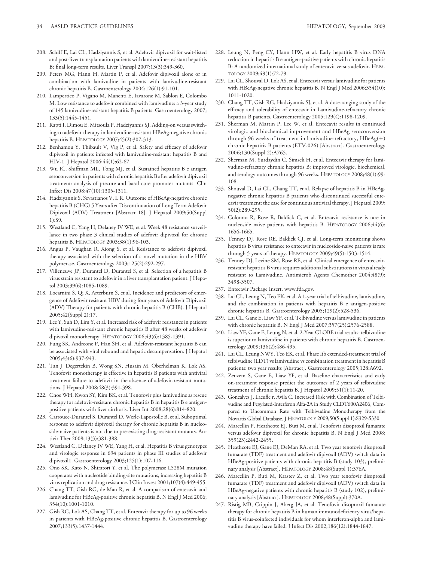- 208. Schiff E, Lai CL, Hadziyannis S, et al. Adefovir dipivoxil for wait-listed and post-liver transplantation patients with lamivudine-resistant hepatitis B: final long-term results. Liver Transpl 2007;13(3):349-360.
- 209. Peters MG, Hann H, Martin P, et al. Adefovir dipivoxil alone or in combination with lamivudine in patients with lamivudine-resistant chronic hepatitis B. Gastroenterology 2004;126(1):91-101.
- 210. Lampertico P, Vigano M, Manenti E, Iavarone M, Sablon E, Colombo M. Low resistance to adefovir combined with lamivudine: a 3-year study of 145 lamivudine-resistant hepatitis B patients. Gastroenterology 2007; 133(5):1445-1451.
- 211. Rapti I, Dimou E, Mitsoula P, Hadziyannis SJ. Adding-on versus switching-to adefovir therapy in lamivudine-resistant HBeAg-negative chronic hepatitis B. HEPATOLOGY 2007;45(2):307-313.
- 212. Benhamou Y, Thibault V, Vig P, et al. Safety and efficacy of adefovir dipivoxil in patients infected with lamivudine-resistant hepatitis B and HIV-1. J Hepatol 2006;44(1):62-67.
- 213. Wu IC, Shiffman ML, Tong MJ, et al. Sustained hepatitis B e antigen seroconversion in patients with chronic hepatitis B after adefovir dipivoxil treatment: analysis of precore and basal core promoter mutants. Clin Infect Dis 2008;47(10):1305-1311.
- 214. Hadziyannis S, Sevastianos V, I. R. Outcome of HBeAg-negative chronic hepatitis B (CHG) 5 Years after Discontinuation of Long Term Adefovir Dipivoxil (ADV) Treatment [Abstract 18]. J Hepatol 2009;50(Suppl 1):S9.
- 215. Westland C, Yang H, Delaney IV WE, et al. Week 48 resistance surveillance in two phase 3 clinical studies of adefovir dipivoxil for chronic hepatitis B. HEPATOLOGY 2003;38(1):96-103.
- 216. Angus P, Vaughan R, Xiong S, et al. Resistance to adefovir dipivoxil therapy associated with the selection of a novel mutation in the HBV polymerase. Gastroenterology 2003;125(2):292-297.
- 217. Villeneuve JP, Durantel D, Durantel S, et al. Selection of a hepatitis B virus strain resistant to adefovir in a liver transplantation patient. J Hepatol 2003;39(6):1085-1089.
- 218. Locarnini S, Qi X, Arterburn S, et al. Incidence and predictors of emergence of Adefovir resistant HBV during four years of Adefovir Dipivoxil (ADV) Therapy for patients with chronic hepatitis B (CHB). J Hepatol 2005;42(Suppl 2):17.
- 219. Lee Y, Suh D, Lim Y, et al. Increased risk of adefovir resistance in patients with lamivudine-resistant chronic hepatitis B after 48 weeks of adefovir dipivoxil monotherapy. HEPATOLOGY 2006;43(6):1385-1391.
- 220. Fung SK, Andreone P, Han SH, et al. Adefovir-resistant hepatitis B can be associated with viral rebound and hepatic decompensation. J Hepatol 2005;43(6):937-943.
- 221. Tan J, Degertekin B, Wong SN, Husain M, Oberhelman K, Lok AS. Tenofovir monotherapy is effective in hepatitis B patients with antiviral treatment failure to adefovir in the absence of adefovir-resistant mutations. J Hepatol 2008;48(3):391-398.
- 222. Choe WH, Kwon SY, Kim BK, et al. Tenofovir plus lamivudine as rescue therapy for adefovir-resistant chronic hepatitis B in hepatitis B e antigenpositive patients with liver cirrhosis. Liver Int 2008;28(6):814-820.
- 223. Carrouee-Durantel S, Durantel D, Werle-Lapostolle B, et al. Suboptimal response to adefovir dipivoxil therapy for chronic hepatitis B in nucleoside-naive patients is not due to pre-existing drug-resistant mutants. Antivir Ther 2008;13(3):381-388.
- 224. Westland C, Delaney IV WE, Yang H, et al. Hepatitis B virus genotypes and virologic response in 694 patients in phase III studies of adefovir dipivoxil1. Gastroenterology 2003;125(1):107-116.
- 225. Ono SK, Kato N, Shiratori Y, et al. The polymerase L528M mutation cooperates with nucleotide binding-site mutations, increasing hepatitis B virus replication and drug resistance. J Clin Invest 2001;107(4):449-455.
- 226. Chang TT, Gish RG, de Man R, et al. A comparison of entecavir and lamivudine for HBeAg-positive chronic hepatitis B. N Engl J Med 2006; 354(10):1001-1010.
- 227. Gish RG, Lok AS, Chang TT, et al. Entecavir therapy for up to 96 weeks in patients with HBeAg-positive chronic hepatitis B. Gastroenterology 2007;133(5):1437-1444.
- 228. Leung N, Peng CY, Hann HW, et al. Early hepatitis B virus DNA reduction in hepatitis B e antigen-positive patients with chronic hepatitis B: A randomized international study of entecavir versus adefovir. HEPA-TOLOGY 2009;49(1):72-79.
- 229. Lai CL, Shouval D, Lok AS, et al. Entecavir versus lamivudine for patients with HBeAg-negative chronic hepatitis B. N Engl J Med 2006;354(10): 1011-1020.
- 230. Chang TT, Gish RG, Hadziyannis SJ, et al. A dose-ranging study of the efficacy and tolerability of entecavir in Lamivudine-refractory chronic hepatitis B patients. Gastroenterology 2005;129(4):1198-1209.
- 231. Sherman M, Martin P, Lee W, et al. Entecavir results in continued virologic and biochemical improvement and HBeAg seroconversion through 96 weeks of treatment in lamivudine-refractory,  $HBeAg(+)$ chronic hepatitis B patients (ETV-026) [Abstract]. Gastroenterology 2006;130(Suppl 2):A765.
- 232. Sherman M, Yurdaydin C, Simsek H, et al. Entecavir therapy for lamivudine-refractory chronic hepatitis B: improved virologic, biochemical, and serology outcomes through 96 weeks. HEPATOLOGY 2008;48(1):99- 108.
- 233. Shouval D, Lai CL, Chang TT, et al. Relapse of hepatitis B in HBeAgnegative chronic hepatitis B patients who discontinued successful entecavir treatment: the case for continuous antiviral therapy. J Hepatol 2009; 50(2):289-295.
- 234. Colonno R, Rose R, Baldick C, et al. Entecavir resistance is rare in nucleoside naive patients with hepatitis B. HEPATOLOGY 2006;44(6): 1656-1665.
- 235. Tenney DJ, Rose RE, Baldick CJ, et al. Long-term monitoring shows hepatitis B virus resistance to entecavir in nucleoside-naive patients is rare through 5 years of therapy. HEPATOLOGY 2009;49(5):1503-1514.
- 236. Tenney DJ, Levine SM, Rose RE, et al. Clinical emergence of entecavirresistant hepatitis B virus requires additional substitutions in virus already resistant to Lamivudine. Antimicrob Agents Chemother 2004;48(9): 3498-3507.
- 237. Entecavir Package Insert. www.fda.gov.
- 238. Lai CL, Leung N, Teo EK, et al. A 1-year trial of telbivudine, lamivudine, and the combination in patients with hepatitis B e antigen-positive chronic hepatitis B. Gastroenterology 2005;129(2):528-536.
- 239. Lai CL, Gane E, Liaw YF, et al. Telbivudine versus lamivudine in patients with chronic hepatitis B. N Engl J Med 2007;357(25):2576-2588.
- 240. Liaw YF, Gane E, Leung N, et al. 2-Year GLOBE trial results: telbivudine is superior to lamivudine in patients with chronic hepatitis B. Gastroenterology 2009;136(2):486-495.
- 241. Lai CL, Leung NWY, Teo EK, et al. Phase Iib extended-treatment trial of telbivudine (LDT) vs lamivudine vs combination treatment in hepatitis B patients: two year results [Abstract]. Gastroenterology 2005;128:A692.
- 242. Zeuzem S, Gane E, Liaw YF, et al. Baseline characteristics and early on-treatment response predict the outcomes of 2 years of telbivudine treatment of chronic hepatitis B. J Hepatol 2009;51(1):11-20.
- 243. Goncalves J, Laeufle r, Avila C. Increased Risk with Combination of Telbivudine and Pegylated-Interferon Alfa-2A in Study CLDT600A2406, Compared to Uncommon Rate with Telbivudine Monotherapy from the Novartis Global Database. J HEPATOLOGY 2009;50(Suppl 1):S329-S330.
- 244. Marcellin P, Heathcote EJ, Buti M, et al. Tenofovir disoproxil fumarate versus adefovir dipivoxil for chronic hepatitis B. N Engl J Med 2008; 359(23):2442-2455.
- 245. Heathcote EJ, Gane EJ, DeMan RA, et al. Two year tenofovir disoproxil fumarate (TDF) treatment and adefovir dipivoxil (ADV) switch data in HBeAg-positive patients with chronic hepatitis B (study 103), preliminary analysis [Abstract]. HEPATOLOGY 2008;48(Suppl 1):376A.
- 246. Marcellin P, Buti M, Krastev Z, et al. Two year tenofovir disoproxil fumarate (TDF) treatment and adefovir dipivoxil (ADV) switch data in HBeAg-negative patients with chronic hepatitis B (study 102), preliminary analysis [Abstract]. HEPATOLOGY 2008;48(Suppl):370A.
- 247. Ristig MB, Crippin J, Aberg JA, et al. Tenofovir disoproxil fumarate therapy for chronic hepatitis B in human immunodeficiency virus/hepatitis B virus-coinfected individuals for whom interferon-alpha and lamivudine therapy have failed. J Infect Dis 2002;186(12):1844-1847.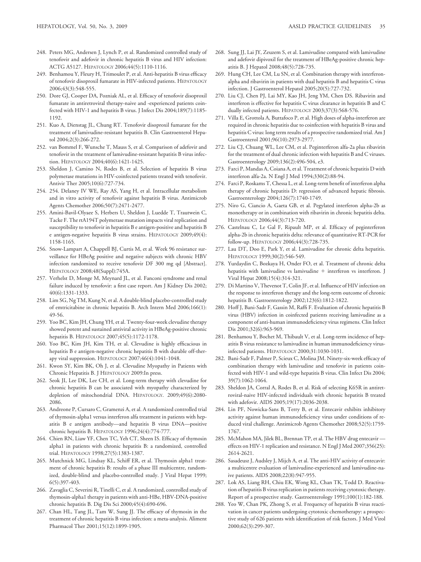- 248. Peters MG, Andersen J, Lynch P, et al. Randomized controlled study of tenofovir and adefovir in chronic hepatitis B virus and HIV infection: ACTG A5127. HEPATOLOGY 2006;44(5):1110-1116.
- 249. Benhamou Y, Fleury H, Trimoulet P, et al. Anti-hepatitis B virus efficacy of tenofovir disoproxil fumarate in HIV-infected patients. HEPATOLOGY 2006;43(3):548-555.
- 250. Dore GJ, Cooper DA, Pozniak AL, et al. Efficacy of tenofovir disoproxil fumarate in antiretroviral therapy-naive and -experienced patients coinfected with HIV-1 and hepatitis B virus. J Infect Dis 2004;189(7):1185- 1192.
- 251. Kuo A, Dienstag JL, Chung RT. Tenofovir disoproxil fumarate for the treatment of lamivudine-resistant hepatitis B. Clin Gastroenterol Hepatol 2004;2(3):266-272.
- 252. van Bommel F, Wunsche T, Mauss S, et al. Comparison of adefovir and tenofovir in the treatment of lamivudine-resistant hepatitis B virus infection. HEPATOLOGY 2004;40(6):1421-1425.
- 253. Sheldon J, Camino N, Rodes B, et al. Selection of hepatitis B virus polymerase mutations in HIV-coinfected patients treated with tenofovir. Antivir Ther 2005;10(6):727-734.
- 254. 254. Delaney IV WE, Ray AS, Yang H, et al. Intracellular metabolism and in vitro activity of tenofovir against hepatitis B virus. Antimicrob Agents Chemother 2006;50(7):2471-2477.
- 255. Amini-Bavil-Olyaee S, Herbers U, Sheldon J, Luedde T, Trautwein C, Tacke F. The rtA194T polymerase mutation impacts viral replication and susceptibility to tenofovir in hepatitis B e antigen-positive and hepatitis B e antigen-negative hepatitis B virus strains. HEPATOLOGY 2009;49(4): 1158-1165.
- 256. Snow-Lampart A, Chappell BJ, Curtis M, et al. Week 96 resistance surveillance for HBeAg positive and negative subjects with chronic HBV infection randomized to receive tenofovir DF 300 mg qd [Abstract]. HEPATOLOGY 2008;48(Suppl):745A.
- 257. Verhelst D, Monge M, Meynard JL, et al. Fanconi syndrome and renal failure induced by tenofovir: a first case report. Am J Kidney Dis 2002; 40(6):1331-1333.
- 258. Lim SG, Ng TM, Kung N, et al. A double-blind placebo-controlled study of emtricitabine in chronic hepatitis B. Arch Intern Med 2006;166(1): 49-56.
- 259. Yoo BC, Kim JH, Chung YH, et al. Twenty-four-week clevudine therapy showed potent and sustained antiviral activity in HBeAg-positive chronic hepatitis B. HEPATOLOGY 2007;45(5):1172-1178.
- 260. Yoo BC, Kim JH, Kim TH, et al. Clevudine is highly efficacious in hepatitis B e antigen-negative chronic hepatitis B with durable off-therapy viral suppression. HEPATOLOGY 2007;46(4):1041-1048.
- 261. Kwon SY, Kim BK, Oh J, et al. Clevudine Myopathy in Patients with Chronic Hepatitis B. J HEPATOLOGY 2009:In press.
- 262. Seok JI, Lee DK, Lee CH, et al. Long-term therapy with clevudine for chronic hepatitis B can be associated with myopathy characterized by depletion of mitochondrial DNA. HEPATOLOGY. 2009;49(6):2080- 2086.
- 263. Andreone P, Cursaro C, Gramenzi A, et al. A randomized controlled trial of thymosin-alpha1 versus interferon alfa treatment in patients with hepatitis B e antigen antibody—and hepatitis B virus DNA—positive chronic hepatitis B. HEPATOLOGY 1996;24(4):774-777.
- 264. Chien RN, Liaw YF, Chen TC, Yeh CT, Sheen IS. Efficacy of thymosin alpha1 in patients with chronic hepatitis B: a randomized, controlled trial. HEPATOLOGY 1998;27(5):1383-1387.
- 265. Mutchnick MG, Lindsay KL, Schiff ER, et al. Thymosin alpha1 treatment of chronic hepatitis B: results of a phase III multicentre, randomized, double-blind and placebo-controlled study. J Viral Hepat 1999; 6(5):397-403.
- 266. Zavaglia C, Severini R, Tinelli C, et al. A randomized, controlled study of thymosin-alpha1 therapy in patients with anti-HBe, HBV-DNA-positive chronic hepatitis B. Dig Dis Sci 2000;45(4):690-696.
- 267. Chan HL, Tang JL, Tam W, Sung JJ. The efficacy of thymosin in the treatment of chronic hepatitis B virus infection: a meta-analysis. Aliment Pharmacol Ther 2001;15(12):1899-1905.
- 268. Sung JJ, Lai JY, Zeuzem S, et al. Lamivudine compared with lamivudine and adefovir dipivoxil for the treatment of HBeAg-positive chronic hepatitis B. J Hepatol 2008;48(5):728-735.
- 269. Hung CH, Lee CM, Lu SN, et al. Combination therapy with interferonalpha and ribavirin in patients with dual hepatitis B and hepatitis C virus infection. J Gastroenterol Hepatol 2005;20(5):727-732.
- 270. Liu CJ, Chen PJ, Lai MY, Kao JH, Jeng YM, Chen DS. Ribavirin and interferon is effective for hepatitis C virus clearance in hepatitis B and C dually infected patients. HEPATOLOGY 2003;37(3):568-576.
- 271. Villa E, Grottola A, Buttafoco P, et al. High doses of alpha-interferon are required in chronic hepatitis due to coinfection with hepatitis B virus and hepatitis C virus: long term results of a prospective randomized trial. Am J Gastroenterol 2001;96(10):2973-2977.
- 272. Liu CJ, Chuang WL, Lee CM, et al. Peginterferon alfa-2a plus ribavirin for the treatment of dual chronic infection with hepatitis B and C viruses. Gastroenterology 2009;136(2):496-504, e3.
- 273. Farci P, Mandas A, Coiana A, et al. Treatment of chronic hepatitis D with interferon alfa-2a. N Engl J Med 1994;330(2):88-94.
- 274. Farci P, Roskams T, Chessa L, et al. Long-term benefit of interferon alpha therapy of chronic hepatitis D: regression of advanced hepatic fibrosis. Gastroenterology 2004;126(7):1740-1749.
- 275. Niro G, Ciancio A, Gaeta GB, et al. Pegylated interferon alpha-2b as monotherapy or in combination with ribavirin in chronic hepatitis delta. HEPATOLOGY 2006;44(3):713-720.
- 276. Castelnau C, Le Gal F, Ripault MP, et al. Efficacy of peginterferon alpha-2b in chronic hepatitis delta: relevance of quantitative RT-PCR for follow-up. HEPATOLOGY 2006;44(3):728-735.
- 277. Lau DT, Doo E, Park Y, et al. Lamivudine for chronic delta hepatitis. HEPATOLOGY 1999;30(2):546-549.
- 278. Yurdaydin C, Bozkaya H, Onder FO, et al. Treatment of chronic delta hepatitis with lamivudine vs lamivudine  $+$  interferon vs interferon. J Viral Hepat 2008;15(4):314-321.
- 279. Di Martino V, Thevenot T, Colin JF, et al. Influence of HIV infection on the response to interferon therapy and the long-term outcome of chronic hepatitis B. Gastroenterology 2002;123(6):1812-1822.
- 280. Hoff J, Bani-Sadr F, Gassin M, Raffi F. Evaluation of chronic hepatitis B virus (HBV) infection in coinfected patients receiving lamivudine as a component of anti-human immunodeficiency virus regimens. Clin Infect Dis 2001;32(6):963-969.
- 281. Benhamou Y, Bochet M, Thibault V, et al. Long-term incidence of hepatitis B virus resistance to lamivudine in human immunodeficiency virusinfected patients. HEPATOLOGY 2000;31:1030-1031.
- 282. Bani-Sadr F, Palmer P, Scieux C, Molina JM. Ninety-six-week efficacy of combination therapy with lamivudine and tenofovir in patients coinfected with HIV-1 and wild-type hepatitis B virus. Clin Infect Dis 2004; 39(7):1062-1064.
- 283. Sheldon JA, Corral A, Rodes B, et al. Risk of selecting K65R in antiretroviral-naive HIV-infected individuals with chronic hepatitis B treated with adefovir. AIDS 2005;19(17):2036-2038.
- 284. Lin PF, Nowicka-Sans B, Terry B, et al. Entecavir exhibits inhibitory activity against human immunodeficiency virus under conditions of reduced viral challenge. Antimicrob Agents Chemother 2008;52(5):1759- 1767.
- 285. McMahon MA, Jilek BL, Brennan TP, et al. The HBV drug entecavir effects on HIV-1 replication and resistance. N Engl J Med 2007;356(25): 2614-2621.
- 286. Sasadeusz J, Audsley J, Mijch A, et al. The anti-HIV activity of entecavir: a multicentre evaluation of lamivudine-experienced and lamivudine-naive patients. AIDS 2008;22(8):947-955.
- 287. Lok AS, Liang RH, Chiu EK, Wong KL, Chan TK, Todd D. Reactivation of hepatitis B virus replication in patients receiving cytotoxic therapy. Report of a prospective study. Gastroenterology 1991;100(1):182-188.
- 288. Yeo W, Chan PK, Zhong S, et al. Frequency of hepatitis B virus reactivation in cancer patients undergoing cytotoxic chemotherapy: a prospective study of 626 patients with identification of risk factors. J Med Virol 2000;62(3):299-307.